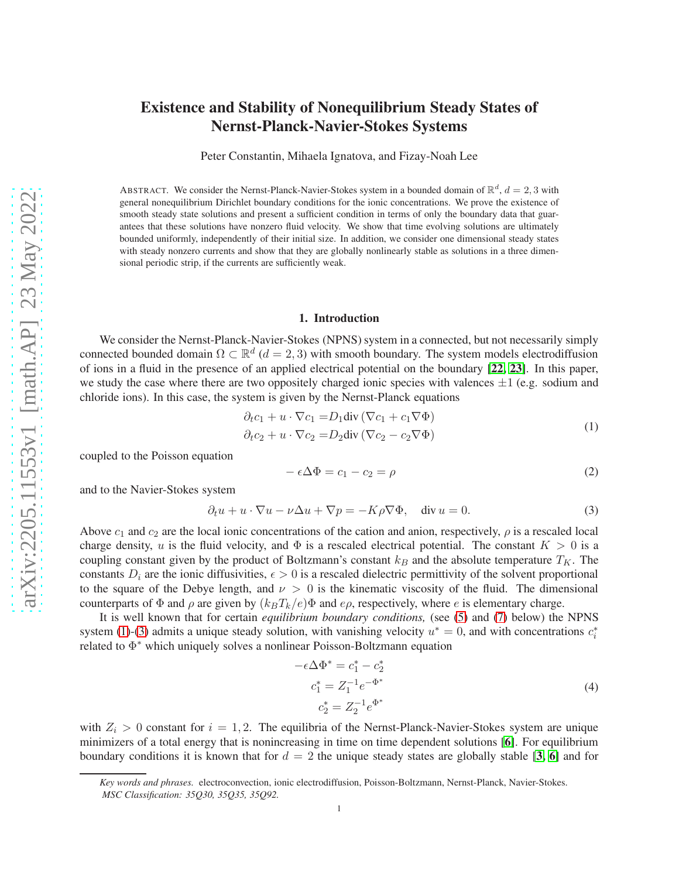# Existence and Stability of Nonequilibrium Steady States of Nernst-Planck-Navier-Stokes Systems

Peter Constantin, Mihaela Ignatova, and Fizay-Noah Lee

ABSTRACT. We consider the Nernst-Planck-Navier-Stokes system in a bounded domain of  $\mathbb{R}^d$ ,  $d = 2, 3$  with general nonequilibrium Dirichlet boundary conditions for the ionic concentrations. We prove the existence of smooth steady state solutions and present a sufficient condition in terms of only the boundary data that guarantees that these solutions have nonzero fluid velocity. We show that time evolving solutions are ultimately bounded uniformly, independently of their initial size. In addition, we consider one dimensional steady states with steady nonzero currents and show that they are globally nonlinearly stable as solutions in a three dimensional periodic strip, if the currents are sufficiently weak.

#### 1. Introduction

We consider the Nernst-Planck-Navier-Stokes (NPNS) system in a connected, but not necessarily simply connected bounded domain  $\Omega \subset \mathbb{R}^d$  ( $d = 2, 3$ ) with smooth boundary. The system models electrodiffusion of ions in a fluid in the presence of an applied electrical potential on the boundary [[22,](#page-29-0) [23](#page-29-1)]. In this paper, we study the case where there are two oppositely charged ionic species with valences  $\pm 1$  (e.g. sodium and chloride ions). In this case, the system is given by the Nernst-Planck equations

<span id="page-0-0"></span>
$$
\partial_t c_1 + u \cdot \nabla c_1 = D_1 \text{div} (\nabla c_1 + c_1 \nabla \Phi)
$$
  
\n
$$
\partial_t c_2 + u \cdot \nabla c_2 = D_2 \text{div} (\nabla c_2 - c_2 \nabla \Phi)
$$
\n(1)

coupled to the Poisson equation

$$
-\epsilon \Delta \Phi = c_1 - c_2 = \rho \tag{2}
$$

and to the Navier-Stokes system

<span id="page-0-1"></span>
$$
\partial_t u + u \cdot \nabla u - \nu \Delta u + \nabla p = -K \rho \nabla \Phi, \quad \text{div } u = 0. \tag{3}
$$

Above  $c_1$  and  $c_2$  are the local ionic concentrations of the cation and anion, respectively,  $\rho$  is a rescaled local charge density, u is the fluid velocity, and  $\Phi$  is a rescaled electrical potential. The constant  $K > 0$  is a coupling constant given by the product of Boltzmann's constant  $k_B$  and the absolute temperature  $T_K$ . The constants  $D_i$  are the ionic diffusivities,  $\epsilon > 0$  is a rescaled dielectric permittivity of the solvent proportional to the square of the Debye length, and  $\nu > 0$  is the kinematic viscosity of the fluid. The dimensional counterparts of  $\Phi$  and  $\rho$  are given by  $(k_BT_k/e)\Phi$  and  $e\rho$ , respectively, where e is elementary charge.

It is well known that for certain *equilibrium boundary conditions,* (see [\(5\)](#page-1-0) and [\(7\)](#page-1-1) below) the NPNS system [\(1\)](#page-0-0)-[\(3\)](#page-0-1) admits a unique steady solution, with vanishing velocity  $u^* = 0$ , and with concentrations  $c_i^*$ related to Φ ∗ which uniquely solves a nonlinear Poisson-Boltzmann equation

<span id="page-0-2"></span>
$$
-e\Delta\Phi^* = c_1^* - c_2^*
$$
  
\n
$$
c_1^* = Z_1^{-1}e^{-\Phi^*}
$$
  
\n
$$
c_2^* = Z_2^{-1}e^{\Phi^*}
$$
\n(4)

with  $Z_i > 0$  constant for  $i = 1, 2$ . The equilibria of the Nernst-Planck-Navier-Stokes system are unique minimizers of a total energy that is nonincreasing in time on time dependent solutions [[6](#page-29-2)]. For equilibrium boundary conditions it is known that for  $d = 2$  the unique steady states are globally stable [[3,](#page-29-3) [6](#page-29-2)] and for

*Key words and phrases.* electroconvection, ionic electrodiffusion, Poisson-Boltzmann, Nernst-Planck, Navier-Stokes. *MSC Classification: 35Q30, 35Q35, 35Q92.*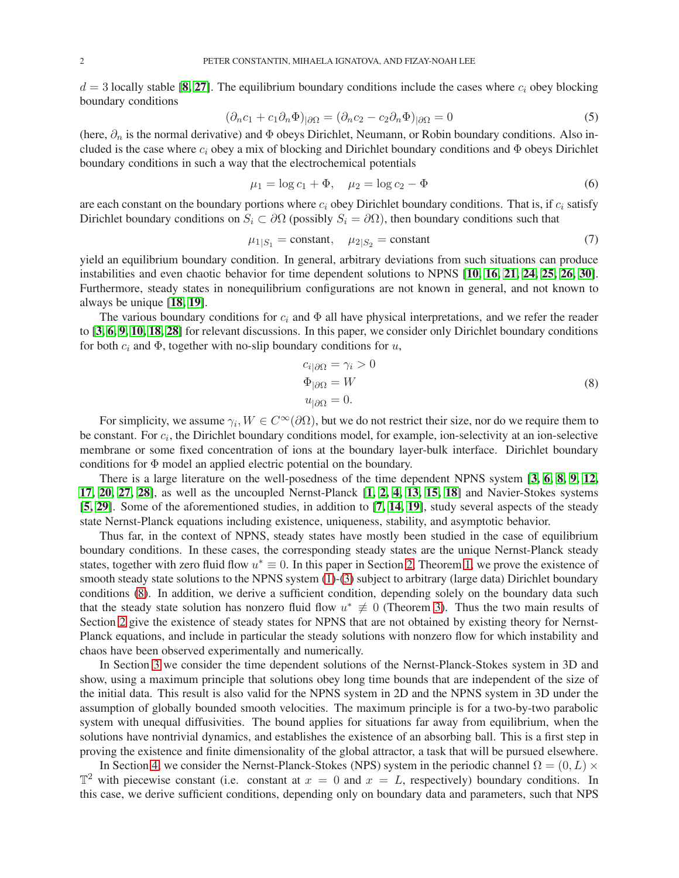$d = 3$  locally stable [[8,](#page-29-4) [27](#page-29-5)]. The equilibrium boundary conditions include the cases where  $c_i$  obey blocking boundary conditions

<span id="page-1-0"></span>
$$
(\partial_n c_1 + c_1 \partial_n \Phi)_{|\partial \Omega} = (\partial_n c_2 - c_2 \partial_n \Phi)_{|\partial \Omega} = 0 \tag{5}
$$

(here,  $\partial_n$  is the normal derivative) and  $\Phi$  obeys Dirichlet, Neumann, or Robin boundary conditions. Also included is the case where  $c_i$  obey a mix of blocking and Dirichlet boundary conditions and  $\Phi$  obeys Dirichlet boundary conditions in such a way that the electrochemical potentials

$$
\mu_1 = \log c_1 + \Phi, \quad \mu_2 = \log c_2 - \Phi \tag{6}
$$

are each constant on the boundary portions where  $c_i$  obey Dirichlet boundary conditions. That is, if  $c_i$  satisfy Dirichlet boundary conditions on  $S_i \subset \partial \Omega$  (possibly  $S_i = \partial \Omega$ ), then boundary conditions such that

<span id="page-1-1"></span>
$$
\mu_{1|S_1} = \text{constant}, \quad \mu_{2|S_2} = \text{constant} \tag{7}
$$

yield an equilibrium boundary condition. In general, arbitrary deviations from such situations can produce instabilities and even chaotic behavior for time dependent solutions to NPNS [[10,](#page-29-6) [16,](#page-29-7) [21,](#page-29-8) [24,](#page-29-9) [25,](#page-29-10) [26,](#page-29-11) [30](#page-29-12)]. Furthermore, steady states in nonequilibrium configurations are not known in general, and not known to always be unique [[18,](#page-29-13) [19](#page-29-14)].

The various boundary conditions for  $c_i$  and  $\Phi$  all have physical interpretations, and we refer the reader to [[3,](#page-29-3) [6,](#page-29-2) [9,](#page-29-15) [10,](#page-29-6) [18,](#page-29-13) [28](#page-29-16)] for relevant discussions. In this paper, we consider only Dirichlet boundary conditions for both  $c_i$  and  $\Phi$ , together with no-slip boundary conditions for  $u$ ,

<span id="page-1-2"></span>
$$
c_{i|\partial\Omega} = \gamma_i > 0
$$
  
\n
$$
\Phi_{|\partial\Omega} = W
$$
  
\n
$$
u_{|\partial\Omega} = 0.
$$
\n(8)

For simplicity, we assume  $\gamma_i, W \in C^{\infty}(\partial \Omega)$ , but we do not restrict their size, nor do we require them to be constant. For  $c_i$ , the Dirichlet boundary conditions model, for example, ion-selectivity at an ion-selective membrane or some fixed concentration of ions at the boundary layer-bulk interface. Dirichlet boundary conditions for Φ model an applied electric potential on the boundary.

There is a large literature on the well-posedness of the time dependent NPNS system [[3,](#page-29-3) [6,](#page-29-2) [8,](#page-29-4) [9,](#page-29-15) [12,](#page-29-17) [17,](#page-29-18) [20,](#page-29-19) [27,](#page-29-5) [28](#page-29-16)], as well as the uncoupled Nernst-Planck [[1,](#page-29-20) [2,](#page-29-21) [4,](#page-29-22) [13,](#page-29-23) [15,](#page-29-24) [18](#page-29-13)] and Navier-Stokes systems [[5,](#page-29-25) [29](#page-29-26)]. Some of the aforementioned studies, in addition to [[7,](#page-29-27) [14,](#page-29-28) [19](#page-29-14)], study several aspects of the steady state Nernst-Planck equations including existence, uniqueness, stability, and asymptotic behavior.

Thus far, in the context of NPNS, steady states have mostly been studied in the case of equilibrium boundary conditions. In these cases, the corresponding steady states are the unique Nernst-Planck steady states, together with zero fluid flow  $u^* \equiv 0$ . In this paper in Section [2,](#page-2-0) Theorem [1,](#page-2-1) we prove the existence of smooth steady state solutions to the NPNS system [\(1\)](#page-0-0)-[\(3\)](#page-0-1) subject to arbitrary (large data) Dirichlet boundary conditions [\(8\)](#page-1-2). In addition, we derive a sufficient condition, depending solely on the boundary data such that the steady state solution has nonzero fluid flow  $u^* \neq 0$  (Theorem [3\)](#page-13-0). Thus the two main results of Section [2](#page-2-0) give the existence of steady states for NPNS that are not obtained by existing theory for Nernst-Planck equations, and include in particular the steady solutions with nonzero flow for which instability and chaos have been observed experimentally and numerically.

In Section [3](#page-13-1) we consider the time dependent solutions of the Nernst-Planck-Stokes system in 3D and show, using a maximum principle that solutions obey long time bounds that are independent of the size of the initial data. This result is also valid for the NPNS system in 2D and the NPNS system in 3D under the assumption of globally bounded smooth velocities. The maximum principle is for a two-by-two parabolic system with unequal diffusivities. The bound applies for situations far away from equilibrium, when the solutions have nontrivial dynamics, and establishes the existence of an absorbing ball. This is a first step in proving the existence and finite dimensionality of the global attractor, a task that will be pursued elsewhere.

In Section [4,](#page-20-0) we consider the Nernst-Planck-Stokes (NPS) system in the periodic channel  $\Omega = (0, L) \times$  $\mathbb{T}^2$  with piecewise constant (i.e. constant at  $x = 0$  and  $x = L$ , respectively) boundary conditions. In this case, we derive sufficient conditions, depending only on boundary data and parameters, such that NPS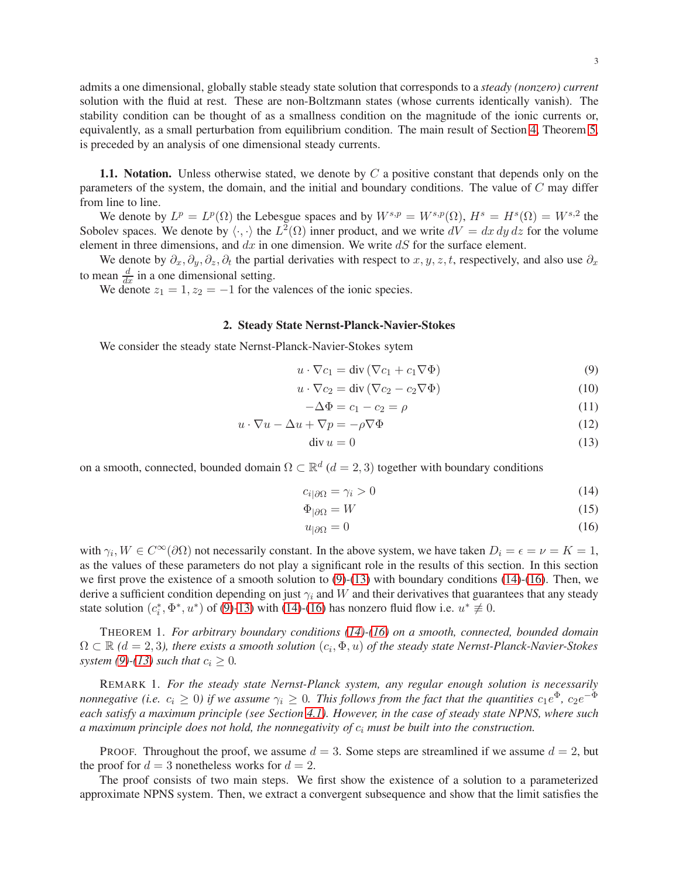admits a one dimensional, globally stable steady state solution that corresponds to a *steady (nonzero) current* solution with the fluid at rest. These are non-Boltzmann states (whose currents identically vanish). The stability condition can be thought of as a smallness condition on the magnitude of the ionic currents or, equivalently, as a small perturbation from equilibrium condition. The main result of Section [4,](#page-20-0) Theorem [5,](#page-25-0) is preceded by an analysis of one dimensional steady currents.

1.1. Notation. Unless otherwise stated, we denote by  $C$  a positive constant that depends only on the parameters of the system, the domain, and the initial and boundary conditions. The value of  $C$  may differ from line to line.

We denote by  $L^p = L^p(\Omega)$  the Lebesgue spaces and by  $W^{s,p} = W^{s,p}(\Omega)$ ,  $H^s = H^s(\Omega) = W^{s,2}$  the Sobolev spaces. We denote by  $\langle \cdot, \cdot \rangle$  the  $L^2(\Omega)$  inner product, and we write  $dV = dx dy dz$  for the volume element in three dimensions, and  $dx$  in one dimension. We write  $dS$  for the surface element.

We denote by  $\partial_x, \partial_y, \partial_z, \partial_t$  the partial derivaties with respect to  $x, y, z, t$ , respectively, and also use  $\partial_x$ to mean  $\frac{d}{dx}$  in a one dimensional setting.

<span id="page-2-0"></span>We denote  $z_1 = 1, z_2 = -1$  for the valences of the ionic species.

### 2. Steady State Nernst-Planck-Navier-Stokes

We consider the steady state Nernst-Planck-Navier-Stokes sytem

$$
u \cdot \nabla c_1 = \text{div} (\nabla c_1 + c_1 \nabla \Phi)
$$
 (9)

$$
u \cdot \nabla c_2 = \text{div} (\nabla c_2 - c_2 \nabla \Phi)
$$
 (10)

<span id="page-2-2"></span>
$$
-\Delta \Phi = c_1 - c_2 = \rho \tag{11}
$$

$$
u \cdot \nabla u - \Delta u + \nabla p = -\rho \nabla \Phi \tag{12}
$$

<span id="page-2-4"></span><span id="page-2-3"></span>
$$
\operatorname{div} u = 0 \tag{13}
$$

on a smooth, connected, bounded domain  $\Omega \subset \mathbb{R}^d$  ( $d = 2, 3$ ) together with boundary conditions

$$
c_{i|\partial\Omega} = \gamma_i > 0 \tag{14}
$$

$$
\Phi_{|\partial\Omega} = W \tag{15}
$$

<span id="page-2-5"></span>
$$
u_{|\partial\Omega} = 0 \tag{16}
$$

with  $\gamma_i, W \in C^{\infty}(\partial \Omega)$  not necessarily constant. In the above system, we have taken  $D_i = \epsilon = \nu = K = 1$ , as the values of these parameters do not play a significant role in the results of this section. In this section we first prove the existence of a smooth solution to  $(9)-(13)$  $(9)-(13)$  with boundary conditions  $(14)-(16)$  $(14)-(16)$  $(14)-(16)$ . Then, we derive a sufficient condition depending on just  $\gamma_i$  and W and their derivatives that guarantees that any steady state solution  $(c_i^*, \Phi^*, u^*)$  of [\(9\)](#page-2-2)[-13\)](#page-2-3) with [\(14\)](#page-2-4)-[\(16\)](#page-2-5) has nonzero fluid flow i.e.  $u^* \neq 0$ .

<span id="page-2-1"></span>THEOREM 1. *For arbitrary boundary conditions [\(14\)](#page-2-4)-[\(16\)](#page-2-5) on a smooth, connected, bounded domain*  $\Omega \subset \mathbb{R}$  ( $d = 2, 3$ ), there exists a smooth solution  $(c_i, \Phi, u)$  of the steady state Nernst-Planck-Navier-Stokes *system* [\(9\)](#page-2-2)-[\(13\)](#page-2-3) *such that*  $c_i \geq 0$ *.* 

REMARK 1. *For the steady state Nernst-Planck system, any regular enough solution is necessarily nonnegative (i.e.*  $c_i \geq 0$ ) if we assume  $\gamma_i \geq 0$ . This follows from the fact that the quantities  $c_1e^{\Phi}$ ,  $c_2e^{-\Phi}$ *each satisfy a maximum principle (see Section [4.1\)](#page-20-1). However, in the case of steady state NPNS, where such a maximum principle does not hold, the nonnegativity of* c<sup>i</sup> *must be built into the construction.*

PROOF. Throughout the proof, we assume  $d = 3$ . Some steps are streamlined if we assume  $d = 2$ , but the proof for  $d = 3$  nonetheless works for  $d = 2$ .

The proof consists of two main steps. We first show the existence of a solution to a parameterized approximate NPNS system. Then, we extract a convergent subsequence and show that the limit satisfies the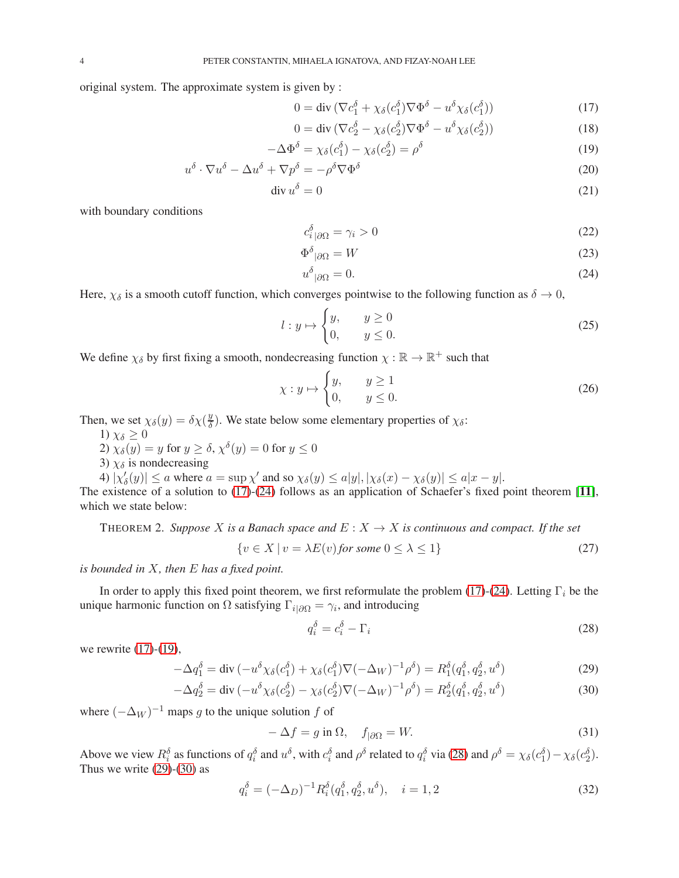original system. The approximate system is given by :

<span id="page-3-0"></span>
$$
0 = \operatorname{div} (\nabla c_1^{\delta} + \chi_{\delta}(c_1^{\delta}) \nabla \Phi^{\delta} - u^{\delta} \chi_{\delta}(c_1^{\delta}))
$$
 (17)

<span id="page-3-2"></span>
$$
0 = \operatorname{div} (\nabla c_2^{\delta} - \chi_{\delta}(c_2^{\delta}) \nabla \Phi^{\delta} - u^{\delta} \chi_{\delta}(c_2^{\delta}))
$$
\n(18)

$$
-\Delta \Phi^{\delta} = \chi_{\delta}(c_1^{\delta}) - \chi_{\delta}(c_2^{\delta}) = \rho^{\delta}
$$
\n(19)

$$
u^{\delta} \cdot \nabla u^{\delta} - \Delta u^{\delta} + \nabla p^{\delta} = -\rho^{\delta} \nabla \Phi^{\delta}
$$
 (20)

$$
\operatorname{div} u^{\delta} = 0 \tag{21}
$$

with boundary conditions

<span id="page-3-7"></span><span id="page-3-6"></span><span id="page-3-1"></span>
$$
c_i^{\delta}{}_{|\partial\Omega} = \gamma_i > 0\tag{22}
$$

$$
\Phi^{\delta}{}_{|\partial\Omega} = W \tag{23}
$$

$$
u^{\delta}{}_{|\partial\Omega} = 0. \tag{24}
$$

Here,  $\chi_{\delta}$  is a smooth cutoff function, which converges pointwise to the following function as  $\delta \to 0$ ,

$$
l: y \mapsto \begin{cases} y, & y \ge 0 \\ 0, & y \le 0. \end{cases}
$$
 (25)

We define  $\chi_{\delta}$  by first fixing a smooth, nondecreasing function  $\chi : \mathbb{R} \to \mathbb{R}^+$  such that

$$
\chi: y \mapsto \begin{cases} y, & y \ge 1 \\ 0, & y \le 0. \end{cases}
$$
 (26)

Then, we set  $\chi_{\delta}(y) = \delta \chi(\frac{y}{\delta})$  $\frac{y}{\delta}$ ). We state below some elementary properties of  $\chi_{\delta}$ :

1)  $\chi_{\delta} \geq 0$ 

2)  $\chi_{\delta}(y) = y$  for  $y \ge \delta$ ,  $\chi^{\delta}(y) = 0$  for  $y \le 0$ 

3)  $\chi_{\delta}$  is nondecreasing

4)  $|\chi'_{\delta}(y)| \le a$  where  $a = \sup \chi'$  and so  $\chi_{\delta}(y) \le a|y|, |\chi_{\delta}(x) - \chi_{\delta}(y)| \le a|x - y|$ .

The existence of a solution to [\(17\)](#page-3-0)-[\(24\)](#page-3-1) follows as an application of Schaefer's fixed point theorem [[11](#page-29-29)], which we state below:

THEOREM 2. *Suppose* X *is a Banach space and*  $E: X \to X$  *is continuous and compact. If the set* 

<span id="page-3-8"></span>
$$
\{v \in X \mid v = \lambda E(v) \text{ for some } 0 \le \lambda \le 1\}
$$
\n<sup>(27)</sup>

*is bounded in* X*, then* E *has a fixed point.*

In order to apply this fixed point theorem, we first reformulate the problem [\(17\)](#page-3-0)-[\(24\)](#page-3-1). Letting  $\Gamma_i$  be the unique harmonic function on  $\Omega$  satisfying  $\Gamma_{i|\partial\Omega} = \gamma_i$ , and introducing

<span id="page-3-5"></span><span id="page-3-4"></span><span id="page-3-3"></span>
$$
q_i^{\delta} = c_i^{\delta} - \Gamma_i \tag{28}
$$

we rewrite [\(17\)](#page-3-0)-[\(19\)](#page-3-2),

$$
-\Delta q_1^{\delta} = \text{div}\left(-u^{\delta}\chi_{\delta}(c_1^{\delta}) + \chi_{\delta}(c_1^{\delta})\nabla(-\Delta_W)^{-1}\rho^{\delta}\right) = R_1^{\delta}(q_1^{\delta}, q_2^{\delta}, u^{\delta})\tag{29}
$$

$$
-\Delta q_2^{\delta} = \text{div}\left(-u^{\delta}\chi_{\delta}(c_2^{\delta}) - \chi_{\delta}(c_2^{\delta})\nabla(-\Delta_W)^{-1}\rho^{\delta}\right) = R_2^{\delta}(q_1^{\delta}, q_2^{\delta}, u^{\delta})\tag{30}
$$

where  $(-\Delta_W)^{-1}$  maps g to the unique solution f of

$$
-\Delta f = g \text{ in } \Omega, \quad f_{|\partial\Omega} = W. \tag{31}
$$

Above we view  $R_i^{\delta}$  as functions of  $q_i^{\delta}$  and  $u^{\delta}$ , with  $c_i^{\delta}$  and  $\rho^{\delta}$  related to  $q_i^{\delta}$  via [\(28\)](#page-3-3) and  $\rho^{\delta} = \chi_{\delta}(c_1^{\delta}) - \chi_{\delta}(c_2^{\delta})$ . Thus we write  $(29)-(30)$  $(29)-(30)$  $(29)-(30)$  as

$$
q_i^{\delta} = (-\Delta_D)^{-1} R_i^{\delta} (q_1^{\delta}, q_2^{\delta}, u^{\delta}), \quad i = 1, 2
$$
\n(32)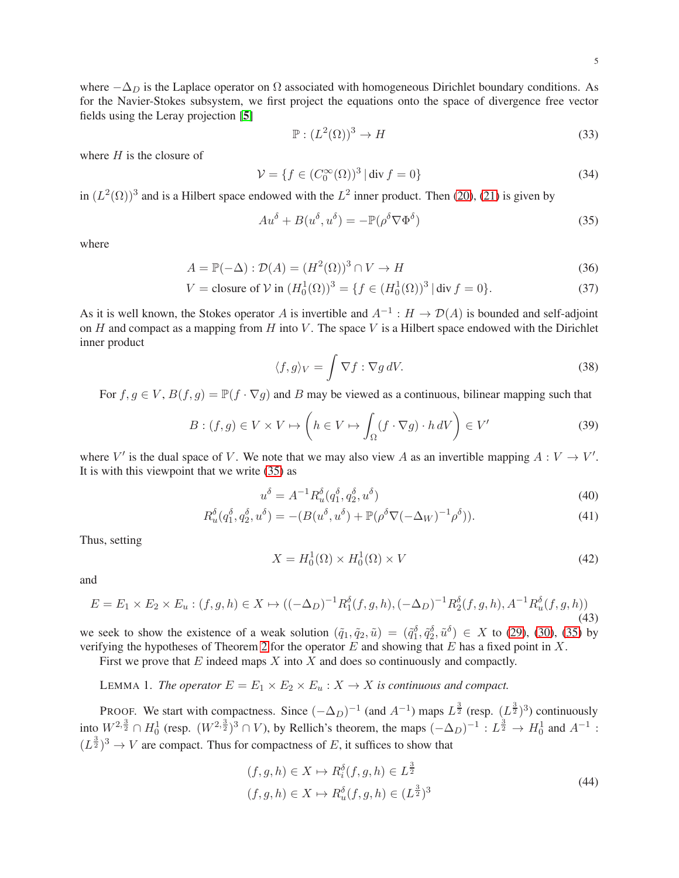where  $-\Delta_D$  is the Laplace operator on  $\Omega$  associated with homogeneous Dirichlet boundary conditions. As for the Navier-Stokes subsystem, we first project the equations onto the space of divergence free vector fields using the Leray projection [[5](#page-29-25)]

$$
\mathbb{P}: (L^2(\Omega))^3 \to H \tag{33}
$$

where  $H$  is the closure of

$$
\mathcal{V} = \{ f \in (C_0^{\infty}(\Omega))^3 \mid \text{div } f = 0 \}
$$
\n
$$
(34)
$$

in  $(L^2(\Omega))^3$  and is a Hilbert space endowed with the  $L^2$  inner product. Then [\(20\)](#page-3-6), [\(21\)](#page-3-7) is given by

<span id="page-4-0"></span>
$$
Au^{\delta} + B(u^{\delta}, u^{\delta}) = -\mathbb{P}(\rho^{\delta}\nabla\Phi^{\delta})
$$
\n(35)

where

$$
A = \mathbb{P}(-\Delta) : \mathcal{D}(A) = (H^2(\Omega))^3 \cap V \to H
$$
\n(36)

$$
V = \text{closure of } \mathcal{V} \text{ in } (H_0^1(\Omega))^3 = \{ f \in (H_0^1(\Omega))^3 \, | \, \text{div } f = 0 \}. \tag{37}
$$

As it is well known, the Stokes operator A is invertible and  $A^{-1}: H \to \mathcal{D}(A)$  is bounded and self-adjoint on  $H$  and compact as a mapping from  $H$  into  $V$ . The space  $V$  is a Hilbert space endowed with the Dirichlet inner product

$$
\langle f, g \rangle_V = \int \nabla f : \nabla g \, dV. \tag{38}
$$

For  $f, g \in V$ ,  $B(f, g) = \mathbb{P}(f \cdot \nabla g)$  and B may be viewed as a continuous, bilinear mapping such that

$$
B: (f,g) \in V \times V \mapsto \left(h \in V \mapsto \int_{\Omega} (f \cdot \nabla g) \cdot h \, dV\right) \in V'
$$
\n(39)

where V' is the dual space of V. We note that we may also view A as an invertible mapping  $A: V \to V'$ . It is with this viewpoint that we write [\(35\)](#page-4-0) as

$$
u^{\delta} = A^{-1} R_u^{\delta}(q_1^{\delta}, q_2^{\delta}, u^{\delta})
$$
\n(40)

$$
R_u^{\delta}(q_1^{\delta}, q_2^{\delta}, u^{\delta}) = -(B(u^{\delta}, u^{\delta}) + \mathbb{P}(\rho^{\delta} \nabla (-\Delta_W)^{-1} \rho^{\delta})). \tag{41}
$$

Thus, setting

$$
X = H_0^1(\Omega) \times H_0^1(\Omega) \times V \tag{42}
$$

and

$$
E = E_1 \times E_2 \times E_u : (f, g, h) \in X \mapsto ((-\Delta_D)^{-1} R_1^{\delta}(f, g, h), (-\Delta_D)^{-1} R_2^{\delta}(f, g, h), A^{-1} R_u^{\delta}(f, g, h))
$$
\n(43)

we seek to show the existence of a weak solution  $(\tilde{q}_1, \tilde{q}_2, \tilde{u}) = (\tilde{q}_1^{\delta}, \tilde{q}_2^{\delta}, \tilde{u}^{\delta}) \in X$  to [\(29\)](#page-3-4), [\(30\)](#page-3-5), [\(35\)](#page-4-0) by verifying the hypotheses of Theorem [2](#page-3-8) for the operator  $E$  and showing that  $E$  has a fixed point in  $X$ .

First we prove that  $E$  indeed maps  $X$  into  $X$  and does so continuously and compactly.

LEMMA 1. *The operator*  $E = E_1 \times E_2 \times E_u : X \to X$  *is continuous and compact.* 

PROOF. We start with compactness. Since  $(-\Delta_D)^{-1}$  (and  $A^{-1}$ ) maps  $L^{\frac{3}{2}}$  (resp.  $(L^{\frac{3}{2}})^3$ ) continuously into  $W^{2, \frac{3}{2}} \cap H_0^1$  (resp.  $(W^{2, \frac{3}{2}})^3 \cap V$ ), by Rellich's theorem, the maps  $(-\Delta_D)^{-1} : L^{\frac{3}{2}} \to H_0^1$  and  $A^{-1}$ :  $(L^{\frac{3}{2}})^3 \to V$  are compact. Thus for compactness of E, it suffices to show that

<span id="page-4-1"></span>
$$
(f, g, h) \in X \mapsto R_i^{\delta}(f, g, h) \in L^{\frac{3}{2}}
$$
  

$$
(f, g, h) \in X \mapsto R_u^{\delta}(f, g, h) \in (L^{\frac{3}{2}})^3
$$
 (44)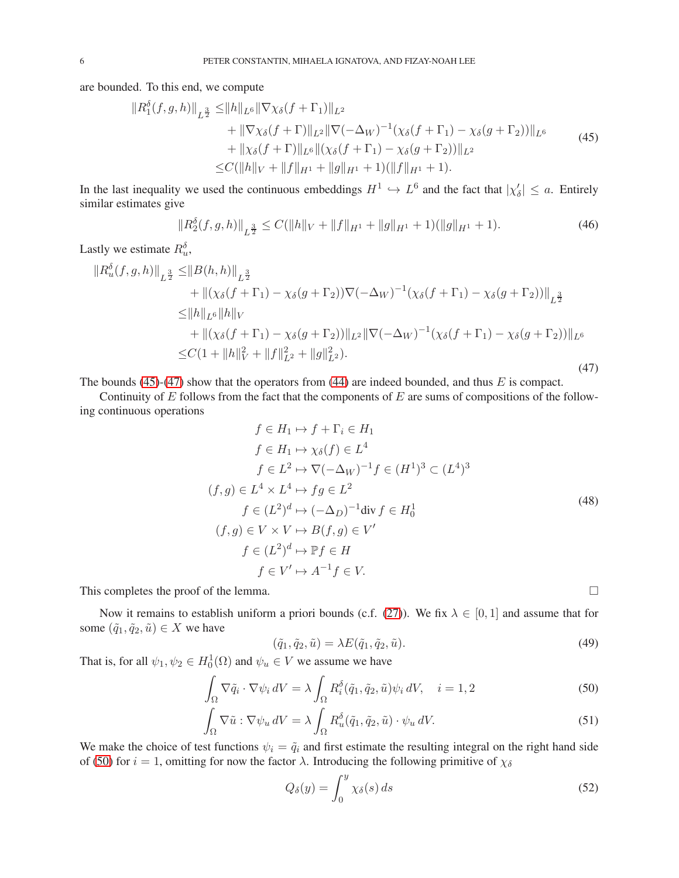are bounded. To this end, we compute

<span id="page-5-0"></span>
$$
||R_1^{\delta}(f,g,h)||_{L^{\frac{3}{2}}} \leq ||h||_{L^6} ||\nabla \chi_{\delta}(f+\Gamma_1)||_{L^2} + ||\nabla \chi_{\delta}(f+\Gamma)||_{L^2} ||\nabla(-\Delta_W)^{-1}(\chi_{\delta}(f+\Gamma_1) - \chi_{\delta}(g+\Gamma_2))||_{L^6} + ||\chi_{\delta}(f+\Gamma)||_{L^6} ||(\chi_{\delta}(f+\Gamma_1) - \chi_{\delta}(g+\Gamma_2))||_{L^2} \leq C(||h||_V + ||f||_{H^1} + ||g||_{H^1} + 1)(||f||_{H^1} + 1).
$$
\n(45)

In the last inequality we used the continuous embeddings  $H^1 \hookrightarrow L^6$  and the fact that  $|\chi'_\delta| \le a$ . Entirely similar estimates give

<span id="page-5-4"></span>
$$
||R_2^{\delta}(f,g,h)||_{L^{\frac{3}{2}}} \le C(||h||_V + ||f||_{H^1} + ||g||_{H^1} + 1)(||g||_{H^1} + 1).
$$
\n(46)

Lastly we estimate  $R_u^{\delta}$ ,

<span id="page-5-1"></span>
$$
\|R_u^{\delta}(f,g,h)\|_{L^{\frac{3}{2}}} \leq \|B(h,h)\|_{L^{\frac{3}{2}}} \n+ \|(\chi_{\delta}(f+\Gamma_1) - \chi_{\delta}(g+\Gamma_2))\nabla(-\Delta_W)^{-1}(\chi_{\delta}(f+\Gamma_1) - \chi_{\delta}(g+\Gamma_2))\|_{L^{\frac{3}{2}}} \n\leq \|h\|_{L^6} \|h\|_{V} \n+ \|(\chi_{\delta}(f+\Gamma_1) - \chi_{\delta}(g+\Gamma_2))\|_{L^2} \|\nabla(-\Delta_W)^{-1}(\chi_{\delta}(f+\Gamma_1) - \chi_{\delta}(g+\Gamma_2))\|_{L^6} \n\leq C(1 + \|h\|_{V}^2 + \|f\|_{L^2}^2 + \|g\|_{L^2}^2).
$$
\n(47)

The bounds  $(45)-(47)$  $(45)-(47)$  show that the operators from  $(44)$  are indeed bounded, and thus E is compact.

Continuity of  $E$  follows from the fact that the components of  $E$  are sums of compositions of the following continuous operations

$$
f \in H_1 \mapsto f + \Gamma_i \in H_1
$$
  
\n
$$
f \in H_1 \mapsto \chi_{\delta}(f) \in L^4
$$
  
\n
$$
f \in L^2 \mapsto \nabla(-\Delta_W)^{-1} f \in (H^1)^3 \subset (L^4)^3
$$
  
\n
$$
(f,g) \in L^4 \times L^4 \mapsto fg \in L^2
$$
  
\n
$$
f \in (L^2)^d \mapsto (-\Delta_D)^{-1} \text{div } f \in H_0^1
$$
  
\n
$$
(f,g) \in V \times V \mapsto B(f,g) \in V'
$$
  
\n
$$
f \in (L^2)^d \mapsto \mathbb{P}f \in H
$$
  
\n
$$
f \in V' \mapsto A^{-1}f \in V.
$$
  
\n(48)

This completes the proof of the lemma.  $\Box$ 

Now it remains to establish uniform a priori bounds (c.f. [\(27\)](#page-3-8)). We fix  $\lambda \in [0,1]$  and assume that for some  $(\tilde{q}_1, \tilde{q}_2, \tilde{u}) \in X$  we have

$$
(\tilde{q}_1, \tilde{q}_2, \tilde{u}) = \lambda E(\tilde{q}_1, \tilde{q}_2, \tilde{u}).
$$
\n<sup>(49)</sup>

That is, for all  $\psi_1, \psi_2 \in H_0^1(\Omega)$  and  $\psi_u \in V$  we assume we have

$$
\int_{\Omega} \nabla \tilde{q}_i \cdot \nabla \psi_i \, dV = \lambda \int_{\Omega} R_i^{\delta}(\tilde{q}_1, \tilde{q}_2, \tilde{u}) \psi_i \, dV, \quad i = 1, 2 \tag{50}
$$

$$
\int_{\Omega} \nabla \tilde{u} : \nabla \psi_u \, dV = \lambda \int_{\Omega} R_u^{\delta}(\tilde{q}_1, \tilde{q}_2, \tilde{u}) \cdot \psi_u \, dV. \tag{51}
$$

We make the choice of test functions  $\psi_i = \tilde{q}_i$  and first estimate the resulting integral on the right hand side of [\(50\)](#page-5-2) for  $i = 1$ , omitting for now the factor  $\lambda$ . Introducing the following primitive of  $\chi_{\delta}$ 

<span id="page-5-3"></span><span id="page-5-2"></span>
$$
Q_{\delta}(y) = \int_0^y \chi_{\delta}(s) \, ds \tag{52}
$$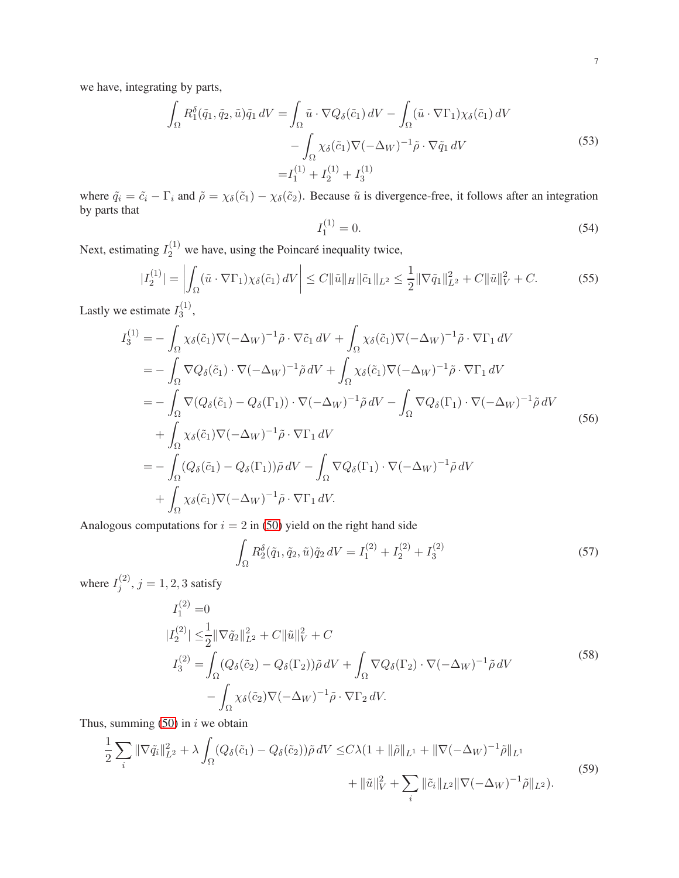we have, integrating by parts,

$$
\int_{\Omega} R_1^{\delta}(\tilde{q}_1, \tilde{q}_2, \tilde{u}) \tilde{q}_1 dV = \int_{\Omega} \tilde{u} \cdot \nabla Q_{\delta}(\tilde{c}_1) dV - \int_{\Omega} (\tilde{u} \cdot \nabla \Gamma_1) \chi_{\delta}(\tilde{c}_1) dV \n- \int_{\Omega} \chi_{\delta}(\tilde{c}_1) \nabla (-\Delta_W)^{-1} \tilde{\rho} \cdot \nabla \tilde{q}_1 dV \n= I_1^{(1)} + I_2^{(1)} + I_3^{(1)}
$$
\n(53)

where  $\tilde{q}_i = \tilde{c}_i - \Gamma_i$  and  $\tilde{\rho} = \chi_{\delta}(\tilde{c}_1) - \chi_{\delta}(\tilde{c}_2)$ . Because  $\tilde{u}$  is divergence-free, it follows after an integration by parts that

$$
I_1^{(1)} = 0.\t\t(54)
$$

Next, estimating  $I_2^{(1)}$  we have, using the Poincaré inequality twice,

$$
|I_2^{(1)}| = \left| \int_{\Omega} (\tilde{u} \cdot \nabla \Gamma_1) \chi_{\delta}(\tilde{c}_1) dV \right| \le C \|\tilde{u}\|_H \|\tilde{c}_1\|_{L^2} \le \frac{1}{2} \|\nabla \tilde{q}_1\|_{L^2}^2 + C \|\tilde{u}\|_V^2 + C. \tag{55}
$$

Lastly we estimate  $I_3^{(1)}$  $\frac{1}{3}$ ,

$$
I_3^{(1)} = -\int_{\Omega} \chi_{\delta}(\tilde{c}_1) \nabla (-\Delta_W)^{-1} \tilde{\rho} \cdot \nabla \tilde{c}_1 dV + \int_{\Omega} \chi_{\delta}(\tilde{c}_1) \nabla (-\Delta_W)^{-1} \tilde{\rho} \cdot \nabla \Gamma_1 dV
$$
  
\n
$$
= -\int_{\Omega} \nabla Q_{\delta}(\tilde{c}_1) \cdot \nabla (-\Delta_W)^{-1} \tilde{\rho} dV + \int_{\Omega} \chi_{\delta}(\tilde{c}_1) \nabla (-\Delta_W)^{-1} \tilde{\rho} \cdot \nabla \Gamma_1 dV
$$
  
\n
$$
= -\int_{\Omega} \nabla (Q_{\delta}(\tilde{c}_1) - Q_{\delta}(\Gamma_1)) \cdot \nabla (-\Delta_W)^{-1} \tilde{\rho} dV - \int_{\Omega} \nabla Q_{\delta}(\Gamma_1) \cdot \nabla (-\Delta_W)^{-1} \tilde{\rho} dV
$$
  
\n
$$
+ \int_{\Omega} \chi_{\delta}(\tilde{c}_1) \nabla (-\Delta_W)^{-1} \tilde{\rho} \cdot \nabla \Gamma_1 dV
$$
  
\n
$$
= -\int_{\Omega} (Q_{\delta}(\tilde{c}_1) - Q_{\delta}(\Gamma_1)) \tilde{\rho} dV - \int_{\Omega} \nabla Q_{\delta}(\Gamma_1) \cdot \nabla (-\Delta_W)^{-1} \tilde{\rho} dV
$$
  
\n
$$
+ \int_{\Omega} \chi_{\delta}(\tilde{c}_1) \nabla (-\Delta_W)^{-1} \tilde{\rho} \cdot \nabla \Gamma_1 dV.
$$
 (56)

Analogous computations for  $i = 2$  in [\(50\)](#page-5-2) yield on the right hand side

$$
\int_{\Omega} R_2^{\delta}(\tilde{q}_1, \tilde{q}_2, \tilde{u}) \tilde{q}_2 dV = I_1^{(2)} + I_2^{(2)} + I_3^{(2)}
$$
\n(57)

where  $I_i^{(2)}$  $j^{(2)}$ ,  $j = 1, 2, 3$  satisfy

$$
I_1^{(2)} = 0
$$
  
\n
$$
|I_2^{(2)}| \le \frac{1}{2} ||\nabla \tilde{q}_2||_{L^2}^2 + C ||\tilde{u}||_V^2 + C
$$
  
\n
$$
I_3^{(2)} = \int_{\Omega} (Q_\delta(\tilde{c}_2) - Q_\delta(\Gamma_2)) \tilde{\rho} dV + \int_{\Omega} \nabla Q_\delta(\Gamma_2) \cdot \nabla (-\Delta_W)^{-1} \tilde{\rho} dV
$$
  
\n
$$
- \int_{\Omega} \chi_\delta(\tilde{c}_2) \nabla (-\Delta_W)^{-1} \tilde{\rho} \cdot \nabla \Gamma_2 dV.
$$
\n(58)

Thus, summing  $(50)$  in *i* we obtain

<span id="page-6-0"></span>
$$
\frac{1}{2} \sum_{i} \|\nabla \tilde{q}_{i}\|_{L^{2}}^{2} + \lambda \int_{\Omega} (Q_{\delta}(\tilde{c}_{1}) - Q_{\delta}(\tilde{c}_{2})) \tilde{\rho} \, dV \leq C\lambda (1 + \|\tilde{\rho}\|_{L^{1}} + \|\nabla(-\Delta_{W})^{-1}\tilde{\rho}\|_{L^{1}} + \|\tilde{u}\|_{V}^{2} + \sum_{i} \|\tilde{c}_{i}\|_{L^{2}} \|\nabla(-\Delta_{W})^{-1}\tilde{\rho}\|_{L^{2}}).
$$
\n(59)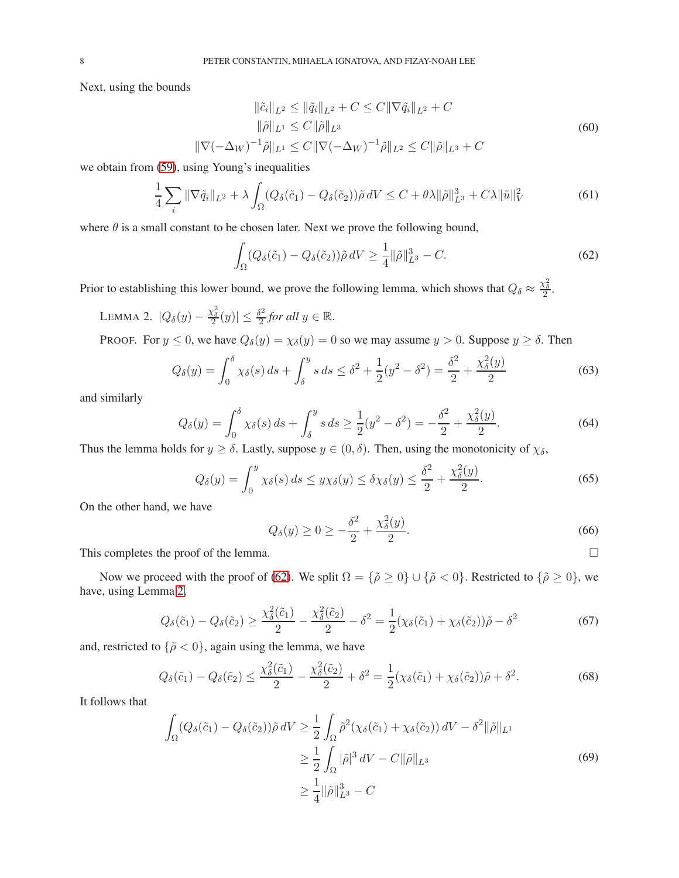Next, using the bounds

$$
\|\tilde{c}_{i}\|_{L^{2}} \leq \|\tilde{q}_{i}\|_{L^{2}} + C \leq C \|\nabla \tilde{q}_{i}\|_{L^{2}} + C
$$
  
\n
$$
\|\tilde{\rho}\|_{L^{1}} \leq C \|\tilde{\rho}\|_{L^{3}}
$$
  
\n
$$
\|\nabla(-\Delta_{W})^{-1}\tilde{\rho}\|_{L^{1}} \leq C \|\nabla(-\Delta_{W})^{-1}\tilde{\rho}\|_{L^{2}} \leq C \|\tilde{\rho}\|_{L^{3}} + C
$$
\n(60)

we obtain from [\(59\)](#page-6-0), using Young's inequalities

<span id="page-7-2"></span>
$$
\frac{1}{4}\sum_{i} \|\nabla \tilde{q}_{i}\|_{L^{2}} + \lambda \int_{\Omega} (Q_{\delta}(\tilde{c}_{1}) - Q_{\delta}(\tilde{c}_{2}))\tilde{\rho} \,dV \leq C + \theta\lambda \|\tilde{\rho}\|_{L^{3}}^{3} + C\lambda \|\tilde{u}\|_{V}^{2}
$$
\n
$$
\tag{61}
$$

where  $\theta$  is a small constant to be chosen later. Next we prove the following bound,

<span id="page-7-0"></span>
$$
\int_{\Omega} (Q_{\delta}(\tilde{c}_1) - Q_{\delta}(\tilde{c}_2)) \tilde{\rho} dV \ge \frac{1}{4} ||\tilde{\rho}||_{L^3}^3 - C.
$$
\n(62)

Prior to establishing this lower bound, we prove the following lemma, which shows that  $Q_\delta \approx \frac{\chi_\delta^2}{2}$ .

<span id="page-7-1"></span>LEMMA 2.  $|Q_\delta(y) - \frac{\chi_\delta^2}{2}(y)| \leq \frac{\delta^2}{2}$  $\frac{\delta^2}{2}$  for all  $y \in \mathbb{R}$ .

PROOF. For  $y \le 0$ , we have  $Q_{\delta}(y) = \chi_{\delta}(y) = 0$  so we may assume  $y > 0$ . Suppose  $y \ge \delta$ . Then

$$
Q_{\delta}(y) = \int_0^{\delta} \chi_{\delta}(s) \, ds + \int_{\delta}^y s \, ds \le \delta^2 + \frac{1}{2}(y^2 - \delta^2) = \frac{\delta^2}{2} + \frac{\chi_{\delta}^2(y)}{2} \tag{63}
$$

and similarly

$$
Q_{\delta}(y) = \int_0^{\delta} \chi_{\delta}(s) \, ds + \int_{\delta}^y s \, ds \ge \frac{1}{2} (y^2 - \delta^2) = -\frac{\delta^2}{2} + \frac{\chi_{\delta}^2(y)}{2}.
$$
\n(64)

Thus the lemma holds for  $y \ge \delta$ . Lastly, suppose  $y \in (0, \delta)$ . Then, using the monotonicity of  $\chi_{\delta}$ ,

$$
Q_{\delta}(y) = \int_0^y \chi_{\delta}(s) ds \le y \chi_{\delta}(y) \le \delta \chi_{\delta}(y) \le \frac{\delta^2}{2} + \frac{\chi_{\delta}^2(y)}{2}.
$$
 (65)

On the other hand, we have

$$
Q_{\delta}(y) \ge 0 \ge -\frac{\delta^2}{2} + \frac{\chi_{\delta}^2(y)}{2}.\tag{66}
$$

This completes the proof of the lemma.  $\Box$ 

Now we proceed with the proof of [\(62\)](#page-7-0). We split  $\Omega = {\tilde{\rho} \ge 0} \cup {\tilde{\rho} < 0}$ . Restricted to  ${\tilde{\rho} \ge 0}$ , we have, using Lemma [2,](#page-7-1)

$$
Q_{\delta}(\tilde{c}_1) - Q_{\delta}(\tilde{c}_2) \ge \frac{\chi_{\delta}^2(\tilde{c}_1)}{2} - \frac{\chi_{\delta}^2(\tilde{c}_2)}{2} - \delta^2 = \frac{1}{2}(\chi_{\delta}(\tilde{c}_1) + \chi_{\delta}(\tilde{c}_2))\tilde{\rho} - \delta^2
$$
\n(67)

and, restricted to  $\{\tilde{\rho} < 0\}$ , again using the lemma, we have

$$
Q_{\delta}(\tilde{c}_1) - Q_{\delta}(\tilde{c}_2) \le \frac{\chi_{\delta}^2(\tilde{c}_1)}{2} - \frac{\chi_{\delta}^2(\tilde{c}_2)}{2} + \delta^2 = \frac{1}{2}(\chi_{\delta}(\tilde{c}_1) + \chi_{\delta}(\tilde{c}_2))\tilde{\rho} + \delta^2.
$$
 (68)

It follows that

$$
\int_{\Omega} (Q_{\delta}(\tilde{c}_1) - Q_{\delta}(\tilde{c}_2)) \tilde{\rho} dV \ge \frac{1}{2} \int_{\Omega} \tilde{\rho}^2 (\chi_{\delta}(\tilde{c}_1) + \chi_{\delta}(\tilde{c}_2)) dV - \delta^2 ||\tilde{\rho}||_{L^1}
$$
  

$$
\ge \frac{1}{2} \int_{\Omega} |\tilde{\rho}|^3 dV - C ||\tilde{\rho}||_{L^3}
$$
  

$$
\ge \frac{1}{4} ||\tilde{\rho}||_{L^3}^3 - C
$$
 (69)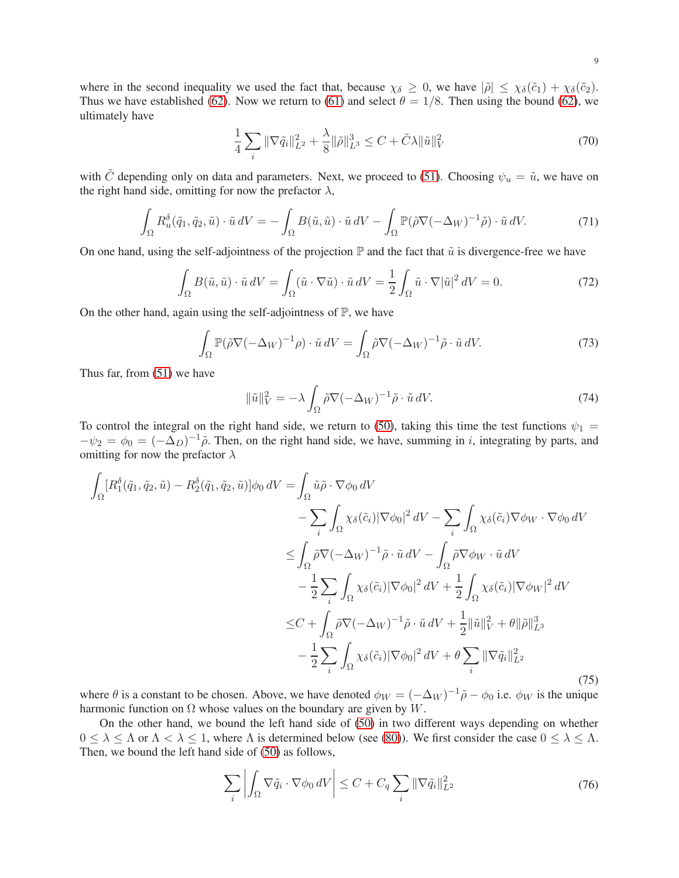where in the second inequality we used the fact that, because  $\chi_{\delta} \geq 0$ , we have  $|\tilde{\rho}| \leq \chi_{\delta}(\tilde{c}_1) + \chi_{\delta}(\tilde{c}_2)$ . Thus we have established [\(62\)](#page-7-0). Now we return to [\(61\)](#page-7-2) and select  $\theta = 1/8$ . Then using the bound [\(62\)](#page-7-0), we ultimately have

<span id="page-8-3"></span>
$$
\frac{1}{4} \sum_{i} \|\nabla \tilde{q}_{i}\|_{L^{2}}^{2} + \frac{\lambda}{8} \|\tilde{\rho}\|_{L^{3}}^{3} \leq C + \tilde{C}\lambda \|\tilde{u}\|_{V}^{2}
$$
\n(70)

with  $\tilde{C}$  depending only on data and parameters. Next, we proceed to [\(51\)](#page-5-3). Choosing  $\psi_u = \tilde{u}$ , we have on the right hand side, omitting for now the prefactor  $\lambda$ ,

$$
\int_{\Omega} R_u^{\delta}(\tilde{q}_1, \tilde{q}_2, \tilde{u}) \cdot \tilde{u} \, dV = -\int_{\Omega} B(\tilde{u}, \tilde{u}) \cdot \tilde{u} \, dV - \int_{\Omega} \mathbb{P}(\tilde{\rho} \nabla (-\Delta_W)^{-1} \tilde{\rho}) \cdot \tilde{u} \, dV. \tag{71}
$$

On one hand, using the self-adjointness of the projection  $\mathbb P$  and the fact that  $\tilde u$  is divergence-free we have

$$
\int_{\Omega} B(\tilde{u}, \tilde{u}) \cdot \tilde{u} \, dV = \int_{\Omega} (\tilde{u} \cdot \nabla \tilde{u}) \cdot \tilde{u} \, dV = \frac{1}{2} \int_{\Omega} \tilde{u} \cdot \nabla |\tilde{u}|^2 \, dV = 0. \tag{72}
$$

On the other hand, again using the self-adjointness of  $\mathbb{P}$ , we have

$$
\int_{\Omega} \mathbb{P}(\tilde{\rho} \nabla (-\Delta_W)^{-1} \rho) \cdot \tilde{u} \, dV = \int_{\Omega} \tilde{\rho} \nabla (-\Delta_W)^{-1} \tilde{\rho} \cdot \tilde{u} \, dV. \tag{73}
$$

Thus far, from [\(51\)](#page-5-3) we have

<span id="page-8-2"></span>
$$
\|\tilde{u}\|_{V}^{2} = -\lambda \int_{\Omega} \tilde{\rho} \nabla (-\Delta_{W})^{-1} \tilde{\rho} \cdot \tilde{u} \, dV. \tag{74}
$$

To control the integral on the right hand side, we return to [\(50\)](#page-5-2), taking this time the test functions  $\psi_1$  =  $-\psi_2 = \phi_0 = (-\Delta_D)^{-1} \tilde{\rho}$ . Then, on the right hand side, we have, summing in i, integrating by parts, and omitting for now the prefactor  $\lambda$ 

<span id="page-8-0"></span>
$$
\int_{\Omega} [R_1^{\delta}(\tilde{q}_1, \tilde{q}_2, \tilde{u}) - R_2^{\delta}(\tilde{q}_1, \tilde{q}_2, \tilde{u})] \phi_0 dV = \int_{\Omega} \tilde{u} \tilde{\rho} \cdot \nabla \phi_0 dV \n- \sum_{i} \int_{\Omega} \chi_{\delta}(\tilde{c}_i) |\nabla \phi_0|^2 dV - \sum_{i} \int_{\Omega} \chi_{\delta}(\tilde{c}_i) \nabla \phi_W \cdot \nabla \phi_0 dV \n\leq \int_{\Omega} \tilde{\rho} \nabla (-\Delta_W)^{-1} \tilde{\rho} \cdot \tilde{u} dV - \int_{\Omega} \tilde{\rho} \nabla \phi_W \cdot \tilde{u} dV \n- \frac{1}{2} \sum_{i} \int_{\Omega} \chi_{\delta}(\tilde{c}_i) |\nabla \phi_0|^2 dV + \frac{1}{2} \int_{\Omega} \chi_{\delta}(\tilde{c}_i) |\nabla \phi_W|^2 dV \n\leq C + \int_{\Omega} \tilde{\rho} \nabla (-\Delta_W)^{-1} \tilde{\rho} \cdot \tilde{u} dV + \frac{1}{2} ||\tilde{u}||_V^2 + \theta ||\tilde{\rho}||_{L^3}^3 \n- \frac{1}{2} \sum_{i} \int_{\Omega} \chi_{\delta}(\tilde{c}_i) |\nabla \phi_0|^2 dV + \theta \sum_{i} ||\nabla \tilde{q}_i||_{L^2}^2
$$
\n(75)

where  $\theta$  is a constant to be chosen. Above, we have denoted  $\phi_W = (-\Delta_W)^{-1} \tilde{\rho} - \phi_0$  i.e.  $\phi_W$  is the unique harmonic function on  $\Omega$  whose values on the boundary are given by W.

On the other hand, we bound the left hand side of [\(50\)](#page-5-2) in two different ways depending on whether  $0 \leq \lambda \leq \Lambda$  or  $\Lambda < \lambda \leq 1$ , where  $\Lambda$  is determined below (see [\(80\)](#page-9-0)). We first consider the case  $0 \leq \lambda \leq \Lambda$ . Then, we bound the left hand side of [\(50\)](#page-5-2) as follows,

<span id="page-8-1"></span>
$$
\sum_{i} \left| \int_{\Omega} \nabla \tilde{q}_i \cdot \nabla \phi_0 \, dV \right| \le C + C_q \sum_{i} \|\nabla \tilde{q}_i\|_{L^2}^2 \tag{76}
$$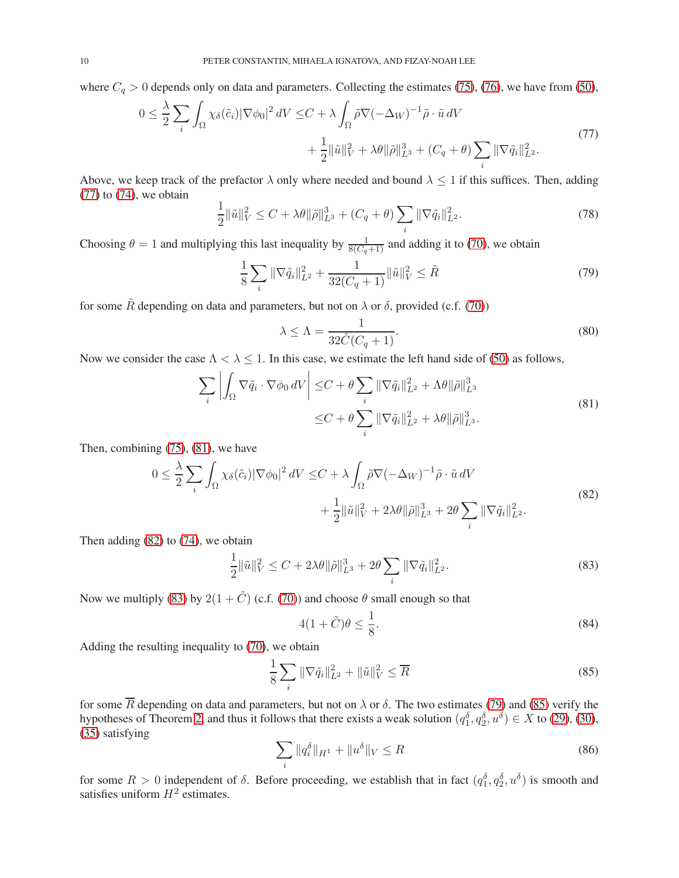where  $C_q > 0$  depends only on data and parameters. Collecting the estimates [\(75\)](#page-8-0), [\(76\)](#page-8-1), we have from [\(50\)](#page-5-2),

<span id="page-9-1"></span>
$$
0 \leq \frac{\lambda}{2} \sum_{i} \int_{\Omega} \chi_{\delta}(\tilde{c}_{i}) |\nabla \phi_{0}|^{2} dV \leq C + \lambda \int_{\Omega} \tilde{\rho} \nabla (-\Delta_{W})^{-1} \tilde{\rho} \cdot \tilde{u} dV + \frac{1}{2} ||\tilde{u}||_{V}^{2} + \lambda \theta ||\tilde{\rho}||_{L^{3}}^{3} + (C_{q} + \theta) \sum_{i} ||\nabla \tilde{q}_{i}||_{L^{2}}^{2}.
$$
\n
$$
(77)
$$

Above, we keep track of the prefactor  $\lambda$  only where needed and bound  $\lambda \leq 1$  if this suffices. Then, adding  $(77)$  to  $(74)$ , we obtain

$$
\frac{1}{2} \|\tilde{u}\|_{V}^{2} \leq C + \lambda \theta \|\tilde{\rho}\|_{L^{3}}^{3} + (C_{q} + \theta) \sum_{i} \|\nabla \tilde{q}_{i}\|_{L^{2}}^{2}.
$$
\n(78)

Choosing  $\theta = 1$  and multiplying this last inequality by  $\frac{1}{8(C_q+1)}$  and adding it to [\(70\)](#page-8-3), we obtain

<span id="page-9-5"></span>
$$
\frac{1}{8} \sum_{i} \|\nabla \tilde{q}_{i}\|_{L^{2}}^{2} + \frac{1}{32(C_{q}+1)} \|\tilde{u}\|_{V}^{2} \leq \tilde{R}
$$
\n(79)

for some  $\tilde{R}$  depending on data and parameters, but not on  $\lambda$  or  $\delta$ , provided (c.f. [\(70\)](#page-8-3))

<span id="page-9-0"></span>
$$
\lambda \le \Lambda = \frac{1}{32\tilde{C}(C_q + 1)}.\tag{80}
$$

Now we consider the case  $\Lambda < \lambda \leq 1$ . In this case, we estimate the left hand side of [\(50\)](#page-5-2) as follows,

<span id="page-9-2"></span>
$$
\sum_{i} \left| \int_{\Omega} \nabla \tilde{q}_{i} \cdot \nabla \phi_{0} \, dV \right| \leq C + \theta \sum_{i} \|\nabla \tilde{q}_{i}\|_{L^{2}}^{2} + \Lambda \theta \|\tilde{\rho}\|_{L^{3}}^{3}
$$
\n
$$
\leq C + \theta \sum_{i} \|\nabla \tilde{q}_{i}\|_{L^{2}}^{2} + \lambda \theta \|\tilde{\rho}\|_{L^{3}}^{3}.
$$
\n(81)

Then, combining [\(75\)](#page-8-0), [\(81\)](#page-9-2), we have

<span id="page-9-3"></span>
$$
0 \leq \frac{\lambda}{2} \sum_{i} \int_{\Omega} \chi_{\delta}(\tilde{c}_{i}) |\nabla \phi_{0}|^{2} dV \leq C + \lambda \int_{\Omega} \tilde{\rho} \nabla (-\Delta_{W})^{-1} \tilde{\rho} \cdot \tilde{u} dV + \frac{1}{2} \|\tilde{u}\|_{V}^{2} + 2\lambda \theta \|\tilde{\rho}\|_{L^{3}}^{3} + 2\theta \sum_{i} \|\nabla \tilde{q}_{i}\|_{L^{2}}^{2}.
$$
\n
$$
(82)
$$

Then adding [\(82\)](#page-9-3) to [\(74\)](#page-8-2), we obtain

<span id="page-9-4"></span>
$$
\frac{1}{2} \|\tilde{u}\|_{V}^{2} \le C + 2\lambda \theta \|\tilde{\rho}\|_{L^{3}}^{3} + 2\theta \sum_{i} \|\nabla \tilde{q}_{i}\|_{L^{2}}^{2}.
$$
\n(83)

Now we multiply [\(83\)](#page-9-4) by  $2(1 + \tilde{C})$  (c.f. [\(70\)](#page-8-3)) and choose  $\theta$  small enough so that

$$
4(1+\tilde{C})\theta \le \frac{1}{8}.\tag{84}
$$

Adding the resulting inequality to [\(70\)](#page-8-3), we obtain

<span id="page-9-6"></span>
$$
\frac{1}{8} \sum_{i} \|\nabla \tilde{q}_i\|_{L^2}^2 + \|\tilde{u}\|_{V}^2 \le \overline{R}
$$
 (85)

for some  $\overline{R}$  depending on data and parameters, but not on  $\lambda$  or  $\delta$ . The two estimates [\(79\)](#page-9-5) and [\(85\)](#page-9-6) verify the hypotheses of Theorem [2,](#page-3-8) and thus it follows that there exists a weak solution  $(q_1^{\delta}, q_2^{\delta}, u^{\delta}) \in X$  to [\(29\)](#page-3-4), [\(30\)](#page-3-5), [\(35\)](#page-4-0) satisfying

<span id="page-9-7"></span>
$$
\sum_{i} \|q_i^{\delta}\|_{H^1} + \|u^{\delta}\|_{V} \le R
$$
\n(86)

for some  $R > 0$  independent of  $\delta$ . Before proceeding, we establish that in fact  $(q_1^{\delta}, q_2^{\delta}, u^{\delta})$  is smooth and satisfies uniform  $H^2$  estimates.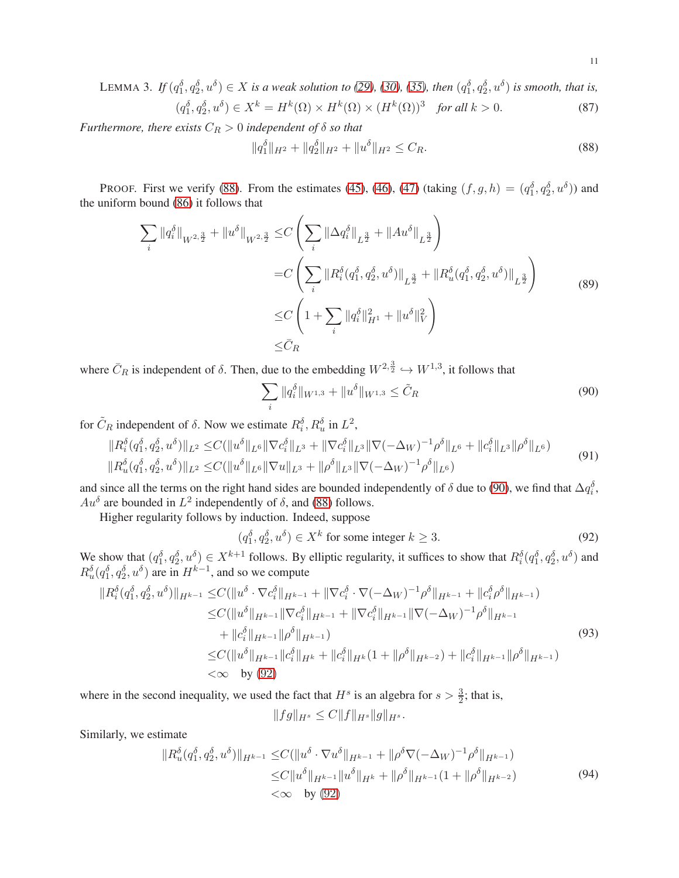LEMMA 3. If  $(q_1^{\delta}, q_2^{\delta}, u^{\delta}) \in X$  is a weak solution to [\(29\)](#page-3-4), [\(30\)](#page-3-5), [\(35\)](#page-4-0), then  $(q_1^{\delta}, q_2^{\delta}, u^{\delta})$  is smooth, that is,  $(q_1^{\delta}, q_2^{\delta}, u^{\delta}) \in X^k = H^k(\Omega) \times H^k(\Omega) \times (H^k(\Omega))^3$  *for all*  $k > 0$ . (87)

*Furthermore, there exists*  $C_R > 0$  *independent of*  $\delta$  *so that* 

<span id="page-10-0"></span>
$$
||q_1^{\delta}||_{H^2} + ||q_2^{\delta}||_{H^2} + ||u^{\delta}||_{H^2} \le C_R. \tag{88}
$$

PROOF. First we verify [\(88\)](#page-10-0). From the estimates [\(45\)](#page-5-0), [\(46\)](#page-5-4), [\(47\)](#page-5-1) (taking  $(f, g, h) = (q_1^{\delta}, q_2^{\delta}, u^{\delta})$ ) and the uniform bound [\(86\)](#page-9-7) it follows that

$$
\sum_{i} ||q_{i}^{\delta}||_{W^{2,\frac{3}{2}}} + ||u^{\delta}||_{W^{2,\frac{3}{2}}} \leq C \left( \sum_{i} ||\Delta q_{i}^{\delta}||_{L^{\frac{3}{2}}} + ||Au^{\delta}||_{L^{\frac{3}{2}}} \right)
$$
  

$$
= C \left( \sum_{i} ||R_{i}^{\delta}(q_{1}^{\delta}, q_{2}^{\delta}, u^{\delta})||_{L^{\frac{3}{2}}} + ||R_{u}^{\delta}(q_{1}^{\delta}, q_{2}^{\delta}, u^{\delta})||_{L^{\frac{3}{2}}} \right)
$$
  

$$
\leq C \left( 1 + \sum_{i} ||q_{i}^{\delta}||_{H^{1}}^{2} + ||u^{\delta}||_{V}^{2} \right)
$$
  

$$
\leq \bar{C}_{R}
$$
 (89)

where  $\bar{C}_R$  is independent of  $\delta$ . Then, due to the embedding  $W^{2, \frac{3}{2}} \hookrightarrow W^{1,3}$ , it follows that

<span id="page-10-1"></span>
$$
\sum_{i} \|q_i^{\delta}\|_{W^{1,3}} + \|u^{\delta}\|_{W^{1,3}} \le \tilde{C}_R
$$
\n(90)

for  $\tilde{C}_R$  independent of  $\delta$ . Now we estimate  $R_i^{\delta}, R_u^{\delta}$  in  $L^2$ ,

$$
\|R_i^{\delta}(q_1^{\delta}, q_2^{\delta}, u^{\delta})\|_{L^2} \leq C(\|u^{\delta}\|_{L^6} \|\nabla c_i^{\delta}\|_{L^3} + \|\nabla c_i^{\delta}\|_{L^3} \|\nabla (-\Delta_W)^{-1} \rho^{\delta}\|_{L^6} + \|c_i^{\delta}\|_{L^3} \|\rho^{\delta}\|_{L^6})
$$
  

$$
\|R_u^{\delta}(q_1^{\delta}, q_2^{\delta}, u^{\delta})\|_{L^2} \leq C(\|u^{\delta}\|_{L^6} \|\nabla u\|_{L^3} + \|\rho^{\delta}\|_{L^3} \|\nabla (-\Delta_W)^{-1} \rho^{\delta}\|_{L^6})
$$
 (91)

and since all the terms on the right hand sides are bounded independently of  $\delta$  due to [\(90\)](#page-10-1), we find that  $\Delta q_i^{\delta}$ ,  $Au^{\delta}$  are bounded in  $L^2$  independently of  $\delta$ , and [\(88\)](#page-10-0) follows.

Higher regularity follows by induction. Indeed, suppose

<span id="page-10-2"></span>
$$
(q_1^{\delta}, q_2^{\delta}, u^{\delta}) \in X^k \text{ for some integer } k \ge 3. \tag{92}
$$

We show that  $(q_1^{\delta}, q_2^{\delta}, u^{\delta}) \in X^{k+1}$  follows. By elliptic regularity, it suffices to show that  $R_i^{\delta}(q_1^{\delta}, q_2^{\delta}, u^{\delta})$  and  $R_u^{\delta}(q_1^{\delta}, q_2^{\delta}, u^{\delta})$  are in  $H^{k-1}$ , and so we compute

$$
\|R_i^{\delta}(q_1^{\delta}, q_2^{\delta}, u^{\delta})\|_{H^{k-1}} \leq C(\|u^{\delta} \cdot \nabla c_i^{\delta}\|_{H^{k-1}} + \|\nabla c_i^{\delta} \cdot \nabla (-\Delta_W)^{-1} \rho^{\delta}\|_{H^{k-1}} + \|c_i^{\delta} \rho^{\delta}\|_{H^{k-1}})
$$
  
\n
$$
\leq C(\|u^{\delta}\|_{H^{k-1}} \|\nabla c_i^{\delta}\|_{H^{k-1}} + \|\nabla c_i^{\delta}\|_{H^{k-1}} \|\nabla (-\Delta_W)^{-1} \rho^{\delta}\|_{H^{k-1}}
$$
  
\n
$$
+ \|c_i^{\delta}\|_{H^{k-1}} \|\rho^{\delta}\|_{H^{k-1}})
$$
  
\n
$$
\leq C(\|u^{\delta}\|_{H^{k-1}} \|\rho^{\delta}\|_{H^{k-1}})
$$
  
\n
$$
\leq C(\|u^{\delta}\|_{H^{k-1}} \|\rho^{\delta}\|_{H^{k}} + \|c_i^{\delta}\|_{H^{k}} (1 + \|\rho^{\delta}\|_{H^{k-2}}) + \|c_i^{\delta}\|_{H^{k-1}} \|\rho^{\delta}\|_{H^{k-1}})
$$
  
\n
$$
< \infty \text{ by (92)}
$$
  
\n(93)

where in the second inequality, we used the fact that  $H<sup>s</sup>$  is an algebra for  $s > \frac{3}{2}$ ; that is,

$$
||fg||_{H^s} \leq C||f||_{H^s}||g||_{H^s}.
$$

Similarly, we estimate

$$
\|R_u^{\delta}(q_1^{\delta}, q_2^{\delta}, u^{\delta})\|_{H^{k-1}} \le C(\|u^{\delta} \cdot \nabla u^{\delta}\|_{H^{k-1}} + \|\rho^{\delta} \nabla (-\Delta_W)^{-1} \rho^{\delta}\|_{H^{k-1}})
$$
  
\n
$$
\le C \|u^{\delta}\|_{H^{k-1}} \|u^{\delta}\|_{H^{k}} + \|\rho^{\delta}\|_{H^{k-1}} (1 + \|\rho^{\delta}\|_{H^{k-2}})
$$
  
\n
$$
< \infty \quad \text{by (92)}
$$
\n(94)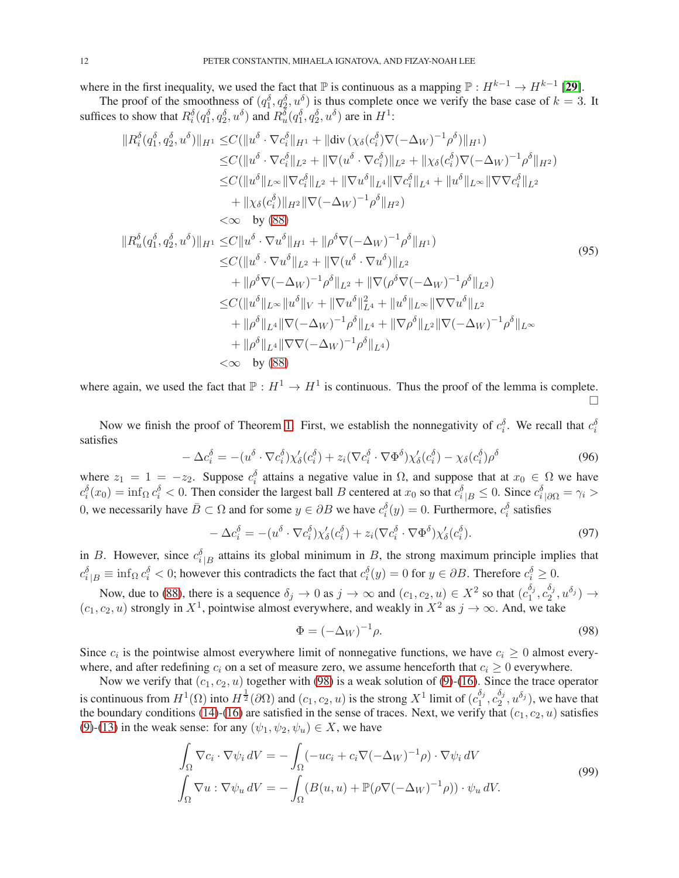where in the first inequality, we used the fact that  $\mathbb P$  is continuous as a mapping  $\mathbb P : H^{k-1} \to H^{k-1}$  [[29](#page-29-26)].

The proof of the smoothness of  $(q_1^{\delta}, q_2^{\delta}, u^{\delta})$  is thus complete once we verify the base case of  $k = 3$ . It suffices to show that  $R_i^{\delta}(q_1^{\delta}, q_2^{\delta}, u^{\delta})$  and  $R_u^{\delta}(q_1^{\delta}, q_2^{\delta}, u^{\delta})$  are in  $H^1$ :

$$
||R_{i}^{\delta}(q_{1}^{\delta}, q_{2}^{\delta}, u^{\delta})||_{H^{1}} \leq C(||u^{\delta} \cdot \nabla c_{i}^{\delta}||_{H^{1}} + ||div (\chi_{\delta}(c_{i}^{\delta})\nabla(-\Delta_{W})^{-1}\rho^{\delta})||_{H^{1}})\n\leq C(||u^{\delta} \cdot \nabla c_{i}^{\delta}||_{L^{2}} + ||\nabla(u^{\delta} \cdot \nabla c_{i}^{\delta})||_{L^{2}} + ||\chi_{\delta}(c_{i}^{\delta})\nabla(-\Delta_{W})^{-1}\rho^{\delta}||_{H^{2}})\n\leq C(||u^{\delta}||_{L^{\infty}}||\nabla c_{i}^{\delta}||_{L^{2}} + ||\nabla u^{\delta}||_{L^{4}}||\nabla c_{i}^{\delta}||_{L^{4}} + ||u^{\delta}||_{L^{\infty}}||\nabla\nabla c_{i}^{\delta}||_{L^{2}}\n+ ||\chi_{\delta}(c_{i}^{\delta})||_{H^{2}}||\nabla(-\Delta_{W})^{-1}\rho^{\delta}||_{H^{2}})\n $\leq \infty$  by (88)  
\n
$$
||R_{u}^{\delta}(q_{1}^{\delta}, q_{2}^{\delta}, u^{\delta})||_{H^{1}} \leq C||u^{\delta} \cdot \nabla u^{\delta}||_{H^{1}} + ||\rho^{\delta}\nabla(-\Delta_{W})^{-1}\rho^{\delta}||_{H^{1}})\n+ ||\rho^{\delta}\nabla(-\Delta_{W})^{-1}\rho^{\delta}||_{L^{2}} + ||\nabla(u^{\delta} \cdot \nabla u^{\delta})||_{L^{2}}\n+ ||\rho^{\delta}\nabla(-\Delta_{W})^{-1}\rho^{\delta}||_{L^{2}} + ||\nabla(\rho^{\delta}\nabla(-\Delta_{W})^{-1}\rho^{\delta}||_{L^{2}})\n\leq C(||u^{\delta}||_{L^{\infty}}||u^{\delta}||_{V} + ||\nabla u^{\delta}||_{L^{4}} + ||u^{\delta}||_{L^{\infty}}||\nabla\nabla u^{\delta}||_{L^{2}}\n+ ||\rho^{\delta}||_{L^{4}}||\nabla(-\Delta_{W})^{-1}\rho^{\delta}||_{L^{4}}
$$
$$

where again, we used the fact that  $\mathbb{P}: H^1 \to H^1$  is continuous. Thus the proof of the lemma is complete.  $\Box$ 

Now we finish the proof of Theorem [1.](#page-2-1) First, we establish the nonnegativity of  $c_i^{\delta}$ . We recall that  $c_i^{\delta}$ satisfies

$$
-\Delta c_i^{\delta} = -(u^{\delta} \cdot \nabla c_i^{\delta}) \chi_{\delta}'(c_i^{\delta}) + z_i (\nabla c_i^{\delta} \cdot \nabla \Phi^{\delta}) \chi_{\delta}'(c_i^{\delta}) - \chi_{\delta}(c_i^{\delta}) \rho^{\delta}
$$
(96)

where  $z_1 = 1 = -z_2$ . Suppose  $c_i^{\delta}$  attains a negative value in  $\Omega$ , and suppose that at  $x_0 \in \Omega$  we have  $c_i^{\delta}(x_0) = \inf_{\Omega} c_i^{\delta} < 0$ . Then consider the largest ball B centered at  $x_0$  so that  $c_i^{\delta}{}_{|B} \leq 0$ . Since  $c_i^{\delta}{}_{|\partial\Omega} = \gamma_i > 0$ 0, we necessarily have  $\bar{B}\subset\Omega$  and for some  $y\in\partial B$  we have  $c_i^{\delta}(y)=0$ . Furthermore,  $c_i^{\delta}$  satisfies

$$
-\Delta c_i^{\delta} = -(u^{\delta} \cdot \nabla c_i^{\delta}) \chi_{\delta}'(c_i^{\delta}) + z_i (\nabla c_i^{\delta} \cdot \nabla \Phi^{\delta}) \chi_{\delta}'(c_i^{\delta}). \tag{97}
$$

in B. However, since  $c_{i|B}^{\delta}$  attains its global minimum in B, the strong maximum principle implies that  $c_i^{\delta}{}_{|B} \equiv \inf_{\Omega} c_i^{\delta} < 0$ ; however this contradicts the fact that  $c_i^{\delta}(y) = 0$  for  $y \in \partial B$ . Therefore  $c_i^{\delta} \ge 0$ .

Now, due to [\(88\)](#page-10-0), there is a sequence  $\delta_j \to 0$  as  $j \to \infty$  and  $(c_1, c_2, u) \in X^2$  so that  $(c_1^{\delta_j})$  $\frac{\delta_j}{1}, c_2^{\delta_j}$  $\frac{\delta_j}{2}, u^{\delta_j} \rangle \rightarrow$  $(c_1, c_2, u)$  strongly in  $X^1$ , pointwise almost everywhere, and weakly in  $X^2$  as  $j \to \infty$ . And, we take

<span id="page-11-0"></span>
$$
\Phi = (-\Delta_W)^{-1} \rho. \tag{98}
$$

Since  $c_i$  is the pointwise almost everywhere limit of nonnegative functions, we have  $c_i \geq 0$  almost everywhere, and after redefining  $c_i$  on a set of measure zero, we assume henceforth that  $c_i \geq 0$  everywhere.

Now we verify that  $(c_1, c_2, u)$  together with [\(98\)](#page-11-0) is a weak solution of [\(9\)](#page-2-2)-[\(16\)](#page-2-5). Since the trace operator is continuous from  $H^1(\Omega)$  into  $H^{\frac{1}{2}}(\partial\Omega)$  and  $(c_1, c_2, u)$  is the strong  $X^1$  limit of  $(c_1^{\delta_1})$  $\frac{\delta_j}{1}, c_2^{\delta_j}$  $\frac{\delta_j}{2}$ ,  $u^{\delta_j}$ ), we have that the boundary conditions [\(14\)](#page-2-4)-[\(16\)](#page-2-5) are satisfied in the sense of traces. Next, we verify that  $(c_1, c_2, u)$  satisfies [\(9\)](#page-2-2)-[\(13\)](#page-2-3) in the weak sense: for any  $(\psi_1, \psi_2, \psi_u) \in X$ , we have

<span id="page-11-1"></span>
$$
\int_{\Omega} \nabla c_i \cdot \nabla \psi_i \, dV = -\int_{\Omega} (-uc_i + c_i \nabla (-\Delta_W)^{-1} \rho) \cdot \nabla \psi_i \, dV
$$
\n
$$
\int_{\Omega} \nabla u \cdot \nabla \psi_u \, dV = -\int_{\Omega} (B(u, u) + \mathbb{P}(\rho \nabla (-\Delta_W)^{-1} \rho)) \cdot \psi_u \, dV.
$$
\n(99)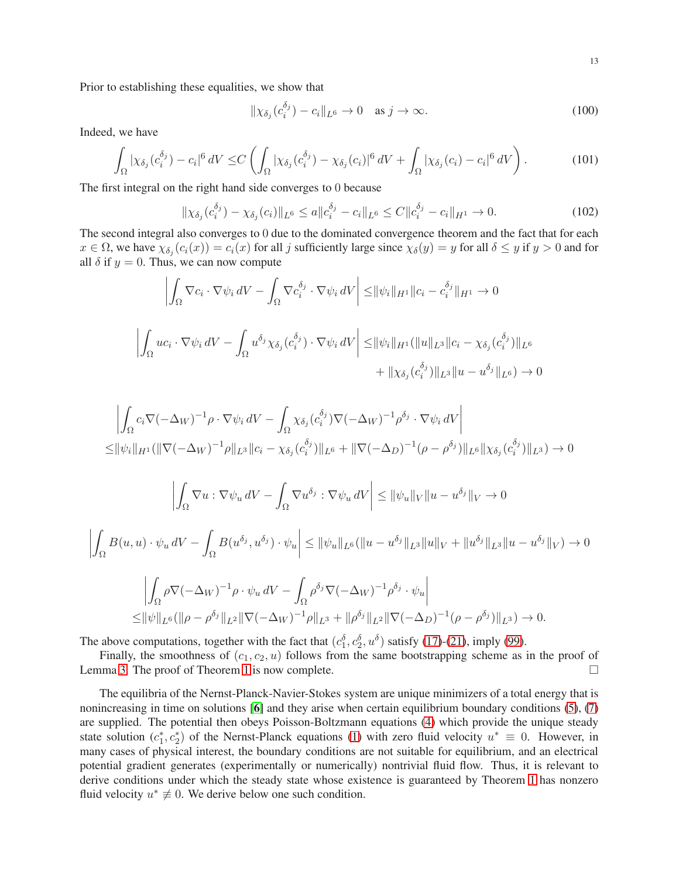Prior to establishing these equalities, we show that

$$
\|\chi_{\delta_j}(c_i^{\delta_j}) - c_i\|_{L^6} \to 0 \quad \text{as } j \to \infty.
$$
 (100)

Indeed, we have

$$
\int_{\Omega} |\chi_{\delta_j}(c_i^{\delta_j}) - c_i|^6 \, dV \leq C \left( \int_{\Omega} |\chi_{\delta_j}(c_i^{\delta_j}) - \chi_{\delta_j}(c_i)|^6 \, dV + \int_{\Omega} |\chi_{\delta_j}(c_i) - c_i|^6 \, dV \right). \tag{101}
$$

The first integral on the right hand side converges to 0 because

$$
\|\chi_{\delta_j}(c_i^{\delta_j}) - \chi_{\delta_j}(c_i)\|_{L^6} \le a \|c_i^{\delta_j} - c_i\|_{L^6} \le C \|c_i^{\delta_j} - c_i\|_{H^1} \to 0.
$$
\n(102)

The second integral also converges to 0 due to the dominated convergence theorem and the fact that for each  $x \in \Omega$ , we have  $\chi_{\delta_j}(c_i(x)) = c_i(x)$  for all j sufficiently large since  $\chi_{\delta}(y) = y$  for all  $\delta \leq y$  if  $y > 0$  and for all  $\delta$  if  $y = 0$ . Thus, we can now compute

$$
\left| \int_{\Omega} \nabla c_i \cdot \nabla \psi_i \, dV - \int_{\Omega} \nabla c_i^{\delta_j} \cdot \nabla \psi_i \, dV \right| \leq ||\psi_i||_{H^1} ||c_i - c_i^{\delta_j}||_{H^1} \to 0
$$
  

$$
\left| \int_{\Omega} u c_i \cdot \nabla \psi_i \, dV - \int_{\Omega} u^{\delta_j} \chi_{\delta_j}(c_i^{\delta_j}) \cdot \nabla \psi_i \, dV \right| \leq ||\psi_i||_{H^1} (||u||_{L^3} ||c_i - \chi_{\delta_j}(c_i^{\delta_j})||_{L^6}
$$
  

$$
+ ||\chi_{\delta_j}(c_i^{\delta_j})||_{L^3} ||u - u^{\delta_j}||_{L^6}) \to 0
$$

$$
\left| \int_{\Omega} c_i \nabla (-\Delta_W)^{-1} \rho \cdot \nabla \psi_i \, dV - \int_{\Omega} \chi_{\delta_j} (c_i^{\delta_j}) \nabla (-\Delta_W)^{-1} \rho^{\delta_j} \cdot \nabla \psi_i \, dV \right|
$$
  
\n
$$
\leq ||\psi_i||_{H^1} (||\nabla (-\Delta_W)^{-1} \rho||_{L^3} ||c_i - \chi_{\delta_j} (c_i^{\delta_j})||_{L^6} + ||\nabla (-\Delta_D)^{-1} (\rho - \rho^{\delta_j})||_{L^6} ||\chi_{\delta_j} (c_i^{\delta_j})||_{L^3}) \to 0
$$

$$
\left| \int_{\Omega} \nabla u : \nabla \psi_u \, dV - \int_{\Omega} \nabla u^{\delta_j} : \nabla \psi_u \, dV \right| \leq ||\psi_u||_V ||u - u^{\delta_j}||_V \to 0
$$

$$
\left| \int_{\Omega} B(u, u) \cdot \psi_u dV - \int_{\Omega} B(u^{\delta_j}, u^{\delta_j}) \cdot \psi_u \right| \leq ||\psi_u||_{L^6} (||u - u^{\delta_j}||_{L^3} ||u||_V + ||u^{\delta_j}||_{L^3} ||u - u^{\delta_j}||_V) \to 0
$$

$$
\left| \int_{\Omega} \rho \nabla (-\Delta_W)^{-1} \rho \cdot \psi_u dV - \int_{\Omega} \rho^{\delta_j} \nabla (-\Delta_W)^{-1} \rho^{\delta_j} \cdot \psi_u \right|
$$
  

$$
\leq ||\psi||_{L^6} (||\rho - \rho^{\delta_j}||_{L^2} ||\nabla (-\Delta_W)^{-1} \rho||_{L^3} + ||\rho^{\delta_j}||_{L^2} ||\nabla (-\Delta_D)^{-1} (\rho - \rho^{\delta_j})||_{L^3}) \to 0.
$$

The above computations, together with the fact that  $(c_1^{\delta}, c_2^{\delta}, u^{\delta})$  satisfy [\(17\)](#page-3-0)-[\(21\)](#page-3-7), imply [\(99\)](#page-11-1).

Finally, the smoothness of  $(c_1, c_2, u)$  follows from the same bootstrapping scheme as in the proof of Lemma [3.](#page-10-0) The proof of Theorem [1](#page-2-1) is now complete.

The equilibria of the Nernst-Planck-Navier-Stokes system are unique minimizers of a total energy that is nonincreasing in time on solutions [[6](#page-29-2)] and they arise when certain equilibrium boundary conditions [\(5\)](#page-1-0), [\(7\)](#page-1-1) are supplied. The potential then obeys Poisson-Boltzmann equations [\(4\)](#page-0-2) which provide the unique steady state solution  $(c_1^*, c_2^*)$  of the Nernst-Planck equations [\(1\)](#page-0-0) with zero fluid velocity  $u^* \equiv 0$ . However, in many cases of physical interest, the boundary conditions are not suitable for equilibrium, and an electrical potential gradient generates (experimentally or numerically) nontrivial fluid flow. Thus, it is relevant to derive conditions under which the steady state whose existence is guaranteed by Theorem [1](#page-2-1) has nonzero fluid velocity  $u^* \neq 0$ . We derive below one such condition.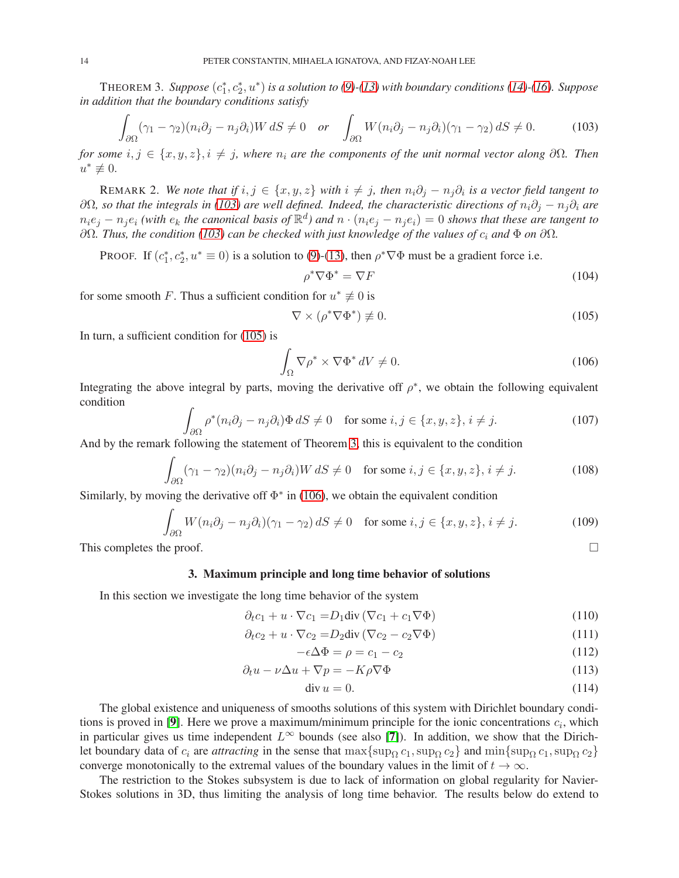THEOREM 3. Suppose  $(c_1^*, c_2^*, u^*)$  is a solution to  $(9)$ - $(13)$  with boundary conditions  $(14)$ - $(16)$ . Suppose *in addition that the boundary conditions satisfy*

<span id="page-13-0"></span>
$$
\int_{\partial\Omega} (\gamma_1 - \gamma_2)(n_i \partial_j - n_j \partial_i) W \, dS \neq 0 \quad \text{or} \quad \int_{\partial\Omega} W(n_i \partial_j - n_j \partial_i)(\gamma_1 - \gamma_2) \, dS \neq 0. \tag{103}
$$

*for some*  $i, j \in \{x, y, z\}, i \neq j$ , where  $n_i$  are the components of the unit normal vector along  $\partial\Omega$ . Then  $u^* \not\equiv 0.$ 

REMARK 2. *We note that if*  $i, j \in \{x, y, z\}$  *with*  $i \neq j$ , then  $n_i \partial_j - n_j \partial_i$  is a vector field tangent to  $∂Ω$ *, so that the integrals in* [\(103\)](#page-13-0) are well defined. Indeed, the characteristic directions of  $n_i∂_j - n_j∂_i$  are  $n_i e_j - n_j e_i$  *(with*  $e_k$  *the canonical basis of*  $\mathbb{R}^d$ *) and*  $n \cdot (n_i e_j - n_j e_i) = 0$  *shows that these are tangent to* ∂Ω*. Thus, the condition [\(103\)](#page-13-0) can be checked with just knowledge of the values of* c<sup>i</sup> *and* Φ *on* ∂Ω*.*

PROOF. If  $(c_1^*, c_2^*, u^* \equiv 0)$  is a solution to [\(9\)](#page-2-2)-[\(13\)](#page-2-3), then  $\rho^* \nabla \Phi$  must be a gradient force i.e.

$$
\rho^* \nabla \Phi^* = \nabla F \tag{104}
$$

for some smooth F. Thus a sufficient condition for  $u^* \not\equiv 0$  is

<span id="page-13-2"></span>
$$
\nabla \times (\rho^* \nabla \Phi^*) \not\equiv 0. \tag{105}
$$

In turn, a sufficient condition for [\(105\)](#page-13-2) is

<span id="page-13-3"></span>
$$
\int_{\Omega} \nabla \rho^* \times \nabla \Phi^* dV \neq 0. \tag{106}
$$

Integrating the above integral by parts, moving the derivative off  $\rho^*$ , we obtain the following equivalent condition

$$
\int_{\partial\Omega} \rho^*(n_i \partial_j - n_j \partial_i) \Phi \, dS \neq 0 \quad \text{for some } i, j \in \{x, y, z\}, i \neq j. \tag{107}
$$

And by the remark following the statement of Theorem [3,](#page-13-0) this is equivalent to the condition

$$
\int_{\partial\Omega} (\gamma_1 - \gamma_2)(n_i \partial_j - n_j \partial_i) W \, dS \neq 0 \quad \text{for some } i, j \in \{x, y, z\}, i \neq j. \tag{108}
$$

Similarly, by moving the derivative off  $\Phi^*$  in [\(106\)](#page-13-3), we obtain the equivalent condition

$$
\int_{\partial\Omega} W(n_i \partial_j - n_j \partial_i)(\gamma_1 - \gamma_2) dS \neq 0 \quad \text{for some } i, j \in \{x, y, z\}, i \neq j.
$$
 (109)

<span id="page-13-1"></span>This completes the proof.  $\Box$ 

### 3. Maximum principle and long time behavior of solutions

In this section we investigate the long time behavior of the system

$$
\partial_t c_1 + u \cdot \nabla c_1 = D_1 \text{div} (\nabla c_1 + c_1 \nabla \Phi) \tag{110}
$$

$$
\partial_t c_2 + u \cdot \nabla c_2 = D_2 \text{div} \left( \nabla c_2 - c_2 \nabla \Phi \right) \tag{111}
$$

<span id="page-13-8"></span><span id="page-13-6"></span><span id="page-13-4"></span>
$$
-\epsilon \Delta \Phi = \rho = c_1 - c_2 \tag{112}
$$

$$
\partial_t u - \nu \Delta u + \nabla p = -K \rho \nabla \Phi \tag{113}
$$

<span id="page-13-7"></span><span id="page-13-5"></span>
$$
\operatorname{div} u = 0. \tag{114}
$$

The global existence and uniqueness of smooths solutions of this system with Dirichlet boundary condi-tions is proved in [[9](#page-29-15)]. Here we prove a maximum/minimum principle for the ionic concentrations  $c_i$ , which in particular gives us time independent  $L^{\infty}$  bounds (see also [[7](#page-29-27)]). In addition, we show that the Dirichlet boundary data of  $c_i$  are *attracting* in the sense that max{sup<sub>Q</sub> c<sub>1</sub>, sup<sub>Q</sub> c<sub>2</sub>} and min{sup<sub>Q</sub> c<sub>1</sub>, sup<sub>Q</sub> c<sub>2</sub>} converge monotonically to the extremal values of the boundary values in the limit of  $t \to \infty$ .

The restriction to the Stokes subsystem is due to lack of information on global regularity for Navier-Stokes solutions in 3D, thus limiting the analysis of long time behavior. The results below do extend to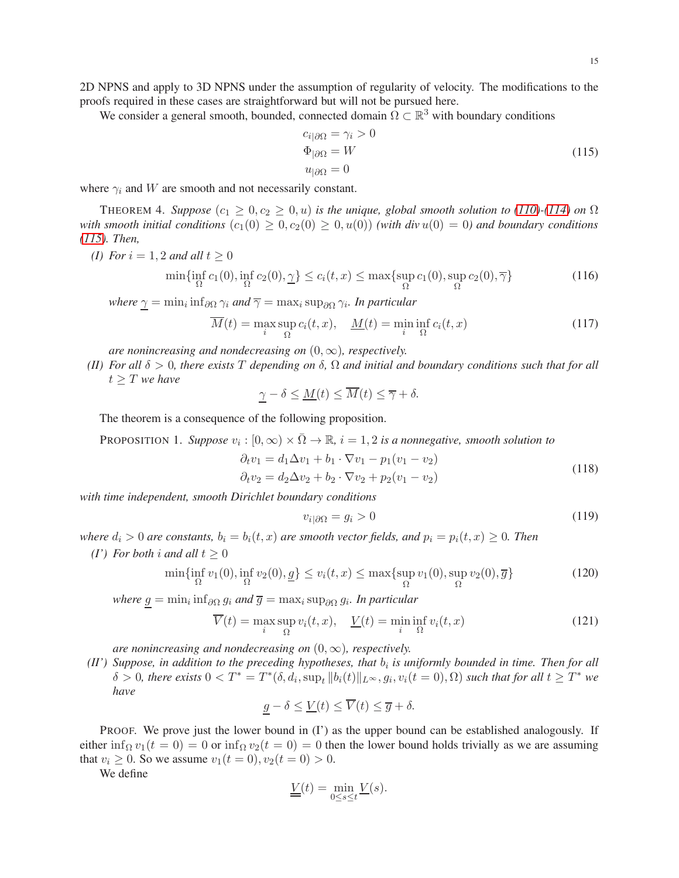2D NPNS and apply to 3D NPNS under the assumption of regularity of velocity. The modifications to the proofs required in these cases are straightforward but will not be pursued here.

We consider a general smooth, bounded, connected domain  $\Omega \subset \mathbb{R}^3$  with boundary conditions

<span id="page-14-0"></span>
$$
c_{i|\partial\Omega} = \gamma_i > 0
$$
  
\n
$$
\Phi_{|\partial\Omega} = W
$$
  
\n
$$
u_{|\partial\Omega} = 0
$$
\n(115)

where  $\gamma_i$  and W are smooth and not necessarily constant.

THEOREM 4. *Suppose*  $(c_1 \geq 0, c_2 \geq 0, u)$  *is the unique, global smooth solution to* [\(110\)](#page-13-4)<sup>*-*</sup>[\(114\)](#page-13-5)</sup> *on*  $\Omega$ *with smooth initial conditions*  $(c_1(0) \geq 0, c_2(0) \geq 0, u(0))$  *(with div*  $u(0) = 0$ *) and boundary conditions [\(115\)](#page-14-0). Then,*

$$
(I) For i = 1, 2 and all t \ge 0
$$

$$
\min\{\inf_{\Omega} c_1(0), \inf_{\Omega} c_2(0), \underline{\gamma}\} \le c_i(t, x) \le \max\{\sup_{\Omega} c_1(0), \sup_{\Omega} c_2(0), \overline{\gamma}\}\tag{116}
$$

where  $\underline{\gamma}=\min_i\inf_{\partial\Omega}\gamma_i$  and  $\overline{\gamma}=\max_i\sup_{\partial\Omega}\gamma_i.$  In particular

$$
\overline{M}(t) = \max_{i} \sup_{\Omega} c_i(t, x), \quad \underline{M}(t) = \min_{i} \inf_{\Omega} c_i(t, x)
$$
\n(117)

*are nonincreasing and nondecreasing on*  $(0, \infty)$ *, respectively.* 

<span id="page-14-1"></span>*(II) For all* δ > 0*, there exists* T *depending on* δ*,* Ω *and initial and boundary conditions such that for all*  $t > T$  *we have* 

$$
\underline{\gamma} - \delta \le \underline{M}(t) \le \overline{M}(t) \le \overline{\gamma} + \delta.
$$

The theorem is a consequence of the following proposition.

PROPOSITION 1. *Suppose*  $v_i : [0, \infty) \times \overline{\Omega} \to \mathbb{R}$ ,  $i = 1, 2$  *is a nonnegative, smooth solution to* 

$$
\partial_t v_1 = d_1 \Delta v_1 + b_1 \cdot \nabla v_1 - p_1 (v_1 - v_2) \n\partial_t v_2 = d_2 \Delta v_2 + b_2 \cdot \nabla v_2 + p_2 (v_1 - v_2)
$$
\n(118)

*with time independent, smooth Dirichlet boundary conditions*

$$
v_{i|\partial\Omega} = g_i > 0 \tag{119}
$$

*where*  $d_i > 0$  *are constants,*  $b_i = b_i(t, x)$  *are smooth vector fields, and*  $p_i = p_i(t, x) \geq 0$ *. Then* 

*(I')* For both *i* and all  $t \geq 0$ 

$$
\min\{\inf_{\Omega} v_1(0), \inf_{\Omega} v_2(0), \underline{g}\} \le v_i(t, x) \le \max\{\sup_{\Omega} v_1(0), \sup_{\Omega} v_2(0), \overline{g}\}
$$
(120)

 $where \underline{g} = \min_i \inf_{\partial \Omega} g_i$  and  $\overline{g} = \max_i \sup_{\partial \Omega} g_i$ *. In particular* 

$$
\overline{V}(t) = \max_{i} \sup_{\Omega} v_i(t, x), \quad \underline{V}(t) = \min_{i} \inf_{\Omega} v_i(t, x)
$$
\n(121)

*are nonincreasing and nondecreasing on*  $(0, \infty)$ *, respectively.* 

<span id="page-14-2"></span> $(H')$  Suppose, in addition to the preceding hypotheses, that  $b_i$  is uniformly bounded in time. Then for all  $\delta > 0$ , there exists  $0 < T^* = T^*(\delta, d_i, \sup_t ||b_i(t)||_{L^{\infty}}, g_i, v_i(t = 0), \Omega)$  such that for all  $t \geq T^*$  we *have*

$$
\underline{g} - \delta \le \underline{V}(t) \le \overline{V}(t) \le \overline{g} + \delta.
$$

PROOF. We prove just the lower bound in (I') as the upper bound can be established analogously. If either inf<sub>Ω</sub>  $v_1(t = 0) = 0$  or inf<sub>Ω</sub>  $v_2(t = 0) = 0$  then the lower bound holds trivially as we are assuming that  $v_i \ge 0$ . So we assume  $v_1(t = 0), v_2(t = 0) > 0$ .

We define

$$
\underline{\underline{V}}(t) = \min_{0 \le s \le t} \underline{V}(s).
$$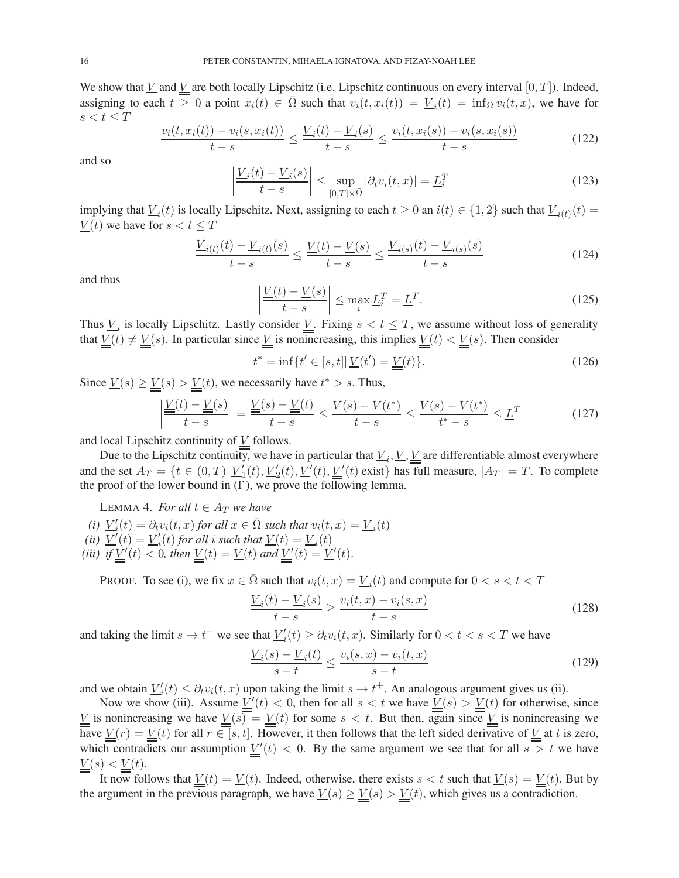We show that  $\underline{V}$  and  $\underline{V}$  are both locally Lipschitz (i.e. Lipschitz continuous on every interval  $[0, T]$ ). Indeed, assigning to each  $t \geq 0$  a point  $x_i(t) \in \overline{\Omega}$  such that  $v_i(t, x_i(t)) = \underline{V}_i(t) = \inf_{\Omega} v_i(t, x)$ , we have for  $s < t \leq T$ 

$$
\frac{v_i(t, x_i(t)) - v_i(s, x_i(t))}{t - s} \le \frac{V_i(t) - V_i(s)}{t - s} \le \frac{v_i(t, x_i(s)) - v_i(s, x_i(s))}{t - s}
$$
(122)

and so

$$
\left|\frac{V_i(t) - V_i(s)}{t - s}\right| \le \sup_{[0,T] \times \bar{\Omega}} |\partial_t v_i(t, x)| = \underline{L}_i^T
$$
\n(123)

implying that  $\underline{V}_i(t)$  is locally Lipschitz. Next, assigning to each  $t \ge 0$  an  $i(t) \in \{1,2\}$  such that  $\underline{V}_{i(t)}(t) =$  $\underline{V}(t)$  we have for  $s < t \leq T$ 

$$
\frac{V_{i(t)}(t) - V_{i(t)}(s)}{t - s} \le \frac{V(t) - V(s)}{t - s} \le \frac{V_{i(s)}(t) - V_{i(s)}(s)}{t - s}
$$
\n(124)

and thus

$$
\left| \frac{V(t) - V(s)}{t - s} \right| \le \max_{i} \underline{L}_{i}^{T} = \underline{L}^{T}.
$$
\n(125)

Thus  $\underline{V}_i$  is locally Lipschitz. Lastly consider  $\underline{V}$ . Fixing  $s < t \leq T$ , we assume without loss of generality that  $\underline{V}(t) \neq \underline{V}(s)$ . In particular since  $\underline{V}$  is nonincreasing, this implies  $\underline{V}(t) < \underline{V}(s)$ . Then consider

$$
t^* = \inf\{t' \in [s, t] | \underline{V}(t') = \underline{V}(t)\}.
$$
\n(126)

Since  $\underline{V}(s) \ge \underline{V}(s) > \underline{V}(t)$ , we necessarily have  $t^* > s$ . Thus,

$$
\left| \frac{\underline{V}(t) - \underline{V}(s)}{t - s} \right| = \frac{\underline{V}(s) - \underline{V}(t)}{t - s} \le \frac{\underline{V}(s) - \underline{V}(t^*)}{t - s} \le \frac{\underline{V}(s) - \underline{V}(t^*)}{t^* - s} \le \underline{L}^T
$$
(127)

and local Lipschitz continuity of  $\underline{V}$  follows.

Due to the Lipschitz continuity, we have in particular that  $\underline{V}_i, \underline{V}, \underline{V}$  are differentiable almost everywhere and the set  $A_T = \{t \in (0,T) | U_1'(t), U_2'(t), U'(t), U'(t) \leq (t) \text{ exist} \}$  has full measure,  $|A_T| = T$ . To complete the proof of the lower bound in (I'), we prove the following lemma.

LEMMA 4. *For all*  $t \in A_T$  *we have* 

<span id="page-15-0"></span>(i)  $\underline{V}'_i(t) = \partial_t v_i(t, x)$  *for all*  $x \in \overline{\Omega}$  *such that*  $v_i(t, x) = \underline{V}_i(t)$ (*ii*)  $\underline{V}'(t) = \underline{V}'_i(t)$  for all *i* such that  $\underline{V}(t) = \underline{V}_i(t)$ (*iii*) *if*  $\underline{V}'(t) < 0$ , then  $\underline{V}(t) = \underline{V}(t)$  and  $\underline{V}'(t) = \underline{V}'(t)$ .

PROOF. To see (i), we fix  $x \in \overline{\Omega}$  such that  $v_i(t, x) = \underline{V}_i(t)$  and compute for  $0 < s < t < T$ 

$$
\frac{V_i(t) - V_i(s)}{t - s} \ge \frac{v_i(t, x) - v_i(s, x)}{t - s} \tag{128}
$$

and taking the limit  $s \to t^-$  we see that  $\underline{V_i'}(t) \ge \partial_t v_i(t, x)$ . Similarly for  $0 < t < s < T$  we have

$$
\frac{V_i(s) - V_i(t)}{s - t} \le \frac{v_i(s, x) - v_i(t, x)}{s - t}
$$
\n(129)

and we obtain  $\underline{V}'_i(t) \leq \partial_t v_i(t, x)$  upon taking the limit  $s \to t^+$ . An analogous argument gives us (ii).

Now we show (iii). Assume  $V'(t) < 0$ , then for all  $s < t$  we have  $V(s) > V(t)$  for otherwise, since V is nonincreasing we have  $\overline{Y(s)} = V(t)$  for some  $s < t$ . But then, again since V is nonincreasing we have  $\underline{V}(r) = \underline{V}(t)$  for all  $r \in [s, t]$ . However, it then follows that the left sided derivative of  $\underline{V}$  at t is zero, which contradicts our assumption  $V'(t) < 0$ . By the same argument we see that for all  $s > t$  we have  $\underline{V}(s) < \underline{V}(t).$ 

It now follows that  $\underline{V}(t) = \underline{V}(t)$ . Indeed, otherwise, there exists  $s < t$  such that  $\underline{V}(s) = \underline{V}(t)$ . But by the argument in the previous paragraph, we have  $\underline{V}(s) \ge \underline{V}(s) > \underline{V}(t)$ , which gives us a contradiction.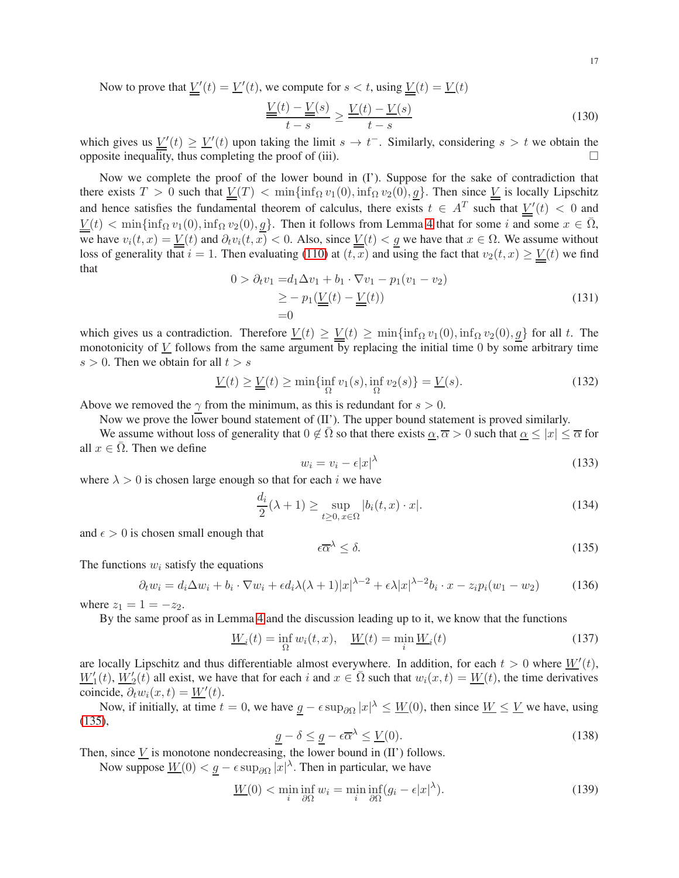Now to prove that  $\underline{V}'(t) = \underline{V}'(t)$ , we compute for  $s < t$ , using  $\underline{V}(t) = \underline{V}(t)$ 

$$
\frac{\underline{V}(t) - \underline{V}(s)}{t - s} \ge \frac{\underline{V}(t) - \underline{V}(s)}{t - s} \tag{130}
$$

which gives us  $\underline{V}'(t) \ge \underline{V}'(t)$  upon taking the limit  $s \to t^-$ . Similarly, considering  $s > t$  we obtain the opposite inequality, thus completing the proof of (iii).  $\Box$ 

Now we complete the proof of the lower bound in (I'). Suppose for the sake of contradiction that there exists  $T > 0$  such that  $V(T) < \min{\{\inf_{\Omega} v_1(0), \inf_{\Omega} v_2(0), g\}}$ . Then since V is locally Lipschitz and hence satisfies the fundamental theorem of calculus, there exists  $t \in A^T$  such that  $\underline{\underline{V}}'(t) < 0$  and  $V(t) < \min\{\inf_{\Omega} v_1(0), \inf_{\Omega} v_2(0), g\}.$  Then it follows from Lemma [4](#page-15-0) that for some i and some  $x \in \overline{\Omega}$ , we have  $v_i(t, x) = \underline{V}(t)$  and  $\partial_t v_i(t, x) < 0$ . Also, since  $\underline{V}(t) < \underline{g}$  we have that  $x \in \Omega$ . We assume without loss of generality that  $i = 1$ . Then evaluating [\(110\)](#page-13-4) at  $(t, x)$  and using the fact that  $v_2(t, x) \ge V(t)$  we find that

$$
0 > \partial_t v_1 = d_1 \Delta v_1 + b_1 \cdot \nabla v_1 - p_1 (v_1 - v_2)
$$
  
\n
$$
\geq - p_1 (\underline{V}(t) - \underline{V}(t))
$$
  
\n
$$
= 0
$$
\n(131)

which gives us a contradiction. Therefore  $\underline{V}(t) \ge \underline{V}(t) \ge \min\{\inf_{\Omega} v_1(0), \inf_{\Omega} v_2(0), g\}$  for all t. The monotonicity of  $\underline{V}$  follows from the same argument by replacing the initial time 0 by some arbitrary time  $s > 0$ . Then we obtain for all  $t > s$ 

$$
\underline{V}(t) \ge \underline{V}(t) \ge \min\{\inf_{\Omega} v_1(s), \inf_{\Omega} v_2(s)\} = \underline{V}(s). \tag{132}
$$

Above we removed the  $\gamma$  from the minimum, as this is redundant for  $s > 0$ .

Now we prove the lower bound statement of  $(II')$ . The upper bound statement is proved similarly.

We assume without loss of generality that  $0 \notin \Omega$  so that there exists  $\alpha, \overline{\alpha} > 0$  such that  $\alpha \leq |x| \leq \overline{\alpha}$  for all  $x \in \Omega$ . Then we define

$$
w_i = v_i - \epsilon |x|^\lambda \tag{133}
$$

where  $\lambda > 0$  is chosen large enough so that for each i we have

<span id="page-16-2"></span>
$$
\frac{d_i}{2}(\lambda + 1) \ge \sup_{t \ge 0, x \in \Omega} |b_i(t, x) \cdot x|.
$$
\n(134)

and  $\epsilon > 0$  is chosen small enough that

<span id="page-16-0"></span>
$$
\epsilon \overline{\alpha}^{\lambda} \le \delta. \tag{135}
$$

The functions  $w_i$  satisfy the equations

<span id="page-16-1"></span>
$$
\partial_t w_i = d_i \Delta w_i + b_i \cdot \nabla w_i + \epsilon d_i \lambda (\lambda + 1) |x|^{\lambda - 2} + \epsilon \lambda |x|^{\lambda - 2} b_i \cdot x - z_i p_i (w_1 - w_2)
$$
(136)

where  $z_1 = 1 = -z_2$ .

By the same proof as in Lemma [4](#page-15-0) and the discussion leading up to it, we know that the functions

$$
\underline{W}_i(t) = \inf_{\Omega} w_i(t, x), \quad \underline{W}(t) = \min_i \underline{W}_i(t)
$$
\n(137)

are locally Lipschitz and thus differentiable almost everywhere. In addition, for each  $t > 0$  where  $W'(t)$ ,  $\underline{W}'_1(t)$ ,  $\underline{W}'_2(t)$  all exist, we have that for each i and  $x \in \overline{\Omega}$  such that  $w_i(x,t) = \underline{W}(t)$ , the time derivatives coincide,  $\partial_t w_i(x,t) = \underline{W}'(t)$ .

Now, if initially, at time  $t = 0$ , we have  $\underline{g} - \epsilon \sup_{\partial \Omega} |x|^{\lambda} \leq \underline{W}(0)$ , then since  $\underline{W} \leq \underline{V}$  we have, using [\(135\)](#page-16-0),

$$
\underline{g} - \delta \le \underline{g} - \epsilon \overline{\alpha}^{\lambda} \le \underline{V}(0). \tag{138}
$$

Then, since  $\underline{V}$  is monotone nondecreasing, the lower bound in (II') follows.

Now suppose  $\underline{W}(0) < \underline{g} - \epsilon \sup_{\partial \Omega} |x|^{\lambda}$ . Then in particular, we have

$$
\underline{W}(0) < \min_{i} \inf_{\partial \Omega} w_i = \min_{i} \inf_{\partial \Omega} (g_i - \epsilon |x|^\lambda). \tag{139}
$$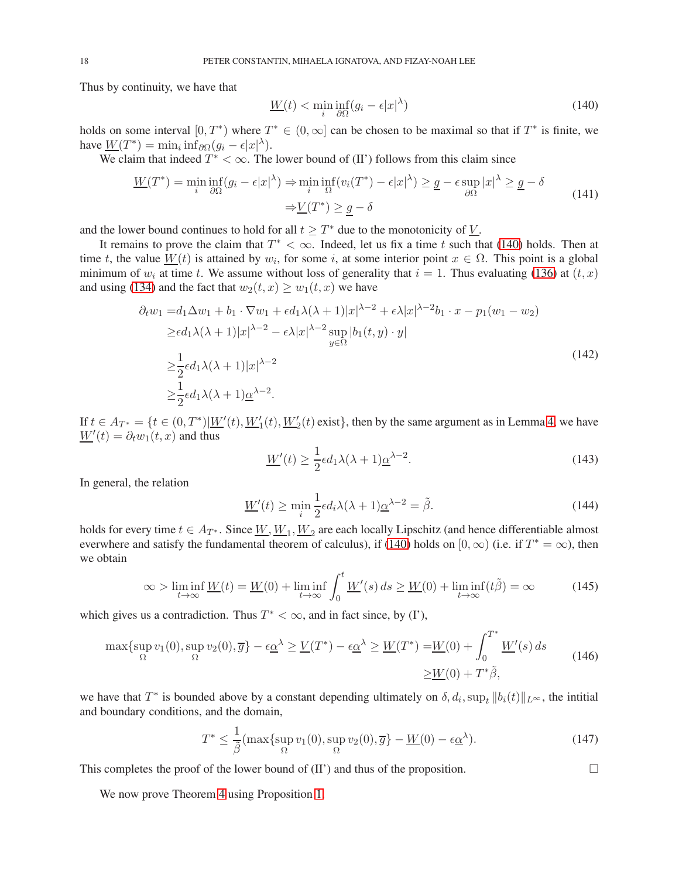Thus by continuity, we have that

<span id="page-17-0"></span>
$$
\underline{W}(t) < \min_{i} \inf_{\partial \Omega} (g_i - \epsilon |x|^\lambda) \tag{140}
$$

holds on some interval  $[0, T^*)$  where  $T^* \in (0, \infty]$  can be chosen to be maximal so that if  $T^*$  is finite, we have  $\underline{W}(T^*) = \min_i \inf_{\partial \Omega} (g_i - \epsilon |x|^\lambda).$ 

We claim that indeed  $T^* < \infty$ . The lower bound of (II') follows from this claim since

$$
\underline{W}(T^*) = \min_{i} \inf_{\partial \Omega} (g_i - \epsilon |x|^{\lambda}) \Rightarrow \min_{i} \inf_{\Omega} (v_i(T^*) - \epsilon |x|^{\lambda}) \ge \underline{g} - \epsilon \sup_{\partial \Omega} |x|^{\lambda} \ge \underline{g} - \delta
$$
\n
$$
\Rightarrow \underline{V}(T^*) \ge \underline{g} - \delta
$$
\n(141)

and the lower bound continues to hold for all  $t \geq T^*$  due to the monotonicity of  $\underline{V}$ .

It remains to prove the claim that  $T^* < \infty$ . Indeed, let us fix a time t such that [\(140\)](#page-17-0) holds. Then at time t, the value  $\underline{W}(t)$  is attained by  $w_i$ , for some i, at some interior point  $x \in \Omega$ . This point is a global minimum of  $w_i$  at time t. We assume without loss of generality that  $i = 1$ . Thus evaluating [\(136\)](#page-16-1) at  $(t, x)$ and using [\(134\)](#page-16-2) and the fact that  $w_2(t, x) \geq w_1(t, x)$  we have

$$
\partial_t w_1 = d_1 \Delta w_1 + b_1 \cdot \nabla w_1 + \epsilon d_1 \lambda (\lambda + 1) |x|^{\lambda - 2} + \epsilon \lambda |x|^{\lambda - 2} b_1 \cdot x - p_1 (w_1 - w_2)
$$
  
\n
$$
\geq \epsilon d_1 \lambda (\lambda + 1) |x|^{\lambda - 2} - \epsilon \lambda |x|^{\lambda - 2} \sup_{y \in \Omega} |b_1(t, y) \cdot y|
$$
  
\n
$$
\geq \frac{1}{2} \epsilon d_1 \lambda (\lambda + 1) |x|^{\lambda - 2}
$$
  
\n
$$
\geq \frac{1}{2} \epsilon d_1 \lambda (\lambda + 1) \underline{\alpha}^{\lambda - 2}.
$$
\n(142)

If  $t \in A_{T^*} = \{t \in (0, T^*) | W'(t), W_1'(t), W_2'(t) \text{ exist}\}$ , then by the same argument as in Lemma [4,](#page-15-0) we have  $\underline{W}'(t) = \partial_t w_1(t,x)$  and thus

$$
\underline{W}'(t) \ge \frac{1}{2} \epsilon d_1 \lambda (\lambda + 1) \underline{\alpha}^{\lambda - 2}.
$$
\n(143)

∗

In general, the relation

$$
\underline{W}'(t) \ge \min_{i} \frac{1}{2} \epsilon d_i \lambda (\lambda + 1) \underline{\alpha}^{\lambda - 2} = \tilde{\beta}.
$$
 (144)

holds for every time  $t \in A_{T^*}$ . Since  $\underline{W}, \underline{W}_1, \underline{W}_2$  are each locally Lipschitz (and hence differentiable almost everwhere and satisfy the fundamental theorem of calculus), if [\(140\)](#page-17-0) holds on [0,  $\infty$ ) (i.e. if  $T^* = \infty$ ), then we obtain

$$
\infty > \liminf_{t \to \infty} \underline{W}(t) = \underline{W}(0) + \liminf_{t \to \infty} \int_0^t \underline{W}'(s) \, ds \ge \underline{W}(0) + \liminf_{t \to \infty} (t\tilde{\beta}) = \infty \tag{145}
$$

which gives us a contradiction. Thus  $T^* < \infty$ , and in fact since, by (I'),

$$
\max\{\sup_{\Omega} v_1(0), \sup_{\Omega} v_2(0), \overline{g}\} - \epsilon \underline{\alpha}^{\lambda} \ge \underline{V}(T^*) - \epsilon \underline{\alpha}^{\lambda} \ge \underline{W}(T^*) = \underline{W}(0) + \int_0^{T^*} \underline{W}'(s) ds
$$
\n
$$
\ge \underline{W}(0) + T^*\tilde{\beta},
$$
\n(146)

we have that  $T^*$  is bounded above by a constant depending ultimately on  $\delta, d_i$ ,  $\sup_t ||b_i(t)||_{L^{\infty}}$ , the intitial and boundary conditions, and the domain,

$$
T^* \le \frac{1}{\tilde{\beta}} (\max\{\sup_{\Omega} v_1(0), \sup_{\Omega} v_2(0), \overline{g}\} - \underline{W}(0) - \epsilon \underline{\alpha}^{\lambda}). \tag{147}
$$

This completes the proof of the lower bound of  $(II')$  and thus of the proposition.

We now prove Theorem [4](#page-14-1) using Proposition [1.](#page-14-2)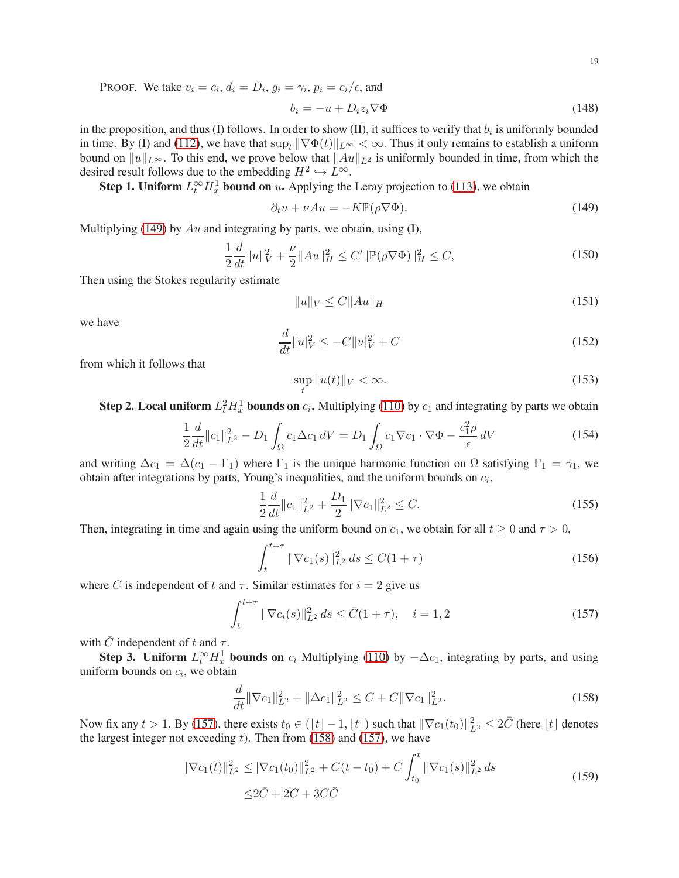PROOF. We take  $v_i = c_i$ ,  $d_i = D_i$ ,  $g_i = \gamma_i$ ,  $p_i = c_i / \epsilon$ , and

$$
b_i = -u + D_i z_i \nabla \Phi \tag{148}
$$

in the proposition, and thus (I) follows. In order to show (II), it suffices to verify that  $b_i$  is uniformly bounded in time. By (I) and [\(112\)](#page-13-6), we have that  $\sup_t \|\nabla \Phi(t)\|_{L^\infty} < \infty$ . Thus it only remains to establish a uniform bound on  $||u||_{L^{\infty}}$ . To this end, we prove below that  $||Au||_{L^2}$  is uniformly bounded in time, from which the desired result follows due to the embedding  $H^2 \hookrightarrow L^{\infty}$ .

**Step 1. Uniform**  $L_t^{\infty} H_x^1$  **bound on** u. Applying the Leray projection to [\(113\)](#page-13-7), we obtain

<span id="page-18-0"></span>
$$
\partial_t u + \nu Au = -K \mathbb{P}(\rho \nabla \Phi). \tag{149}
$$

Multiplying [\(149\)](#page-18-0) by  $Au$  and integrating by parts, we obtain, using (I),

$$
\frac{1}{2}\frac{d}{dt}\|u\|_{V}^{2} + \frac{\nu}{2}\|Au\|_{H}^{2} \le C'\|\mathbb{P}(\rho\nabla\Phi)\|_{H}^{2} \le C,
$$
\n(150)

Then using the Stokes regularity estimate

$$
||u||_V \le C||Au||_H \tag{151}
$$

we have

$$
\frac{d}{dt}||u|_V^2 \le -C||u|_V^2 + C\tag{152}
$$

from which it follows that

<span id="page-18-3"></span>
$$
\sup_{t} \|u(t)\|_{V} < \infty. \tag{153}
$$

**Step 2. Local uniform**  $L_t^2 H_x^1$  **bounds on**  $c_i$ . Multiplying [\(110\)](#page-13-4) by  $c_1$  and integrating by parts we obtain

$$
\frac{1}{2}\frac{d}{dt}\|c_1\|_{L^2}^2 - D_1 \int_{\Omega} c_1 \Delta c_1 \, dV = D_1 \int_{\Omega} c_1 \nabla c_1 \cdot \nabla \Phi - \frac{c_1^2 \rho}{\epsilon} \, dV \tag{154}
$$

and writing  $\Delta c_1 = \Delta (c_1 - \Gamma_1)$  where  $\Gamma_1$  is the unique harmonic function on  $\Omega$  satisfying  $\Gamma_1 = \gamma_1$ , we obtain after integrations by parts, Young's inequalities, and the uniform bounds on  $c_i$ ,

$$
\frac{1}{2}\frac{d}{dt}\|c_1\|_{L^2}^2 + \frac{D_1}{2}\|\nabla c_1\|_{L^2}^2 \le C.
$$
\n(155)

Then, integrating in time and again using the uniform bound on  $c_1$ , we obtain for all  $t \geq 0$  and  $\tau > 0$ ,

$$
\int_{t}^{t+\tau} \|\nabla c_{1}(s)\|_{L^{2}}^{2} ds \le C(1+\tau)
$$
\n(156)

where C is independent of t and  $\tau$ . Similar estimates for  $i = 2$  give us

<span id="page-18-1"></span>
$$
\int_{t}^{t+\tau} \|\nabla c_{i}(s)\|_{L^{2}}^{2} ds \leq \bar{C}(1+\tau), \quad i=1,2
$$
\n(157)

with  $\overline{C}$  independent of t and  $\tau$ .

**Step 3. Uniform**  $L_t^{\infty} H_x^1$  **bounds on**  $c_i$  Multiplying [\(110\)](#page-13-4) by  $-\Delta c_1$ , integrating by parts, and using uniform bounds on  $c_i$ , we obtain

<span id="page-18-2"></span>
$$
\frac{d}{dt} \|\nabla c_1\|_{L^2}^2 + \|\Delta c_1\|_{L^2}^2 \le C + C \|\nabla c_1\|_{L^2}^2.
$$
\n(158)

Now fix any  $t > 1$ . By [\(157\)](#page-18-1), there exists  $t_0 \in (\lfloor t \rfloor - 1, \lfloor t \rfloor)$  such that  $\|\nabla c_1(t_0)\|_{L^2}^2 \leq 2\overline{C}$  (here  $\lfloor t \rfloor$  denotes the largest integer not exceeding  $t$ ). Then from [\(158\)](#page-18-2) and [\(157\)](#page-18-1), we have

$$
\|\nabla c_1(t)\|_{L^2}^2 \le \|\nabla c_1(t_0)\|_{L^2}^2 + C(t - t_0) + C \int_{t_0}^t \|\nabla c_1(s)\|_{L^2}^2 ds
$$
  
 
$$
\le 2\bar{C} + 2C + 3C\bar{C}
$$
 (159)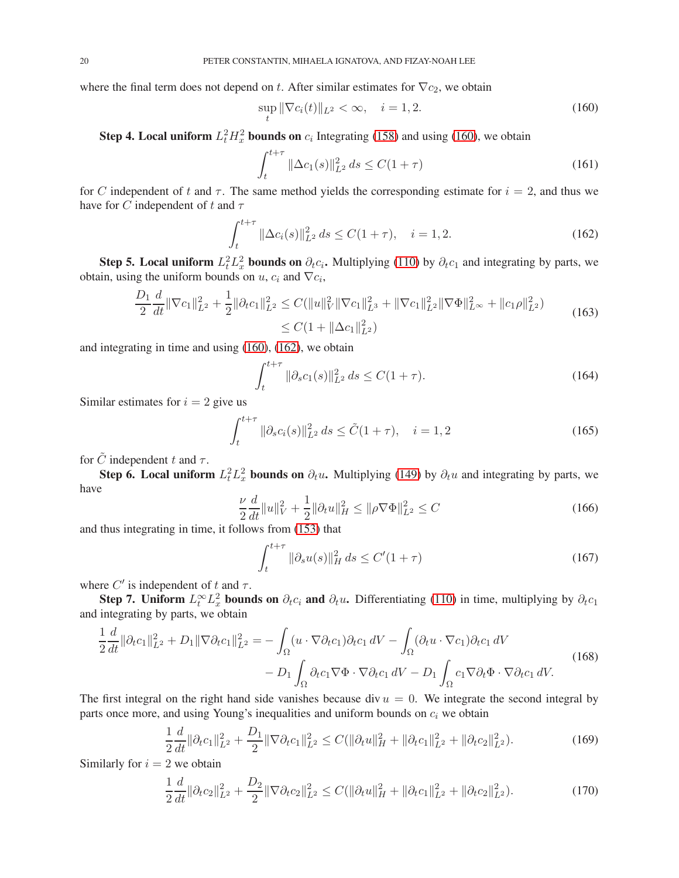where the final term does not depend on t. After similar estimates for  $\nabla c_2$ , we obtain

<span id="page-19-0"></span>
$$
\sup_{t} \|\nabla c_i(t)\|_{L^2} < \infty, \quad i = 1, 2. \tag{160}
$$

**Step 4. Local uniform**  $L_t^2 H_x^2$  **bounds on**  $c_i$  Integrating [\(158\)](#page-18-2) and using [\(160\)](#page-19-0), we obtain

$$
\int_{t}^{t+\tau} \|\Delta c_1(s)\|_{L^2}^2 ds \le C(1+\tau)
$$
\n(161)

for C independent of t and  $\tau$ . The same method yields the corresponding estimate for  $i = 2$ , and thus we have for C independent of t and  $\tau$ 

<span id="page-19-1"></span>
$$
\int_{t}^{t+\tau} \|\Delta c_{i}(s)\|_{L^{2}}^{2} ds \le C(1+\tau), \quad i=1,2.
$$
 (162)

**Step 5. Local uniform**  $L_t^2 L_x^2$  **bounds on**  $\partial_t c_i$ . Multiplying [\(110\)](#page-13-4) by  $\partial_t c_1$  and integrating by parts, we obtain, using the uniform bounds on  $u$ ,  $c_i$  and  $\nabla c_i$ ,

$$
\frac{D_1}{2} \frac{d}{dt} \|\nabla c_1\|_{L^2}^2 + \frac{1}{2} \|\partial_t c_1\|_{L^2}^2 \le C(\|u\|_V^2 \|\nabla c_1\|_{L^3}^2 + \|\nabla c_1\|_{L^2}^2 \|\nabla \Phi\|_{L^\infty}^2 + \|c_1 \rho\|_{L^2}^2) \le C(1 + \|\Delta c_1\|_{L^2}^2)
$$
\n(163)

and integrating in time and using [\(160\)](#page-19-0), [\(162\)](#page-19-1), we obtain

$$
\int_{t}^{t+\tau} \|\partial_{s}c_{1}(s)\|_{L^{2}}^{2} ds \le C(1+\tau). \tag{164}
$$

Similar estimates for  $i = 2$  give us

<span id="page-19-3"></span>
$$
\int_{t}^{t+\tau} \|\partial_{s}c_{i}(s)\|_{L^{2}}^{2} ds \leq \tilde{C}(1+\tau), \quad i=1,2
$$
\n(165)

for  $\tilde{C}$  independent t and  $\tau$ .

**Step 6. Local uniform**  $L_t^2 L_x^2$  **bounds on**  $\partial_t u$ . Multiplying [\(149\)](#page-18-0) by  $\partial_t u$  and integrating by parts, we have

$$
\frac{\nu}{2}\frac{d}{dt}\|u\|_{V}^{2} + \frac{1}{2}\|\partial_{t}u\|_{H}^{2} \le \|\rho \nabla \Phi\|_{L^{2}}^{2} \le C
$$
\n(166)

and thus integrating in time, it follows from [\(153\)](#page-18-3) that

<span id="page-19-4"></span>
$$
\int_{t}^{t+\tau} \|\partial_{s}u(s)\|_{H}^{2} ds \le C'(1+\tau)
$$
\n(167)

where  $C'$  is independent of t and  $\tau$ .

Step 7. Uniform  $L_t^{\infty} L_x^2$  bounds on  $\partial_t c_i$  and  $\partial_t u$ . Differentiating [\(110\)](#page-13-4) in time, multiplying by  $\partial_t c_1$ and integrating by parts, we obtain

$$
\frac{1}{2}\frac{d}{dt}\|\partial_t c_1\|_{L^2}^2 + D_1 \|\nabla \partial_t c_1\|_{L^2}^2 = -\int_{\Omega} (u \cdot \nabla \partial_t c_1) \partial_t c_1 \, dV - \int_{\Omega} (\partial_t u \cdot \nabla c_1) \partial_t c_1 \, dV \n- D_1 \int_{\Omega} \partial_t c_1 \nabla \Phi \cdot \nabla \partial_t c_1 \, dV - D_1 \int_{\Omega} c_1 \nabla \partial_t \Phi \cdot \nabla \partial_t c_1 \, dV.
$$
\n(168)

The first integral on the right hand side vanishes because div  $u = 0$ . We integrate the second integral by parts once more, and using Young's inequalities and uniform bounds on  $c_i$  we obtain

<span id="page-19-2"></span>
$$
\frac{1}{2}\frac{d}{dt}\|\partial_t c_1\|_{L^2}^2 + \frac{D_1}{2}\|\nabla\partial_t c_1\|_{L^2}^2 \le C(\|\partial_t u\|_H^2 + \|\partial_t c_1\|_{L^2}^2 + \|\partial_t c_2\|_{L^2}^2). \tag{169}
$$

Similarly for  $i = 2$  we obtain

$$
\frac{1}{2}\frac{d}{dt}\|\partial_t c_2\|_{L^2}^2 + \frac{D_2}{2}\|\nabla\partial_t c_2\|_{L^2}^2 \le C(\|\partial_t u\|_H^2 + \|\partial_t c_1\|_{L^2}^2 + \|\partial_t c_2\|_{L^2}^2). \tag{170}
$$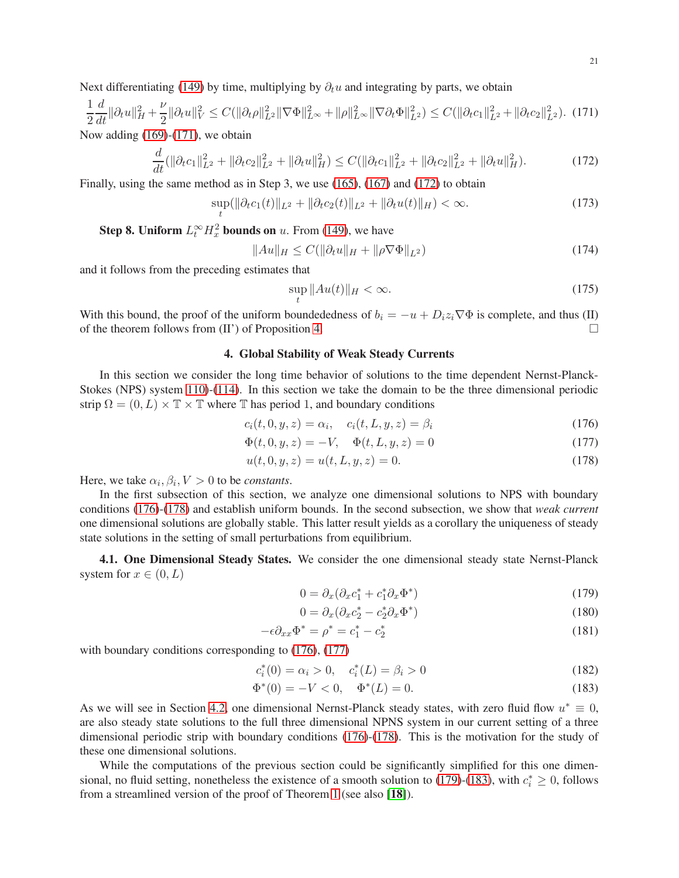<span id="page-20-2"></span>
$$
\frac{1}{2}\frac{d}{dt}\|\partial_t u\|_H^2 + \frac{\nu}{2}\|\partial_t u\|_V^2 \le C(\|\partial_t \rho\|_{L^2}^2 \|\nabla \Phi\|_{L^\infty}^2 + \|\rho\|_{L^\infty}^2 \|\nabla \partial_t \Phi\|_{L^2}^2) \le C(\|\partial_t c_1\|_{L^2}^2 + \|\partial_t c_2\|_{L^2}^2). \tag{171}
$$

Now adding  $(169)-(171)$  $(169)-(171)$  $(169)-(171)$ , we obtain

<span id="page-20-3"></span>
$$
\frac{d}{dt}(\|\partial_t c_1\|_{L^2}^2 + \|\partial_t c_2\|_{L^2}^2 + \|\partial_t u\|_{H}^2) \le C(\|\partial_t c_1\|_{L^2}^2 + \|\partial_t c_2\|_{L^2}^2 + \|\partial_t u\|_{H}^2). \tag{172}
$$

Finally, using the same method as in Step 3, we use [\(165\)](#page-19-3), [\(167\)](#page-19-4) and [\(172\)](#page-20-3) to obtain

$$
\sup_{t}(\|\partial_t c_1(t)\|_{L^2} + \|\partial_t c_2(t)\|_{L^2} + \|\partial_t u(t)\|_{H}) < \infty. \tag{173}
$$

**Step 8. Uniform**  $L_t^{\infty} H_x^2$  **bounds on** u. From [\(149\)](#page-18-0), we have

$$
||Au||_H \le C(||\partial_t u||_H + ||\rho \nabla \Phi||_{L^2})
$$
\n(174)

and it follows from the preceding estimates that

<span id="page-20-4"></span>
$$
\sup_{t} \|Au(t)\|_{H} < \infty. \tag{175}
$$

<span id="page-20-0"></span>With this bound, the proof of the uniform boundededness of  $b_i = -u + D_i z_i \nabla \Phi$  is complete, and thus (II) of Proposition 4. of the theorem follows from (II') of Proposition [4.](#page-14-1)

## 4. Global Stability of Weak Steady Currents

In this section we consider the long time behavior of solutions to the time dependent Nernst-Planck-Stokes (NPS) system [110\)](#page-13-4)-[\(114\)](#page-13-5). In this section we take the domain to be the three dimensional periodic strip  $\Omega = (0, L) \times \mathbb{T} \times \mathbb{T}$  where  $\mathbb{T}$  has period 1, and boundary conditions

$$
c_i(t,0,y,z) = \alpha_i, \quad c_i(t,L,y,z) = \beta_i \tag{176}
$$

$$
\Phi(t,0,y,z) = -V, \quad \Phi(t,L,y,z) = 0 \tag{177}
$$

$$
u(t,0,y,z) = u(t,L,y,z) = 0.
$$
\n(178)

Here, we take  $\alpha_i, \beta_i, V > 0$  to be *constants*.

In the first subsection of this section, we analyze one dimensional solutions to NPS with boundary conditions [\(176\)](#page-20-4)-[\(178\)](#page-20-5) and establish uniform bounds. In the second subsection, we show that *weak current* one dimensional solutions are globally stable. This latter result yields as a corollary the uniqueness of steady state solutions in the setting of small perturbations from equilibrium.

<span id="page-20-1"></span>4.1. One Dimensional Steady States. We consider the one dimensional steady state Nernst-Planck system for  $x \in (0, L)$ 

<span id="page-20-10"></span><span id="page-20-9"></span><span id="page-20-7"></span><span id="page-20-6"></span><span id="page-20-5"></span>
$$
0 = \partial_x(\partial_x c_1^* + c_1^* \partial_x \Phi^*)
$$
\n(179)

<span id="page-20-8"></span>
$$
0 = \partial_x(\partial_x c_2^* - c_2^* \partial_x \Phi^*)
$$
\n(180)

$$
-\epsilon \partial_{xx} \Phi^* = \rho^* = c_1^* - c_2^* \tag{181}
$$

with boundary conditions corresponding to  $(176)$ ,  $(177)$ 

$$
c_i^*(0) = \alpha_i > 0, \quad c_i^*(L) = \beta_i > 0 \tag{182}
$$

$$
\Phi^*(0) = -V < 0, \quad \Phi^*(L) = 0. \tag{183}
$$

As we will see in Section [4.2,](#page-23-0) one dimensional Nernst-Planck steady states, with zero fluid flow  $u^* \equiv 0$ , are also steady state solutions to the full three dimensional NPNS system in our current setting of a three dimensional periodic strip with boundary conditions [\(176\)](#page-20-4)-[\(178\)](#page-20-5). This is the motivation for the study of these one dimensional solutions.

While the computations of the previous section could be significantly simplified for this one dimen-sional, no fluid setting, nonetheless the existence of a smooth solution to [\(179\)](#page-20-7)-[\(183\)](#page-20-8), with  $c_i^* \ge 0$ , follows from a streamlined version of the proof of Theorem [1](#page-2-1) (see also [[18](#page-29-13)]).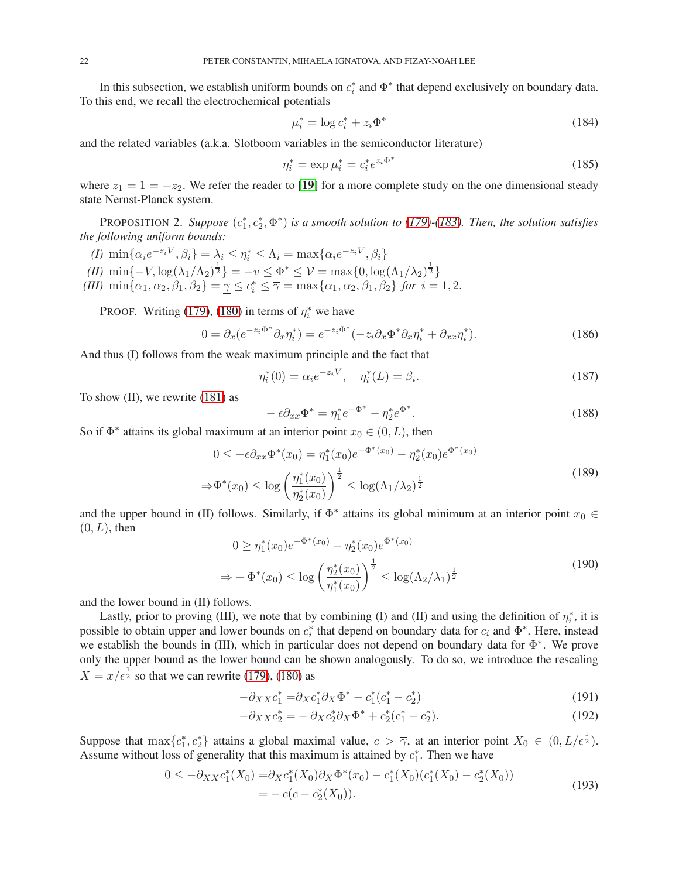In this subsection, we establish uniform bounds on  $c_i^*$  and  $\Phi^*$  that depend exclusively on boundary data. To this end, we recall the electrochemical potentials

<span id="page-21-4"></span>
$$
\mu_i^* = \log c_i^* + z_i \Phi^* \tag{184}
$$

and the related variables (a.k.a. Slotboom variables in the semiconductor literature)

<span id="page-21-5"></span>
$$
\eta_i^* = \exp \mu_i^* = c_i^* e^{z_i \Phi^*} \tag{185}
$$

where  $z_1 = 1 = -z_2$ . We refer the reader to [[19](#page-29-14)] for a more complete study on the one dimensional steady state Nernst-Planck system.

PROPOSITION 2. Suppose  $(c_1^*, c_2^*, \Phi^*)$  is a smooth solution to [\(179\)](#page-20-7) $\text{-}(183)$  $\text{-}(183)$ . Then, the solution satisfies *the following uniform bounds:*

*(I)*  $\min\{\alpha_i e^{-z_i V}, \beta_i\} = \lambda_i \leq \eta_i^* \leq \Lambda_i = \max\{\alpha_i e^{-z_i V}, \beta_i\}$ 

<span id="page-21-3"></span>*(II)*  $\min\{-V, \log(\lambda_1/\Lambda_2)^{\frac{1}{2}}\} = -v \leq \Phi^* \leq \mathcal{V} = \max\{0, \log(\Lambda_1/\lambda_2)^{\frac{1}{2}}\}$ 

(III)  $\min\{\alpha_1, \alpha_2, \beta_1, \beta_2\} = \underline{\gamma} \le c_i^* \le \overline{\gamma} = \max\{\alpha_1, \alpha_2, \beta_1, \beta_2\}$  *for*  $i = 1, 2$ .

PROOF. Writing [\(179\)](#page-20-7), [\(180\)](#page-20-9) in terms of  $\eta_i^*$  we have

$$
0 = \partial_x (e^{-z_i \Phi^*} \partial_x \eta_i^*) = e^{-z_i \Phi^*} (-z_i \partial_x \Phi^* \partial_x \eta_i^* + \partial_{xx} \eta_i^*).
$$
 (186)

And thus (I) follows from the weak maximum principle and the fact that

$$
\eta_i^*(0) = \alpha_i e^{-z_i V}, \quad \eta_i^*(L) = \beta_i.
$$
\n(187)

To show (II), we rewrite [\(181\)](#page-20-10) as

$$
- \epsilon \partial_{xx} \Phi^* = \eta_1^* e^{-\Phi^*} - \eta_2^* e^{\Phi^*}.
$$
 (188)

So if  $\Phi^*$  attains its global maximum at an interior point  $x_0 \in (0, L)$ , then

$$
0 \le -\epsilon \partial_{xx} \Phi^*(x_0) = \eta_1^*(x_0) e^{-\Phi^*(x_0)} - \eta_2^*(x_0) e^{\Phi^*(x_0)}
$$
  

$$
\Rightarrow \Phi^*(x_0) \le \log \left(\frac{\eta_1^*(x_0)}{\eta_2^*(x_0)}\right)^{\frac{1}{2}} \le \log(\Lambda_1/\lambda_2)^{\frac{1}{2}}
$$
(189)

and the upper bound in (II) follows. Similarly, if  $\Phi^*$  attains its global minimum at an interior point  $x_0 \in$  $(0, L)$ , then

$$
0 \ge \eta_1^*(x_0)e^{-\Phi^*(x_0)} - \eta_2^*(x_0)e^{\Phi^*(x_0)}
$$
  
\n
$$
\Rightarrow -\Phi^*(x_0) \le \log\left(\frac{\eta_2^*(x_0)}{\eta_1^*(x_0)}\right)^{\frac{1}{2}} \le \log(\Lambda_2/\lambda_1)^{\frac{1}{2}}
$$
\n(190)

and the lower bound in (II) follows.

Lastly, prior to proving (III), we note that by combining (I) and (II) and using the definition of  $\eta_i^*$ , it is possible to obtain upper and lower bounds on  $c_i^*$  that depend on boundary data for  $c_i$  and  $\Phi^*$ . Here, instead we establish the bounds in (III), which in particular does not depend on boundary data for  $\Phi^*$ . We prove only the upper bound as the lower bound can be shown analogously. To do so, we introduce the rescaling  $X = x/\epsilon^{\frac{1}{2}}$  so that we can rewrite [\(179\)](#page-20-7), [\(180\)](#page-20-9) as

<span id="page-21-2"></span>
$$
-\partial_{XX}c_1^* = \partial_Xc_1^*\partial_X\Phi^* - c_1^*(c_1^* - c_2^*)
$$
\n(191)

<span id="page-21-1"></span>
$$
-\partial_{XX}c_2^* = -\partial_X c_2^* \partial_X \Phi^* + c_2^* (c_1^* - c_2^*).
$$
 (192)

Suppose that  $\max\{c_1^*, c_2^*\}$  attains a global maximal value,  $c > \overline{\gamma}$ , at an interior point  $X_0 \in (0, L/\epsilon^{\frac{1}{2}})$ . Assume without loss of generality that this maximum is attained by  $c_1^*$ . Then we have

<span id="page-21-0"></span>
$$
0 \le -\partial_{XX}c_1^*(X_0) = \partial_{X}c_1^*(X_0)\partial_{X}\Phi^*(x_0) - c_1^*(X_0)(c_1^*(X_0) - c_2^*(X_0))
$$
  
=  $-c(c - c_2^*(X_0)).$  (193)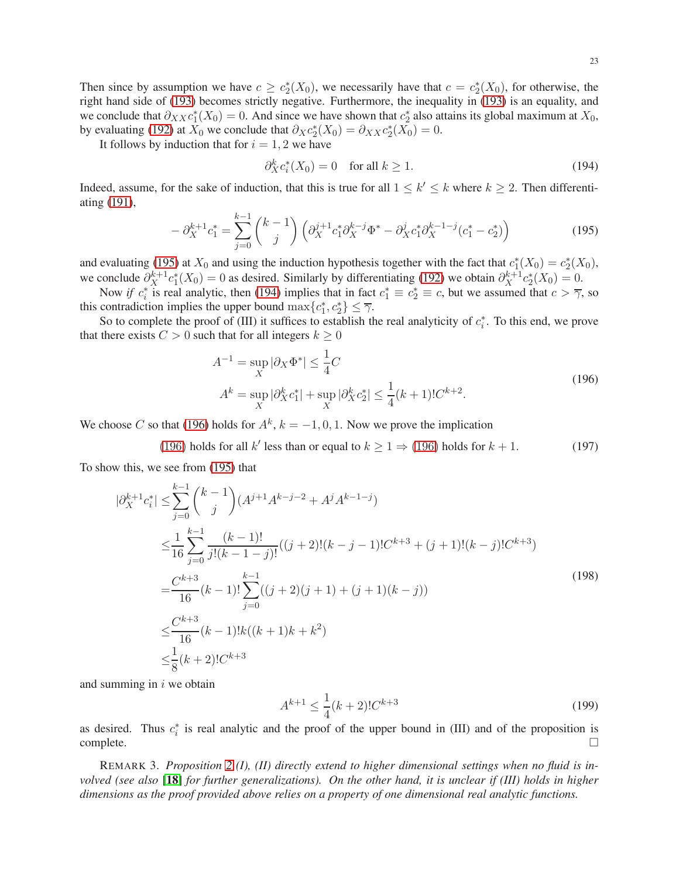Then since by assumption we have  $c \geq c_2^*(X_0)$ , we necessarily have that  $c = c_2^*(X_0)$ , for otherwise, the right hand side of [\(193\)](#page-21-0) becomes strictly negative. Furthermore, the inequality in [\(193\)](#page-21-0) is an equality, and we conclude that  $\partial_{XX} c_1^*(X_0) = 0$ . And since we have shown that  $c_2^*$  also attains its global maximum at  $X_0$ , by evaluating [\(192\)](#page-21-1) at  $X_0$  we conclude that  $\partial_X c_2^*(X_0) = \partial_{XX} c_2^*(X_0) = 0$ .

It follows by induction that for  $i = 1, 2$  we have

<span id="page-22-1"></span>
$$
\partial_X^k c_i^*(X_0) = 0 \quad \text{for all } k \ge 1. \tag{194}
$$

Indeed, assume, for the sake of induction, that this is true for all  $1 \leq k' \leq k$  where  $k \geq 2$ . Then differentiating [\(191\)](#page-21-2),

<span id="page-22-0"></span>
$$
-\partial_X^{k+1}c_1^* = \sum_{j=0}^{k-1} {k-1 \choose j} \left(\partial_X^{j+1}c_1^*\partial_X^{k-j}\Phi^* - \partial_X^jc_1^*\partial_X^{k-1-j}(c_1^*-c_2^*)\right)
$$
(195)

and evaluating [\(195\)](#page-22-0) at  $X_0$  and using the induction hypothesis together with the fact that  $c_1^*(X_0) = c_2^*(X_0)$ , we conclude  $\partial_X^{k+1} c_1^*(X_0) = 0$  as desired. Similarly by differentiating [\(192\)](#page-21-1) we obtain  $\partial_X^{k+1} c_2^*(X_0) = 0$ .

Now *if*  $c_i^*$  is real analytic, then [\(194\)](#page-22-1) implies that in fact  $c_1^* \equiv c_2^* \equiv c$ , but we assumed that  $c > \overline{\gamma}$ , so this contradiction implies the upper bound  $\max\{c_1^*, c_2^*\} \leq \overline{\gamma}$ .

So to complete the proof of (III) it suffices to establish the real analyticity of  $c_i^*$ . To this end, we prove that there exists  $C > 0$  such that for all integers  $k \geq 0$ 

<span id="page-22-2"></span>
$$
A^{-1} = \sup_{X} |\partial_X \Phi^*| \le \frac{1}{4}C
$$
  
\n
$$
A^k = \sup_{X} |\partial_X^k c_1^*| + \sup_{X} |\partial_X^k c_2^*| \le \frac{1}{4}(k+1)!C^{k+2}.
$$
\n(196)

We choose C so that [\(196\)](#page-22-2) holds for  $A^k$ ,  $k = -1, 0, 1$ . Now we prove the implication

(196) holds for all 
$$
k'
$$
 less than or equal to  $k \ge 1 \Rightarrow (196)$  holds for  $k + 1$ . (197)

To show this, we see from [\(195\)](#page-22-0) that

$$
|\partial_{X}^{k+1}c_{i}^{*}| \leq \sum_{j=0}^{k-1} {k-1 \choose j} (A^{j+1}A^{k-j-2} + A^{j}A^{k-1-j})
$$
  
\n
$$
\leq \frac{1}{16} \sum_{j=0}^{k-1} \frac{(k-1)!}{j!(k-1-j)!} ((j+2)!(k-j-1)!C^{k+3} + (j+1)!(k-j)!C^{k+3})
$$
  
\n
$$
= \frac{C^{k+3}}{16} (k-1)! \sum_{j=0}^{k-1} ((j+2)(j+1) + (j+1)(k-j))
$$
  
\n
$$
\leq \frac{C^{k+3}}{16} (k-1)!k((k+1)k+k^{2})
$$
  
\n
$$
\leq \frac{1}{8} (k+2)!C^{k+3}
$$
  
\n(198)

and summing in  $i$  we obtain

$$
A^{k+1} \le \frac{1}{4}(k+2)!C^{k+3} \tag{199}
$$

as desired. Thus  $c_i^*$  is real analytic and the proof of the upper bound in (III) and of the proposition is  $\Box$ complete.  $\Box$ 

REMARK 3. *Proposition [2](#page-21-3) (I), (II) directly extend to higher dimensional settings when no fluid is involved (see also* [[18](#page-29-13)] *for further generalizations). On the other hand, it is unclear if (III) holds in higher dimensions as the proof provided above relies on a property of one dimensional real analytic functions.*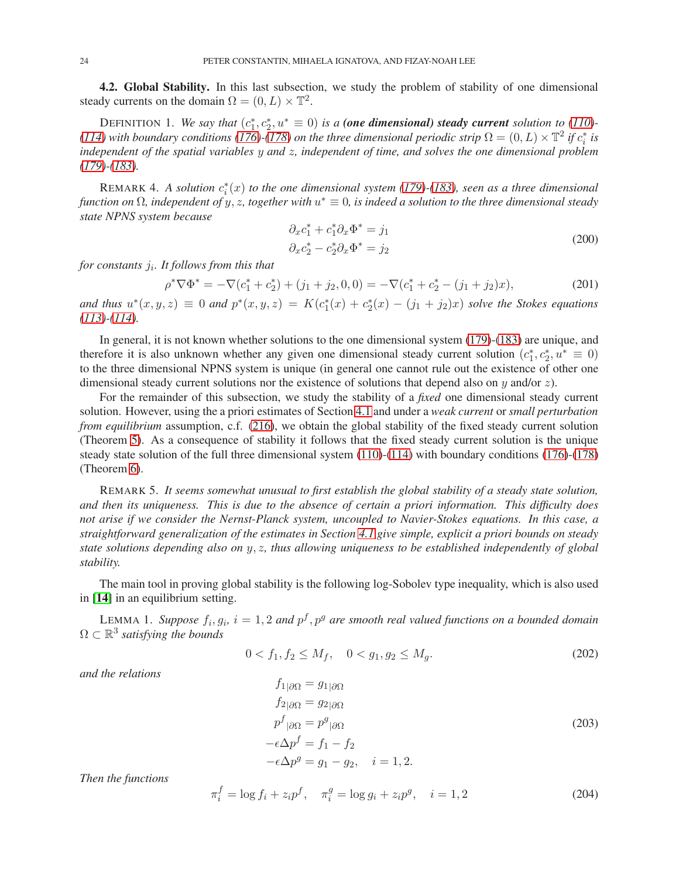<span id="page-23-0"></span>4.2. Global Stability. In this last subsection, we study the problem of stability of one dimensional steady currents on the domain  $\Omega = (0, L) \times \mathbb{T}^2$ .

DEFINITION 1. We say that  $(c_1^*, c_2^*, u^* \equiv 0)$  is a **(one dimensional) steady current** solution to [\(110\)](#page-13-4)-*[\(114\)](#page-13-5)* with boundary conditions [\(176\)](#page-20-4)- $(178)$  on the three dimensional periodic strip  $\Omega = (0, L) \times T^2$  if  $c_i^*$  is *independent of the spatial variables* y *and* z*, independent of time, and solves the one dimensional problem [\(179\)](#page-20-7)-[\(183\)](#page-20-8).*

REMARK 4. A solution  $c_i^*(x)$  to the one dimensional system [\(179\)](#page-20-7) $\text{-}(183)$  $\text{-}(183)$ , seen as a three dimensional *function on* Ω*, independent of* y, z*, together with* u <sup>∗</sup> ≡ 0*, is indeed a solution to the three dimensional steady state NPNS system because*

<span id="page-23-2"></span>
$$
\partial_x c_1^* + c_1^* \partial_x \Phi^* = j_1 \n\partial_x c_2^* - c_2^* \partial_x \Phi^* = j_2
$$
\n(200)

*for constants* j<sup>i</sup> *. It follows from this that*

$$
\rho^* \nabla \Phi^* = -\nabla (c_1^* + c_2^*) + (j_1 + j_2, 0, 0) = -\nabla (c_1^* + c_2^* - (j_1 + j_2)x), \tag{201}
$$

*and thus*  $u^*(x, y, z) \equiv 0$  *and*  $p^*(x, y, z) = K(c_1^*(x) + c_2^*(x) - (j_1 + j_2)x)$  *solve the Stokes equations [\(113\)](#page-13-7)-[\(114\)](#page-13-5).*

In general, it is not known whether solutions to the one dimensional system [\(179\)](#page-20-7)-[\(183\)](#page-20-8) are unique, and therefore it is also unknown whether any given one dimensional steady current solution  $(c_1^*, c_2^*, u^* \equiv 0)$ to the three dimensional NPNS system is unique (in general one cannot rule out the existence of other one dimensional steady current solutions nor the existence of solutions that depend also on  $\gamma$  and/or z).

For the remainder of this subsection, we study the stability of a *fixed* one dimensional steady current solution. However, using the a priori estimates of Section [4.1](#page-20-1) and under a *weak current* or *small perturbation from equilibrium* assumption, c.f. [\(216\)](#page-25-1), we obtain the global stability of the fixed steady current solution (Theorem [5\)](#page-25-0). As a consequence of stability it follows that the fixed steady current solution is the unique steady state solution of the full three dimensional system [\(110\)](#page-13-4)-[\(114\)](#page-13-5) with boundary conditions [\(176\)](#page-20-4)-[\(178\)](#page-20-5) (Theorem [6\)](#page-25-2).

REMARK 5. *It seems somewhat unusual to first establish the global stability of a steady state solution, and then its uniqueness. This is due to the absence of certain a priori information. This difficulty does not arise if we consider the Nernst-Planck system, uncoupled to Navier-Stokes equations. In this case, a straightforward generalization of the estimates in Section [4.1](#page-20-1) give simple, explicit a priori bounds on steady state solutions depending also on* y, z*, thus allowing uniqueness to be established independently of global stability.*

The main tool in proving global stability is the following log-Sobolev type inequality, which is also used in [[14](#page-29-28)] in an equilibrium setting.

LEMMA 1. Suppose  $f_i, g_i$ ,  $i = 1, 2$  and  $p^f, p^g$  are smooth real valued functions on a bounded domain  $\Omega \subset \mathbb{R}^3$  satisfying the bounds

$$
0 < f_1, f_2 \le M_f, \quad 0 < g_1, g_2 \le M_g. \tag{202}
$$

*and the relations*

<span id="page-23-1"></span>
$$
f_{1|\partial\Omega} = g_{1|\partial\Omega}
$$
  
\n
$$
f_{2|\partial\Omega} = g_{2|\partial\Omega}
$$
  
\n
$$
p^f|_{\partial\Omega} = p^g|_{\partial\Omega}
$$
  
\n
$$
-\epsilon \Delta p^f = f_1 - f_2
$$
  
\n
$$
-\epsilon \Delta p^g = g_1 - g_2, \quad i = 1, 2.
$$
\n(203)

*Then the functions*

$$
\pi_i^f = \log f_i + z_i p^f, \quad \pi_i^g = \log g_i + z_i p^g, \quad i = 1, 2 \tag{204}
$$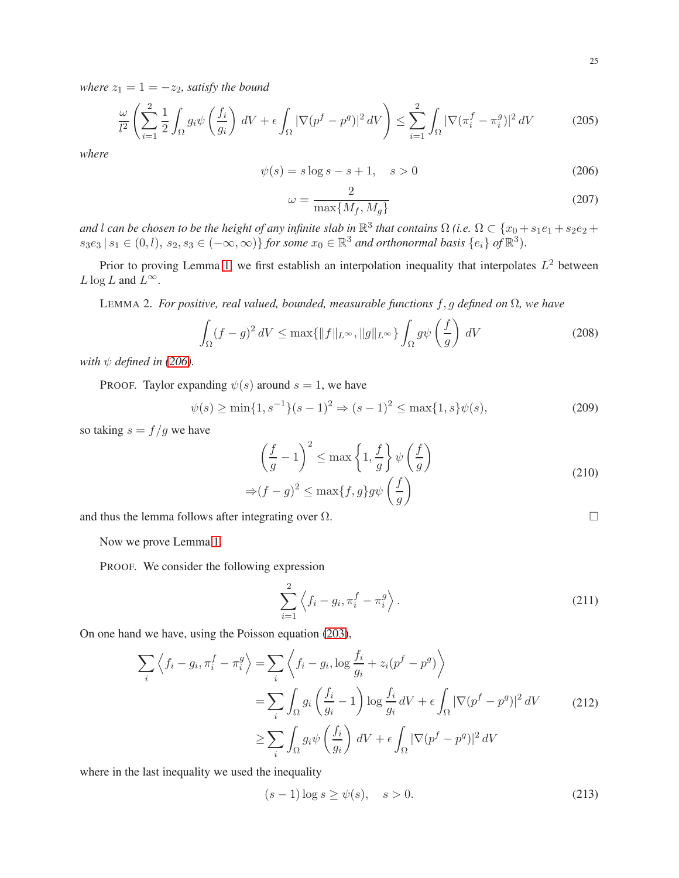*where*  $z_1 = 1 = -z_2$ *, satisfy the bound* 

$$
\frac{\omega}{l^2} \left( \sum_{i=1}^2 \frac{1}{2} \int_{\Omega} g_i \psi \left( \frac{f_i}{g_i} \right) dV + \epsilon \int_{\Omega} |\nabla (p^f - p^g)|^2 dV \right) \le \sum_{i=1}^2 \int_{\Omega} |\nabla (\pi_i^f - \pi_i^g)|^2 dV \tag{205}
$$

*where*

<span id="page-24-1"></span>
$$
\psi(s) = s \log s - s + 1, \quad s > 0 \tag{206}
$$

<span id="page-24-0"></span>
$$
\omega = \frac{2}{\max\{M_f, M_g\}}\tag{207}
$$

*and* l *can be chosen to be the height of any infinite slab in*  $\mathbb{R}^3$  *that contains*  $\Omega$  *(i.e.*  $\Omega \subset \{x_0 + s_1e_1 + s_2e_2 +$  $s_3e_3 | s_1 \in (0, l), s_2, s_3 \in (-\infty, \infty) \}$  *for some*  $x_0 \in \mathbb{R}^3$  *and orthonormal basis*  $\{e_i\}$  *of*  $\mathbb{R}^3$ .

Prior to proving Lemma [1,](#page-24-0) we first establish an interpolation inequality that interpolates  $L^2$  between  $L \log L$  and  $L^{\infty}$ .

LEMMA 2. *For positive, real valued, bounded, measurable functions* f, g *defined on* Ω*, we have*

<span id="page-24-2"></span>
$$
\int_{\Omega} (f - g)^2 \, dV \le \max\{\|f\|_{L^{\infty}}, \|g\|_{L^{\infty}}\} \int_{\Omega} g\psi\left(\frac{f}{g}\right) \, dV \tag{208}
$$

*with*  $\psi$  *defined in [\(206\)](#page-24-1).* 

PROOF. Taylor expanding  $\psi(s)$  around  $s = 1$ , we have

$$
\psi(s) \ge \min\{1, s^{-1}\}(s-1)^2 \Rightarrow (s-1)^2 \le \max\{1, s\}\psi(s),\tag{209}
$$

so taking  $s = f/g$  we have

$$
\left(\frac{f}{g} - 1\right)^2 \le \max\left\{1, \frac{f}{g}\right\} \psi\left(\frac{f}{g}\right)
$$
  
\n
$$
\Rightarrow (f - g)^2 \le \max\{f, g\} g \psi\left(\frac{f}{g}\right)
$$
\n(210)

and thus the lemma follows after integrating over  $\Omega$ .

Now we prove Lemma [1.](#page-24-0)

PROOF. We consider the following expression

$$
\sum_{i=1}^{2} \left\langle f_i - g_i, \pi_i^f - \pi_i^g \right\rangle.
$$
\n(211)

On one hand we have, using the Poisson equation [\(203\)](#page-23-1),

<span id="page-24-3"></span>
$$
\sum_{i} \left\langle f_{i} - g_{i}, \pi_{i}^{f} - \pi_{i}^{g} \right\rangle = \sum_{i} \left\langle f_{i} - g_{i}, \log \frac{f_{i}}{g_{i}} + z_{i} (p^{f} - p^{g}) \right\rangle
$$
  

$$
= \sum_{i} \int_{\Omega} g_{i} \left( \frac{f_{i}}{g_{i}} - 1 \right) \log \frac{f_{i}}{g_{i}} dV + \epsilon \int_{\Omega} |\nabla (p^{f} - p^{g})|^{2} dV \qquad (212)
$$
  

$$
\geq \sum_{i} \int_{\Omega} g_{i} \psi \left( \frac{f_{i}}{g_{i}} \right) dV + \epsilon \int_{\Omega} |\nabla (p^{f} - p^{g})|^{2} dV
$$

where in the last inequality we used the inequality

$$
(s-1)\log s \ge \psi(s), \quad s > 0. \tag{213}
$$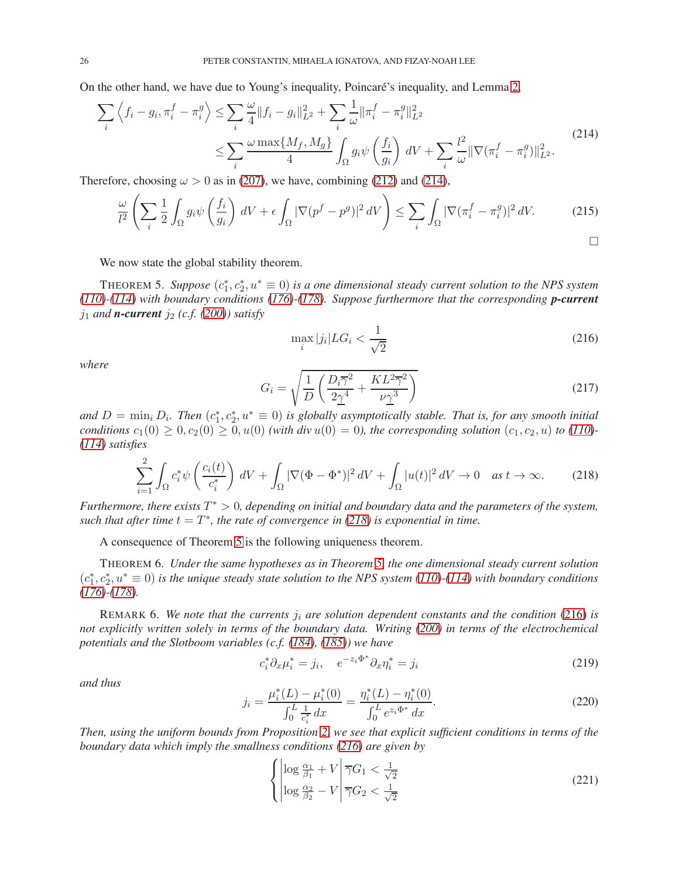On the other hand, we have due to Young's inequality, Poincaré's inequality, and Lemma [2,](#page-24-2)

<span id="page-25-3"></span>
$$
\sum_{i} \left\langle f_{i} - g_{i}, \pi_{i}^{f} - \pi_{i}^{g} \right\rangle \leq \sum_{i} \frac{\omega}{4} \|f_{i} - g_{i}\|_{L^{2}}^{2} + \sum_{i} \frac{1}{\omega} \|\pi_{i}^{f} - \pi_{i}^{g}\|_{L^{2}}^{2}
$$
\n
$$
\leq \sum_{i} \frac{\omega \max\{M_{f}, M_{g}\}}{4} \int_{\Omega} g_{i} \psi \left(\frac{f_{i}}{g_{i}}\right) dV + \sum_{i} \frac{l^{2}}{\omega} \|\nabla(\pi_{i}^{f} - \pi_{i}^{g})\|_{L^{2}}^{2}.
$$
\n(214)

Therefore, choosing  $\omega > 0$  as in [\(207\)](#page-24-0), we have, combining [\(212\)](#page-24-3) and [\(214\)](#page-25-3),

$$
\frac{\omega}{l^2} \left( \sum_i \frac{1}{2} \int_{\Omega} g_i \psi \left( \frac{f_i}{g_i} \right) dV + \epsilon \int_{\Omega} |\nabla (p^f - p^g)|^2 dV \right) \le \sum_i \int_{\Omega} |\nabla (\pi_i^f - \pi_i^g)|^2 dV. \tag{215}
$$

We now state the global stability theorem.

THEOREM 5. Suppose  $(c_1^*, c_2^*, u^* \equiv 0)$  is a one dimensional steady current solution to the NPS system *[\(110\)](#page-13-4)-[\(114\)](#page-13-5) with boundary conditions [\(176\)](#page-20-4)-[\(178\)](#page-20-5). Suppose furthermore that the corresponding p-current*  $j_1$  *and n***-current**  $j_2$  (*c.f.* [\(200\)](#page-23-2)) satisfy

<span id="page-25-1"></span>
$$
\max_{i} |j_i| LG_i < \frac{1}{\sqrt{2}}\tag{216}
$$

*where*

$$
G_i = \sqrt{\frac{1}{D} \left( \frac{D_i \overline{\gamma}^2}{2 \underline{\gamma}^4} + \frac{KL^2 \overline{\gamma}^2}{\nu \underline{\gamma}^3} \right)}
$$
(217)

and  $D = \min_i D_i$ . Then  $(c_1^*, c_2^*, u^* \equiv 0)$  is globally asymptotically stable. That is, for any smooth initial *conditions*  $c_1(0) \ge 0$ ,  $c_2(0) \ge 0$ ,  $u(0)$  *(with div*  $u(0) = 0$ *), the corresponding solution*  $(c_1, c_2, u)$  *to* [\(110\)](#page-13-4)*-[\(114\)](#page-13-5) satisfies*

<span id="page-25-0"></span>
$$
\sum_{i=1}^{2} \int_{\Omega} c_i^* \psi \left( \frac{c_i(t)}{c_i^*} \right) dV + \int_{\Omega} |\nabla (\Phi - \Phi^*)|^2 dV + \int_{\Omega} |u(t)|^2 dV \to 0 \quad \text{as } t \to \infty. \tag{218}
$$

*Furthermore, there exists* T ∗ > 0*, depending on initial and boundary data and the parameters of the system, such that after time*  $t = T^*$ , the rate of convergence in [\(218\)](#page-25-0) is exponential in time.

A consequence of Theorem [5](#page-25-0) is the following uniqueness theorem.

<span id="page-25-2"></span>THEOREM 6. *Under the same hypotheses as in Theorem [5,](#page-25-0) the one dimensional steady current solution*  $(c_1^*, c_2^*, u^* \equiv 0)$  *is the unique steady state solution to the NPS system* [\(110\)](#page-13-4)*-*[\(114\)](#page-13-5) with boundary conditions *[\(176\)](#page-20-4)-[\(178\)](#page-20-5).*

REMARK 6. We note that the currents  $j_i$  are solution dependent constants and the condition [\(216\)](#page-25-1) is *not explicitly written solely in terms of the boundary data. Writing [\(200\)](#page-23-2) in terms of the electrochemical potentials and the Slotboom variables (c.f. [\(184\)](#page-21-4), [\(185\)](#page-21-5)) we have*

<span id="page-25-4"></span>
$$
c_i^* \partial_x \mu_i^* = j_i, \quad e^{-z_i \Phi^*} \partial_x \eta_i^* = j_i \tag{219}
$$

*and thus*

$$
j_i = \frac{\mu_i^*(L) - \mu_i^*(0)}{\int_0^L \frac{1}{c_i^*} dx} = \frac{\eta_i^*(L) - \eta_i^*(0)}{\int_0^L e^{z_i \Phi^*} dx}.
$$
 (220)

*Then, using the uniform bounds from Proposition [2,](#page-21-3) we see that explicit sufficient conditions in terms of the boundary data which imply the smallness conditions [\(216\)](#page-25-1) are given by*

$$
\left\{ \begin{vmatrix} \log \frac{\alpha_1}{\beta_1} + V & \sqrt{G_1} < \frac{1}{\sqrt{2}} \\ \log \frac{\alpha_2}{\beta_2} - V & \sqrt{G_2} < \frac{1}{\sqrt{2}} \end{vmatrix} \right. \tag{221}
$$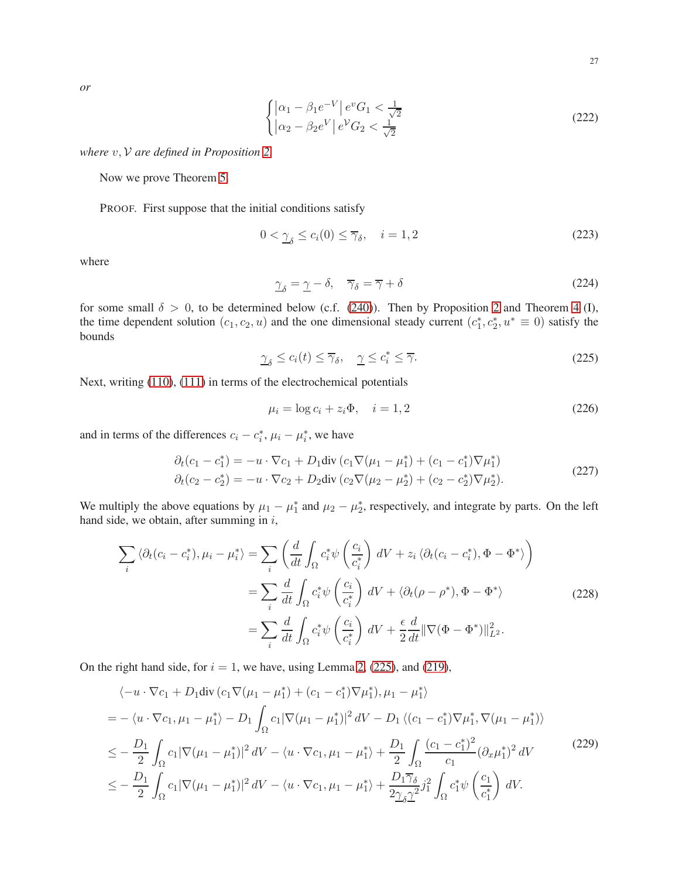27

*or*

$$
\begin{cases} |\alpha_1 - \beta_1 e^{-V}| e^v G_1 < \frac{1}{\sqrt{2}}\\ |\alpha_2 - \beta_2 e^V| e^V G_2 < \frac{1}{\sqrt{2}} \end{cases} \tag{222}
$$

*where* v, V *are defined in Proposition [2.](#page-21-3)*

Now we prove Theorem [5.](#page-25-0)

PROOF. First suppose that the initial conditions satisfy

$$
0 < \underline{\gamma}_{\delta} \le c_i(0) \le \overline{\gamma}_{\delta}, \quad i = 1, 2 \tag{223}
$$

where

$$
\gamma_{\delta} = \underline{\gamma} - \delta, \quad \overline{\gamma}_{\delta} = \overline{\gamma} + \delta \tag{224}
$$

for some small  $\delta > 0$ , to be determined below (c.f. [\(240\)](#page-28-0)). Then by Proposition [2](#page-21-3) and Theorem [4](#page-14-1) (I), the time dependent solution  $(c_1, c_2, u)$  and the one dimensional steady current  $(c_1^*, c_2^*, u^* \equiv 0)$  satisfy the bounds

<span id="page-26-0"></span>
$$
\underline{\gamma}_{\delta} \le c_i(t) \le \overline{\gamma}_{\delta}, \quad \underline{\gamma} \le c_i^* \le \overline{\gamma}.\tag{225}
$$

Next, writing [\(110\)](#page-13-4), [\(111\)](#page-13-8) in terms of the electrochemical potentials

$$
\mu_i = \log c_i + z_i \Phi, \quad i = 1, 2 \tag{226}
$$

and in terms of the differences  $c_i - c_i^*$ ,  $\mu_i - \mu_i^*$ , we have

$$
\partial_t (c_1 - c_1^*) = -u \cdot \nabla c_1 + D_1 \text{div} (c_1 \nabla (\mu_1 - \mu_1^*) + (c_1 - c_1^*) \nabla \mu_1^*)
$$
  
\n
$$
\partial_t (c_2 - c_2^*) = -u \cdot \nabla c_2 + D_2 \text{div} (c_2 \nabla (\mu_2 - \mu_2^*) + (c_2 - c_2^*) \nabla \mu_2^*).
$$
\n(227)

We multiply the above equations by  $\mu_1 - \mu_1^*$  and  $\mu_2 - \mu_2^*$ , respectively, and integrate by parts. On the left hand side, we obtain, after summing in  $i$ ,

$$
\sum_{i} \langle \partial_{t} (c_{i} - c_{i}^{*}), \mu_{i} - \mu_{i}^{*} \rangle = \sum_{i} \left( \frac{d}{dt} \int_{\Omega} c_{i}^{*} \psi \left( \frac{c_{i}}{c_{i}^{*}} \right) dV + z_{i} \langle \partial_{t} (c_{i} - c_{i}^{*}), \Phi - \Phi^{*} \rangle \right)
$$

$$
= \sum_{i} \frac{d}{dt} \int_{\Omega} c_{i}^{*} \psi \left( \frac{c_{i}}{c_{i}^{*}} \right) dV + \langle \partial_{t} (\rho - \rho^{*}), \Phi - \Phi^{*} \rangle
$$
(228)
$$
= \sum_{i} \frac{d}{dt} \int_{\Omega} c_{i}^{*} \psi \left( \frac{c_{i}}{c_{i}^{*}} \right) dV + \frac{\epsilon}{2} \frac{d}{dt} ||\nabla (\Phi - \Phi^{*})||_{L^{2}}^{2}.
$$

On the right hand side, for  $i = 1$ , we have, using Lemma [2,](#page-24-2) [\(225\)](#page-26-0), and [\(219\)](#page-25-4),

<span id="page-26-1"></span>
$$
\langle -u \cdot \nabla c_1 + D_1 \text{div} (c_1 \nabla (\mu_1 - \mu_1^*) + (c_1 - c_1^*) \nabla \mu_1^*), \mu_1 - \mu_1^* \rangle
$$
  
=  $-\langle u \cdot \nabla c_1, \mu_1 - \mu_1^* \rangle - D_1 \int_{\Omega} c_1 |\nabla (\mu_1 - \mu_1^*)|^2 dV - D_1 \langle (c_1 - c_1^*) \nabla \mu_1^*, \nabla (\mu_1 - \mu_1^*) \rangle$   
 $\leq -\frac{D_1}{2} \int_{\Omega} c_1 |\nabla (\mu_1 - \mu_1^*)|^2 dV - \langle u \cdot \nabla c_1, \mu_1 - \mu_1^* \rangle + \frac{D_1}{2} \int_{\Omega} \frac{(c_1 - c_1^*)^2}{c_1} (\partial_x \mu_1^*)^2 dV$  (229)  
 $\leq -\frac{D_1}{2} \int_{\Omega} c_1 |\nabla (\mu_1 - \mu_1^*)|^2 dV - \langle u \cdot \nabla c_1, \mu_1 - \mu_1^* \rangle + \frac{D_1 \overline{\gamma}_{\delta}}{2 \underline{\gamma}_{\delta} \underline{\gamma}^2} j_1^2 \int_{\Omega} c_1^* \psi \left( \frac{c_1}{c_1^*} \right) dV.$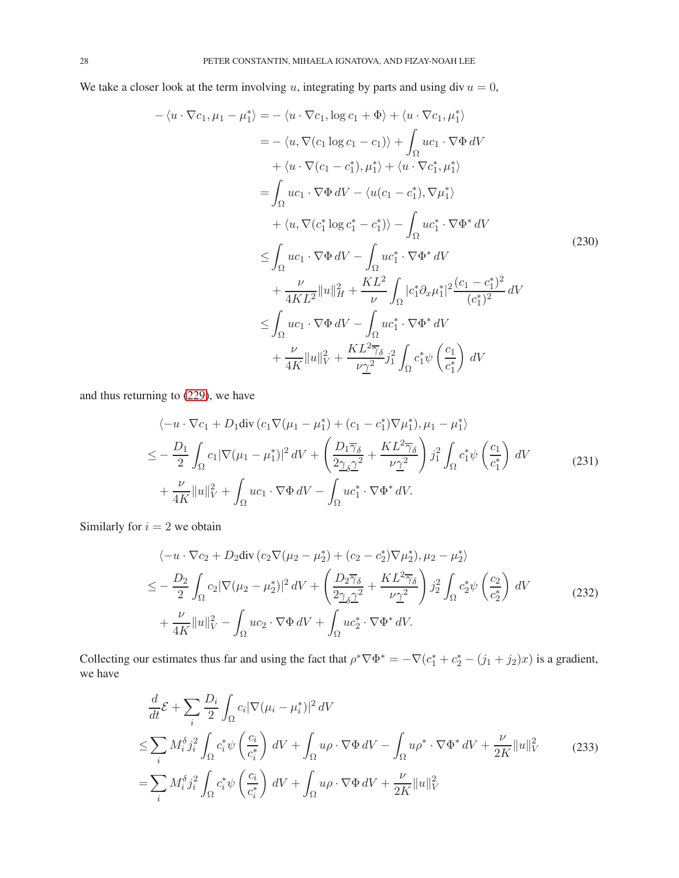We take a closer look at the term involving u, integrating by parts and using div  $u = 0$ ,

$$
-\langle u \cdot \nabla c_1, \mu_1 - \mu_1^* \rangle = -\langle u \cdot \nabla c_1, \log c_1 + \Phi \rangle + \langle u \cdot \nabla c_1, \mu_1^* \rangle
$$
  
\n
$$
= -\langle u, \nabla (c_1 \log c_1 - c_1) \rangle + \int_{\Omega} uc_1 \cdot \nabla \Phi dV
$$
  
\n
$$
+ \langle u \cdot \nabla (c_1 - c_1^*), \mu_1^* \rangle + \langle u \cdot \nabla c_1^*, \mu_1^* \rangle
$$
  
\n
$$
= \int_{\Omega} uc_1 \cdot \nabla \Phi dV - \langle u(c_1 - c_1^*), \nabla \mu_1^* \rangle
$$
  
\n
$$
+ \langle u, \nabla (c_1^* \log c_1^* - c_1^*) \rangle - \int_{\Omega} uc_1^* \cdot \nabla \Phi^* dV
$$
  
\n
$$
\leq \int_{\Omega} uc_1 \cdot \nabla \Phi dV - \int_{\Omega} uc_1^* \cdot \nabla \Phi^* dV
$$
  
\n
$$
+ \frac{\nu}{4KL^2} ||u||_H^2 + \frac{KL^2}{\nu} \int_{\Omega} |c_1^* \partial_x \mu_1^*|^2 \frac{(c_1 - c_1^*)^2}{(c_1^*)^2} dV
$$
  
\n
$$
\leq \int_{\Omega} uc_1 \cdot \nabla \Phi dV - \int_{\Omega} uc_1^* \cdot \nabla \Phi^* dV
$$
  
\n
$$
+ \frac{\nu}{4K} ||u||_V^2 + \frac{KL^2 \overline{\gamma}_\delta}{\nu \underline{\gamma}^2} j_1^2 \int_{\Omega} c_1^* \psi \left( \frac{c_1}{c_1^*} \right) dV
$$

and thus returning to [\(229\)](#page-26-1), we have

$$
\langle -u \cdot \nabla c_1 + D_1 \operatorname{div} \left( c_1 \nabla (\mu_1 - \mu_1^*) + (c_1 - c_1^*) \nabla \mu_1^* \right), \mu_1 - \mu_1^* \rangle
$$
  
\n
$$
\leq -\frac{D_1}{2} \int_{\Omega} c_1 |\nabla (\mu_1 - \mu_1^*)|^2 dV + \left( \frac{D_1 \overline{\gamma}_{\delta}}{2\gamma_{\delta} \gamma^2} + \frac{KL^2 \overline{\gamma}_{\delta}}{\nu \gamma^2} \right) j_1^2 \int_{\Omega} c_1^* \psi \left( \frac{c_1}{c_1^*} \right) dV
$$
  
\n
$$
+ \frac{\nu}{4K} ||u||_V^2 + \int_{\Omega} uc_1 \cdot \nabla \Phi dV - \int_{\Omega} uc_1^* \cdot \nabla \Phi^* dV.
$$
\n(231)

Similarly for  $i = 2$  we obtain

$$
\langle -u \cdot \nabla c_2 + D_2 \text{div} (c_2 \nabla (\mu_2 - \mu_2^*) + (c_2 - c_2^*) \nabla \mu_2^*), \mu_2 - \mu_2^* \rangle
$$
  
\n
$$
\leq -\frac{D_2}{2} \int_{\Omega} c_2 |\nabla (\mu_2 - \mu_2^*)|^2 dV + \left( \frac{D_2 \overline{\gamma}_{\delta}}{2 \underline{\gamma}_{\delta}^2} + \frac{KL^2 \overline{\gamma}_{\delta}}{\nu \underline{\gamma}^2} \right) j_2^2 \int_{\Omega} c_2^* \psi \left( \frac{c_2}{c_2^*} \right) dV
$$
  
\n
$$
+ \frac{\nu}{4K} ||u||_V^2 - \int_{\Omega} u c_2 \cdot \nabla \Phi dV + \int_{\Omega} u c_2^* \cdot \nabla \Phi^* dV.
$$
 (232)

Collecting our estimates thus far and using the fact that  $\rho^* \nabla \Phi^* = -\nabla (c_1^* + c_2^* - (j_1 + j_2)x)$  is a gradient, we have

<span id="page-27-0"></span>
$$
\frac{d}{dt}\mathcal{E} + \sum_{i} \frac{D_i}{2} \int_{\Omega} c_i |\nabla(\mu_i - \mu_i^*)|^2 dV
$$
\n
$$
\leq \sum_{i} M_i^{\delta} j_i^2 \int_{\Omega} c_i^* \psi \left(\frac{c_i}{c_i^*}\right) dV + \int_{\Omega} u \rho \cdot \nabla \Phi dV - \int_{\Omega} u \rho^* \cdot \nabla \Phi^* dV + \frac{\nu}{2K} ||u||_V^2 \tag{233}
$$
\n
$$
= \sum_{i} M_i^{\delta} j_i^2 \int_{\Omega} c_i^* \psi \left(\frac{c_i}{c_i^*}\right) dV + \int_{\Omega} u \rho \cdot \nabla \Phi dV + \frac{\nu}{2K} ||u||_V^2
$$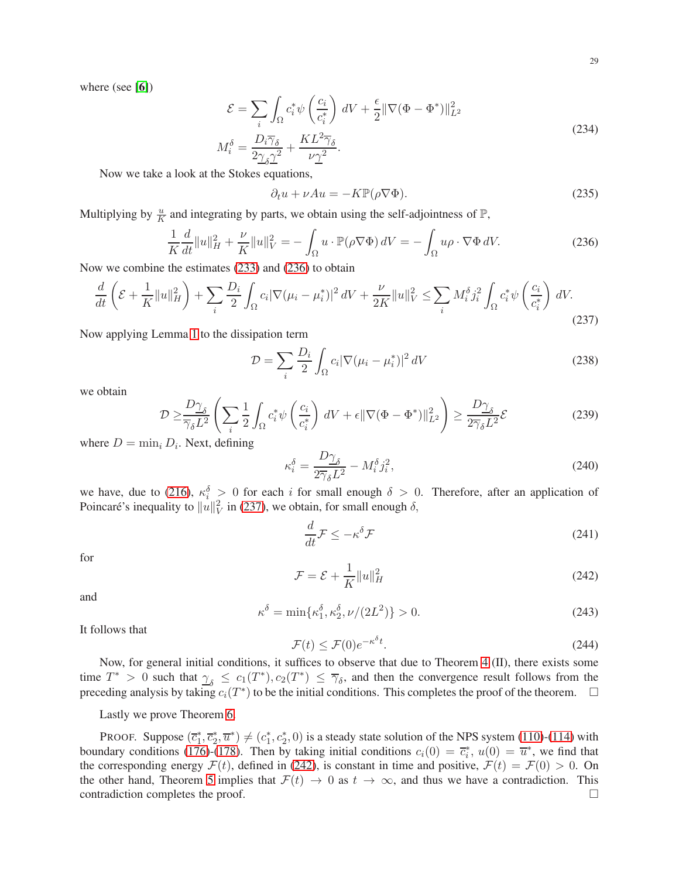where (see [[6](#page-29-2)])

$$
\mathcal{E} = \sum_{i} \int_{\Omega} c_{i}^{*} \psi \left( \frac{c_{i}}{c_{i}^{*}} \right) dV + \frac{\epsilon}{2} ||\nabla(\Phi - \Phi^{*})||_{L^{2}}^{2}
$$
  

$$
M_{i}^{\delta} = \frac{D_{i} \overline{\gamma}_{\delta}}{2\gamma_{\delta} \underline{\gamma}^{2}} + \frac{KL^{2} \overline{\gamma}_{\delta}}{\nu \underline{\gamma}^{2}}.
$$
 (234)

Now we take a look at the Stokes equations,

$$
\partial_t u + \nu Au = -K \mathbb{P}(\rho \nabla \Phi). \tag{235}
$$

Multiplying by  $\frac{u}{K}$  and integrating by parts, we obtain using the self-adjointness of  $\mathbb{P}$ ,

<span id="page-28-1"></span>
$$
\frac{1}{K}\frac{d}{dt}\|u\|_{H}^{2} + \frac{\nu}{K}\|u\|_{V}^{2} = -\int_{\Omega}u \cdot \mathbb{P}(\rho \nabla \Phi) dV = -\int_{\Omega}u\rho \cdot \nabla \Phi dV.
$$
\n(236)

Now we combine the estimates [\(233\)](#page-27-0) and [\(236\)](#page-28-1) to obtain

<span id="page-28-2"></span>
$$
\frac{d}{dt}\left(\mathcal{E}+\frac{1}{K}\|u\|_{H}^{2}\right)+\sum_{i}\frac{D_{i}}{2}\int_{\Omega}c_{i}|\nabla(\mu_{i}-\mu_{i}^{*})|^{2}dV+\frac{\nu}{2K}\|u\|_{V}^{2}\leq\sum_{i}M_{i}^{\delta}j_{i}^{2}\int_{\Omega}c_{i}^{*}\psi\left(\frac{c_{i}}{c_{i}^{*}}\right)dV.\tag{237}
$$

Now applying Lemma [1](#page-24-0) to the dissipation term

$$
\mathcal{D} = \sum_{i} \frac{D_i}{2} \int_{\Omega} c_i |\nabla(\mu_i - \mu_i^*)|^2 dV \tag{238}
$$

we obtain

$$
\mathcal{D} \ge \frac{D\gamma_{\delta}}{\overline{\gamma_{\delta}}L^2} \left( \sum_{i} \frac{1}{2} \int_{\Omega} c_i^* \psi \left( \frac{c_i}{c_i^*} \right) dV + \epsilon \|\nabla(\Phi - \Phi^*)\|_{L^2}^2 \right) \ge \frac{D\gamma_{\delta}}{2\overline{\gamma_{\delta}}L^2} \mathcal{E}
$$
\n(239)

where  $D = \min_i D_i$ . Next, defining

<span id="page-28-0"></span>
$$
\kappa_i^{\delta} = \frac{D\gamma_{\delta}}{2\overline{\gamma}_{\delta}L^2} - M_i^{\delta}j_i^2,\tag{240}
$$

we have, due to [\(216\)](#page-25-1),  $\kappa_i^{\delta} > 0$  for each i for small enough  $\delta > 0$ . Therefore, after an application of Poincaré's inequality to  $||u||_V^2$  in [\(237\)](#page-28-2), we obtain, for small enough  $\delta$ ,

$$
\frac{d}{dt}\mathcal{F} \le -\kappa^{\delta}\mathcal{F} \tag{241}
$$

for

<span id="page-28-3"></span>
$$
\mathcal{F} = \mathcal{E} + \frac{1}{K} ||u||_H^2 \tag{242}
$$

and

$$
\kappa^{\delta} = \min\{\kappa_1^{\delta}, \kappa_2^{\delta}, \nu/(2L^2)\} > 0. \tag{243}
$$

It follows that

$$
\mathcal{F}(t) \le \mathcal{F}(0)e^{-\kappa^{\delta}t}.\tag{244}
$$

Now, for general initial conditions, it suffices to observe that due to Theorem [4](#page-14-1) (II), there exists some time  $T^* > 0$  such that  $\gamma_{\delta} \leq c_1(T^*)$ ,  $c_2(T^*) \leq \overline{\gamma}_{\delta}$ , and then the convergence result follows from the preceding analysis by taking  $c_i(T^*)$  to be the initial conditions. This completes the proof of the theorem.  $\Box$ 

Lastly we prove Theorem [6.](#page-25-2)

PROOF. Suppose  $(\overline{c}_1^*, \overline{c}_2^*, \overline{u}^*) \neq (c_1^*, c_2^*, 0)$  is a steady state solution of the NPS system [\(110\)](#page-13-4)-[\(114\)](#page-13-5) with boundary conditions [\(176\)](#page-20-4)-[\(178\)](#page-20-5). Then by taking initial conditions  $c_i(0) = \overline{c}_i^*, u(0) = \overline{u}^*,$  we find that the corresponding energy  $\mathcal{F}(t)$ , defined in [\(242\)](#page-28-3), is constant in time and positive,  $\mathcal{F}(t) = \mathcal{F}(0) > 0$ . On the other hand, Theorem [5](#page-25-0) implies that  $\mathcal{F}(t) \to 0$  as  $t \to \infty$ , and thus we have a contradiction. This contradiction completes the proof. contradiction completes the proof.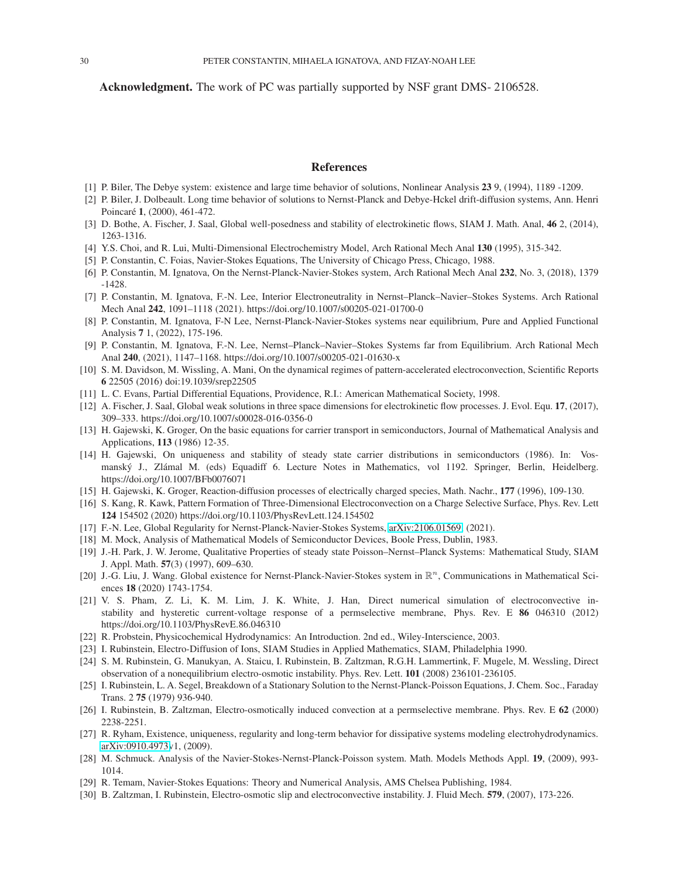Acknowledgment. The work of PC was partially supported by NSF grant DMS- 2106528.

#### References

- <span id="page-29-21"></span><span id="page-29-20"></span>[1] P. Biler, The Debye system: existence and large time behavior of solutions, Nonlinear Analysis 23 9, (1994), 1189 -1209.
- [2] P. Biler, J. Dolbeault. Long time behavior of solutions to Nernst-Planck and Debye-Hckel drift-diffusion systems, Ann. Henri Poincaré 1, (2000), 461-472.
- <span id="page-29-22"></span><span id="page-29-3"></span>[3] D. Bothe, A. Fischer, J. Saal, Global well-posedness and stability of electrokinetic flows, SIAM J. Math. Anal, 46 2, (2014), 1263-1316.
- <span id="page-29-25"></span>[4] Y.S. Choi, and R. Lui, Multi-Dimensional Electrochemistry Model, Arch Rational Mech Anal 130 (1995), 315-342.
- <span id="page-29-2"></span>[5] P. Constantin, C. Foias, Navier-Stokes Equations, The University of Chicago Press, Chicago, 1988.
- <span id="page-29-27"></span>[6] P. Constantin, M. Ignatova, On the Nernst-Planck-Navier-Stokes system, Arch Rational Mech Anal 232, No. 3, (2018), 1379 -1428.
- <span id="page-29-4"></span>[7] P. Constantin, M. Ignatova, F.-N. Lee, Interior Electroneutrality in Nernst–Planck–Navier–Stokes Systems. Arch Rational Mech Anal 242, 1091–1118 (2021). https://doi.org/10.1007/s00205-021-01700-0
- [8] P. Constantin, M. Ignatova, F-N Lee, Nernst-Planck-Navier-Stokes systems near equilibrium, Pure and Applied Functional Analysis 7 1, (2022), 175-196.
- <span id="page-29-15"></span>[9] P. Constantin, M. Ignatova, F.-N. Lee, Nernst–Planck–Navier–Stokes Systems far from Equilibrium. Arch Rational Mech Anal 240, (2021), 1147–1168. https://doi.org/10.1007/s00205-021-01630-x
- <span id="page-29-6"></span>[10] S. M. Davidson, M. Wissling, A. Mani, On the dynamical regimes of pattern-accelerated electroconvection, Scientific Reports 6 22505 (2016) doi:19.1039/srep22505
- <span id="page-29-29"></span><span id="page-29-17"></span>[11] L. C. Evans, Partial Differential Equations, Providence, R.I.: American Mathematical Society, 1998.
- [12] A. Fischer, J. Saal, Global weak solutions in three space dimensions for electrokinetic flow processes. J. Evol. Equ. 17, (2017), 309–333. https://doi.org/10.1007/s00028-016-0356-0
- <span id="page-29-23"></span>[13] H. Gajewski, K. Groger, On the basic equations for carrier transport in semiconductors, Journal of Mathematical Analysis and Applications, 113 (1986) 12-35.
- <span id="page-29-28"></span>[14] H. Gajewski, On uniqueness and stability of steady state carrier distributions in semiconductors (1986). In: Vosmanský J., Zlámal M. (eds) Equadiff 6. Lecture Notes in Mathematics, vol 1192. Springer, Berlin, Heidelberg. https://doi.org/10.1007/BFb0076071
- <span id="page-29-24"></span><span id="page-29-7"></span>[15] H. Gajewski, K. Groger, Reaction-diffusion processes of electrically charged species, Math. Nachr., 177 (1996), 109-130.
- [16] S. Kang, R. Kawk, Pattern Formation of Three-Dimensional Electroconvection on a Charge Selective Surface, Phys. Rev. Lett 124 154502 (2020) https://doi.org/10.1103/PhysRevLett.124.154502
- <span id="page-29-18"></span><span id="page-29-13"></span>[17] F.-N. Lee, Global Regularity for Nernst-Planck-Navier-Stokes Systems, [arXiv:2106.01569,](http://arxiv.org/abs/2106.01569) (2021).
- <span id="page-29-14"></span>[18] M. Mock, Analysis of Mathematical Models of Semiconductor Devices, Boole Press, Dublin, 1983.
- [19] J.-H. Park, J. W. Jerome, Qualitative Properties of steady state Poisson–Nernst–Planck Systems: Mathematical Study, SIAM J. Appl. Math. 57(3) (1997), 609–630.
- <span id="page-29-19"></span>[20] J.-G. Liu, J. Wang. Global existence for Nernst-Planck-Navier-Stokes system in  $\mathbb{R}^n$ , Communications in Mathematical Sciences 18 (2020) 1743-1754.
- <span id="page-29-8"></span>[21] V. S. Pham, Z. Li, K. M. Lim, J. K. White, J. Han, Direct numerical simulation of electroconvective instability and hysteretic current-voltage response of a permselective membrane, Phys. Rev. E 86 046310 (2012) https://doi.org/10.1103/PhysRevE.86.046310
- <span id="page-29-1"></span><span id="page-29-0"></span>[22] R. Probstein, Physicochemical Hydrodynamics: An Introduction. 2nd ed., Wiley-Interscience, 2003.
- <span id="page-29-9"></span>[23] I. Rubinstein, Electro-Diffusion of Ions, SIAM Studies in Applied Mathematics, SIAM, Philadelphia 1990.
- [24] S. M. Rubinstein, G. Manukyan, A. Staicu, I. Rubinstein, B. Zaltzman, R.G.H. Lammertink, F. Mugele, M. Wessling, Direct observation of a nonequilibrium electro-osmotic instability. Phys. Rev. Lett. 101 (2008) 236101-236105.
- <span id="page-29-10"></span>[25] I. Rubinstein, L. A. Segel, Breakdown of a Stationary Solution to the Nernst-Planck-Poisson Equations, J. Chem. Soc., Faraday Trans. 2 75 (1979) 936-940.
- <span id="page-29-11"></span>[26] I. Rubinstein, B. Zaltzman, Electro-osmotically induced convection at a permselective membrane. Phys. Rev. E 62 (2000) 2238-2251.
- <span id="page-29-5"></span>[27] R. Ryham, Existence, uniqueness, regularity and long-term behavior for dissipative systems modeling electrohydrodynamics. [arXiv:0910.4973v](http://arxiv.org/abs/0910.4973)1, (2009).
- <span id="page-29-16"></span>[28] M. Schmuck. Analysis of the Navier-Stokes-Nernst-Planck-Poisson system. Math. Models Methods Appl. 19, (2009), 993- 1014.
- <span id="page-29-26"></span><span id="page-29-12"></span>[29] R. Temam, Navier-Stokes Equations: Theory and Numerical Analysis, AMS Chelsea Publishing, 1984.
- [30] B. Zaltzman, I. Rubinstein, Electro-osmotic slip and electroconvective instability. J. Fluid Mech. 579, (2007), 173-226.